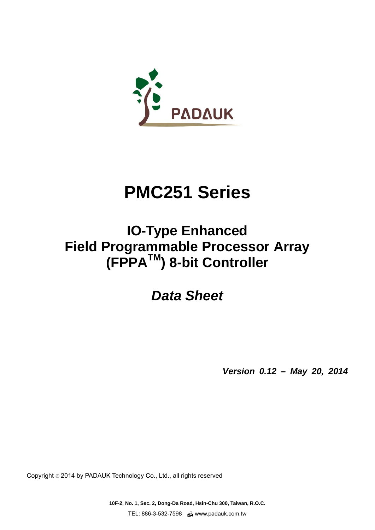

# **PMC251 Series**

# **IO-Type Enhanced Field Programmable Processor Array (FPPATM) 8-bit Controller**

# *Data Sheet*

*Version 0.12 – May 20, 2014* 

Copyright 2014 by PADAUK Technology Co., Ltd., all rights reserved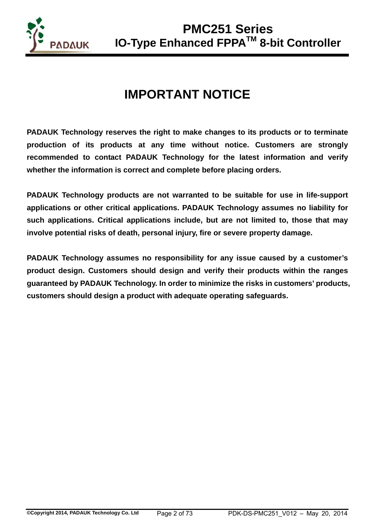

# **IMPORTANT NOTICE**

**PADAUK Technology reserves the right to make changes to its products or to terminate production of its products at any time without notice. Customers are strongly recommended to contact PADAUK Technology for the latest information and verify whether the information is correct and complete before placing orders.** 

**PADAUK Technology products are not warranted to be suitable for use in life-support applications or other critical applications. PADAUK Technology assumes no liability for such applications. Critical applications include, but are not limited to, those that may involve potential risks of death, personal injury, fire or severe property damage.** 

**PADAUK Technology assumes no responsibility for any issue caused by a customer's product design. Customers should design and verify their products within the ranges guaranteed by PADAUK Technology. In order to minimize the risks in customers' products, customers should design a product with adequate operating safeguards.**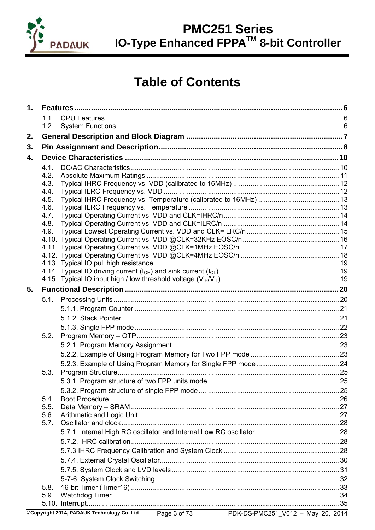

## **Table of Contents**

| $\mathbf 1$ . |      |  |
|---------------|------|--|
|               | 1.1. |  |
|               | 1.2. |  |
| 2.            |      |  |
| 3.            |      |  |
| 4.            |      |  |
|               | 4.1. |  |
|               | 4.2. |  |
|               | 4.3. |  |
|               | 4.4. |  |
|               | 4.5. |  |
|               | 4.6. |  |
|               | 4.7. |  |
|               | 4.8. |  |
|               | 4.9. |  |
|               |      |  |
|               |      |  |
|               |      |  |
|               |      |  |
|               |      |  |
|               |      |  |
| 5.            |      |  |
|               |      |  |
|               |      |  |
|               |      |  |
|               |      |  |
|               | 5.2. |  |
|               |      |  |
|               |      |  |
|               |      |  |
|               | 5.3. |  |
|               |      |  |
|               |      |  |
|               | 5.4. |  |
|               | 5.5. |  |
|               | 5.6. |  |
|               | 5.7. |  |
|               |      |  |
|               |      |  |
|               |      |  |
|               |      |  |
|               |      |  |
|               |      |  |
|               | 5.8. |  |
|               | 5.9. |  |
|               |      |  |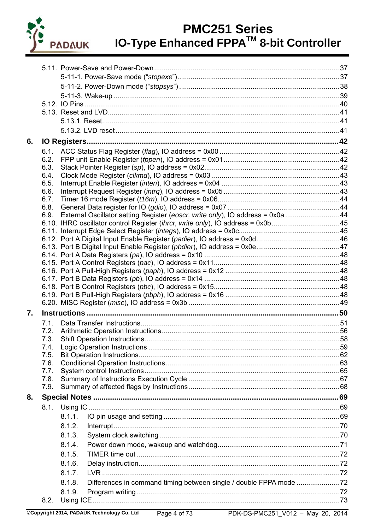

| 6. |              |                                                                                 |  |
|----|--------------|---------------------------------------------------------------------------------|--|
|    | 6.1.         |                                                                                 |  |
|    | 6.2.         |                                                                                 |  |
|    | 6.3.         |                                                                                 |  |
|    | 6.4.         |                                                                                 |  |
|    | 6.5.         |                                                                                 |  |
|    | 6.6.         |                                                                                 |  |
|    | 6.7.         |                                                                                 |  |
|    | 6.8.<br>6.9. | External Oscillator setting Register (eoscr, write only), IO address = 0x0a  44 |  |
|    |              | 6.10. IHRC oscillator control Register (ihrcr, write only), IO address = 0x0b45 |  |
|    |              |                                                                                 |  |
|    |              |                                                                                 |  |
|    |              |                                                                                 |  |
|    |              |                                                                                 |  |
|    |              |                                                                                 |  |
|    |              |                                                                                 |  |
|    |              |                                                                                 |  |
|    |              |                                                                                 |  |
|    |              |                                                                                 |  |
| 7. |              |                                                                                 |  |
|    | 7.1.         |                                                                                 |  |
|    | 7.2.         |                                                                                 |  |
|    | 7.3.         | <b>Shift Operation Instructions</b>                                             |  |
|    | 7.4.         |                                                                                 |  |
|    | 7.5.         |                                                                                 |  |
|    | 7.6.         |                                                                                 |  |
|    | 7.7.         |                                                                                 |  |
|    | 7.8.         |                                                                                 |  |
|    | 7.9.         |                                                                                 |  |
| 8. |              |                                                                                 |  |
|    | 8.1.         |                                                                                 |  |
|    |              | 8.1.1.                                                                          |  |
|    |              | 8.1.2.                                                                          |  |
|    |              | 8.1.3.                                                                          |  |
|    |              | 8.1.4.                                                                          |  |
|    |              | 8.1.5.                                                                          |  |
|    |              | 8.1.6.                                                                          |  |
|    |              | 8.1.7.                                                                          |  |
|    |              | 8.1.8.                                                                          |  |
|    |              | 8.1.9.                                                                          |  |
|    | 8.2.         |                                                                                 |  |
|    |              |                                                                                 |  |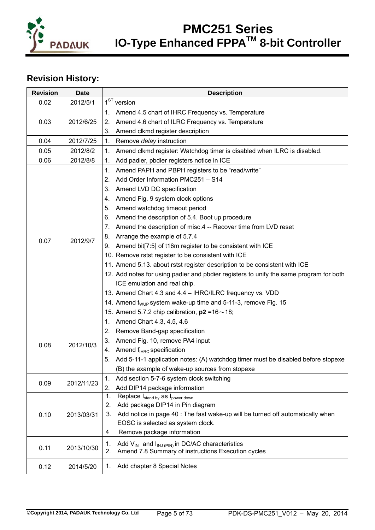

### **Revision History:**

| <b>Revision</b> | <b>Date</b> | <b>Description</b>                                                                     |
|-----------------|-------------|----------------------------------------------------------------------------------------|
| 0.02            | 2012/5/1    | $1ST$ version                                                                          |
|                 |             | Amend 4.5 chart of IHRC Frequency vs. Temperature<br>1.                                |
| 0.03            | 2012/6/25   | Amend 4.6 chart of ILRC Frequency vs. Temperature<br>2.                                |
|                 |             | Amend clkmd register description<br>3.                                                 |
| 0.04            | 2012/7/25   | 1.<br>Remove delay instruction                                                         |
| 0.05            | 2012/8/2    | Amend clkmd register: Watchdog timer is disabled when ILRC is disabled.<br>1.          |
| 0.06            | 2012/8/8    | Add padier, pbdier registers notice in ICE<br>1.                                       |
|                 |             | Amend PAPH and PBPH registers to be "read/write"<br>1.                                 |
|                 |             | Add Order Information PMC251 - S14<br>2.                                               |
|                 |             | Amend LVD DC specification<br>3.                                                       |
|                 |             | Amend Fig. 9 system clock options<br>4.                                                |
|                 |             | Amend watchdog timeout period<br>5.                                                    |
|                 |             | Amend the description of 5.4. Boot up procedure<br>6.                                  |
|                 |             | Amend the description of misc.4 -- Recover time from LVD reset<br>7.                   |
|                 |             | 8. Arrange the example of 5.7.4                                                        |
| 0.07            | 2012/9/7    | 9. Amend bit[7:5] of t16m register to be consistent with ICE                           |
|                 |             | 10. Remove rstst register to be consistent with ICE                                    |
|                 |             | 11. Amend 5.13. about rstst register description to be consistent with ICE             |
|                 |             | 12. Add notes for using padier and pbdier registers to unify the same program for both |
|                 |             | ICE emulation and real chip.                                                           |
|                 |             | 13. Amend Chart 4.3 and 4.4 - IHRC/ILRC frequency vs. VDD                              |
|                 |             | 14. Amend t <sub>WUP</sub> system wake-up time and 5-11-3, remove Fig. 15              |
|                 |             | 15. Amend 5.7.2 chip calibration, $p2 = 16 \sim 18$ ;                                  |
|                 |             | Amend Chart 4.3, 4.5, 4.6<br>1.                                                        |
|                 |             | Remove Band-gap specification<br>2.                                                    |
|                 |             | Amend Fig. 10, remove PA4 input<br>3.                                                  |
| 0.08            | 2012/10/3   | 4. Amend $f_{HRC}$ specification                                                       |
|                 |             | Add 5-11-1 application notes: (A) watchdog timer must be disabled before stopexe<br>5. |
|                 |             | (B) the example of wake-up sources from stopexe                                        |
|                 |             | Add section 5-7-6 system clock switching<br>1.                                         |
| 0.09            | 2012/11/23  | Add DIP14 package information<br>2.                                                    |
|                 |             | Replace I <sub>stand by</sub> as I <sub>power down</sub><br>1.                         |
|                 |             | Add package DIP14 in Pin diagram<br>2.                                                 |
| 0.10            | 2013/03/31  | Add notice in page 40 : The fast wake-up will be turned off automatically when<br>3.   |
|                 |             | EOSC is selected as system clock.                                                      |
|                 |             | Remove package information<br>4                                                        |
| 0.11            | 2013/10/30  | Add $V_{IN}$ and $I_{INJ (PIN)}$ in DC/AC characteristics<br>1.                        |
|                 |             | Amend 7.8 Summary of instructions Execution cycles<br>2.                               |
| 0.12            | 2014/5/20   | Add chapter 8 Special Notes<br>1.                                                      |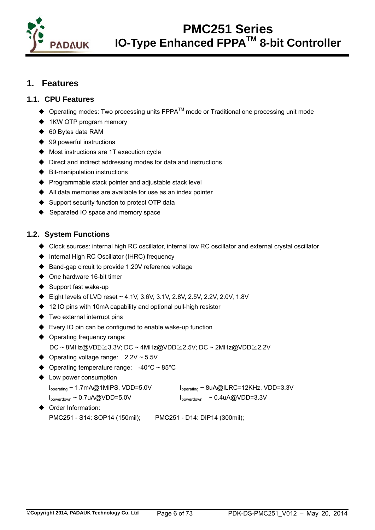

### **1. Features**

### **1.1. CPU Features**

- ◆ Operating modes: Two processing units FPPA<sup>TM</sup> mode or Traditional one processing unit mode
- ◆ 1KW OTP program memory
- ◆ 60 Bytes data RAM
- ♦ 99 powerful instructions
- Most instructions are 1T execution cycle
- ♦ Direct and indirect addressing modes for data and instructions
- $\blacklozenge$  Bit-manipulation instructions
- ♦ Programmable stack pointer and adjustable stack level
- All data memories are available for use as an index pointer
- Support security function to protect OTP data
- ♦ Separated IO space and memory space

### **1.2. System Functions**

- Clock sources: internal high RC oscillator, internal low RC oscillator and external crystal oscillator
- ◆ Internal High RC Oscillator (IHRC) frequency
- ♦ Band-gap circuit to provide 1.20V reference voltage
- ◆ One hardware 16-bit timer
- $\triangle$  Support fast wake-up
- $\blacklozenge$  Eight levels of LVD reset ~ 4.1V, 3.6V, 3.1V, 2.8V, 2.5V, 2.2V, 2.0V, 1.8V
- ♦ 12 IO pins with 10mA capability and optional pull-high resistor
- ◆ Two external interrupt pins
- ♦ Every IO pin can be configured to enable wake-up function
- ◆ Operating frequency range:
	- DC ~ 8MHz@VDD≧3.3V; DC ~ 4MHz@VDD≧2.5V; DC ~ 2MHz@VDD≧2.2V
- $\blacklozenge$  Operating voltage range: 2.2V ~ 5.5V
- $\blacklozenge$  Operating temperature range: -40°C ~ 85°C
- ◆ Low power consumption
	- Ioperating ~ 1.7mA@1MIPS, VDD=5.0V Ioperating ~ 8uA@ILRC=12KHz, VDD=3.3V
	- $I_{powerdown} \sim 0.7$ uA@VDD=5.0V  $I_{powerdown} \sim 0.4$ uA@VDD=3.3V
- 
- ◆ Order Information:
	- PMC251 S14: SOP14 (150mil); PMC251 D14: DIP14 (300mil);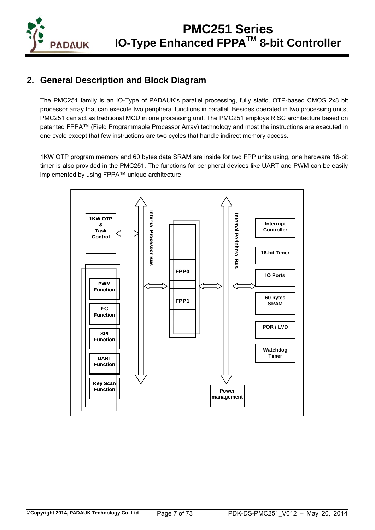

### **2. General Description and Block Diagram**

The PMC251 family is an IO-Type of PADAUK's parallel processing, fully static, OTP-based CMOS 2x8 bit processor array that can execute two peripheral functions in parallel. Besides operated in two processing units, PMC251 can act as traditional MCU in one processing unit. The PMC251 employs RISC architecture based on patented FPPA™ (Field Programmable Processor Array) technology and most the instructions are executed in one cycle except that few instructions are two cycles that handle indirect memory access.

1KW OTP program memory and 60 bytes data SRAM are inside for two FPP units using, one hardware 16-bit timer is also provided in the PMC251. The functions for peripheral devices like UART and PWM can be easily implemented by using FPPA™ unique architecture.

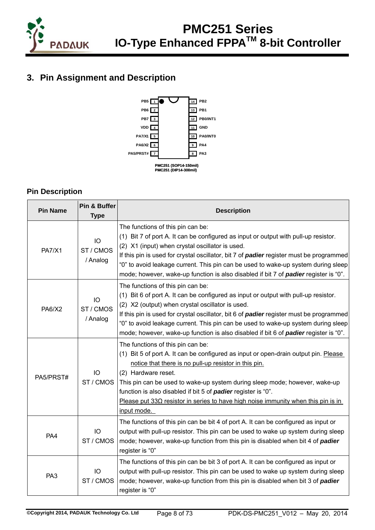

### **3. Pin Assignment and Description**



### **Pin Description**

| <b>Pin Name</b> | Pin & Buffer<br><b>Type</b> | <b>Description</b>                                                                                                                                                                                                                                                                                                                                                                                                                                                 |
|-----------------|-----------------------------|--------------------------------------------------------------------------------------------------------------------------------------------------------------------------------------------------------------------------------------------------------------------------------------------------------------------------------------------------------------------------------------------------------------------------------------------------------------------|
| <b>PA7/X1</b>   | IO<br>ST / CMOS<br>/ Analog | The functions of this pin can be:<br>(1) Bit 7 of port A. It can be configured as input or output with pull-up resistor.<br>(2) X1 (input) when crystal oscillator is used.<br>If this pin is used for crystal oscillator, bit 7 of padier register must be programmed<br>"0" to avoid leakage current. This pin can be used to wake-up system during sleep<br>mode; however, wake-up function is also disabled if bit 7 of padier register is "0".                |
| <b>PA6/X2</b>   | IO<br>ST / CMOS<br>/ Analog | The functions of this pin can be:<br>(1) Bit 6 of port A. It can be configured as input or output with pull-up resistor.<br>(2) X2 (output) when crystal oscillator is used.<br>If this pin is used for crystal oscillator, bit 6 of padier register must be programmed<br>"0" to avoid leakage current. This pin can be used to wake-up system during sleep<br>mode; however, wake-up function is also disabled if bit 6 of padier register is "0".               |
| PA5/PRST#       | IO<br>ST / CMOS             | The functions of this pin can be:<br>(1) Bit 5 of port A. It can be configured as input or open-drain output pin. Please<br>notice that there is no pull-up resistor in this pin.<br>(2) Hardware reset.<br>This pin can be used to wake-up system during sleep mode; however, wake-up<br>function is also disabled if bit 5 of padier register is "0".<br>Please put $33\Omega$ resistor in series to have high noise immunity when this pin is in<br>input mode. |
| PA4             | IO<br>ST/CMOS               | The functions of this pin can be bit 4 of port A. It can be configured as input or<br>output with pull-up resistor. This pin can be used to wake up system during sleep<br>mode; however, wake-up function from this pin is disabled when bit 4 of padier<br>register is "0"                                                                                                                                                                                       |
| PA <sub>3</sub> | IO<br>ST / CMOS             | The functions of this pin can be bit 3 of port A. It can be configured as input or<br>output with pull-up resistor. This pin can be used to wake up system during sleep<br>mode; however, wake-up function from this pin is disabled when bit 3 of padier<br>register is "0"                                                                                                                                                                                       |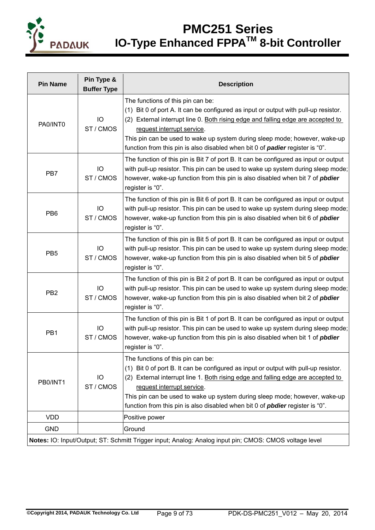

| <b>Pin Name</b>                                                                                        | Pin Type &<br><b>Buffer Type</b> | <b>Description</b>                                                                                                                                                                                                                                                                                                                                                                                               |  |  |
|--------------------------------------------------------------------------------------------------------|----------------------------------|------------------------------------------------------------------------------------------------------------------------------------------------------------------------------------------------------------------------------------------------------------------------------------------------------------------------------------------------------------------------------------------------------------------|--|--|
| PA0/INT0                                                                                               | IO<br>ST / CMOS                  | The functions of this pin can be:<br>(1) Bit 0 of port A. It can be configured as input or output with pull-up resistor.<br>(2) External interrupt line 0. Both rising edge and falling edge are accepted to<br>request interrupt service.<br>This pin can be used to wake up system during sleep mode; however, wake-up<br>function from this pin is also disabled when bit 0 of <b>padier</b> register is "0". |  |  |
| PB7                                                                                                    | IO<br>ST/CMOS                    | The function of this pin is Bit 7 of port B. It can be configured as input or output<br>with pull-up resistor. This pin can be used to wake up system during sleep mode;<br>however, wake-up function from this pin is also disabled when bit 7 of <i>pbdier</i><br>register is "0".                                                                                                                             |  |  |
| PB <sub>6</sub>                                                                                        | IO<br>ST/CMOS                    | The function of this pin is Bit 6 of port B. It can be configured as input or output<br>with pull-up resistor. This pin can be used to wake up system during sleep mode;<br>however, wake-up function from this pin is also disabled when bit 6 of <i>pbdier</i><br>register is "0".                                                                                                                             |  |  |
| PB <sub>5</sub>                                                                                        | IO<br>ST/CMOS                    | The function of this pin is Bit 5 of port B. It can be configured as input or output<br>with pull-up resistor. This pin can be used to wake up system during sleep mode;<br>however, wake-up function from this pin is also disabled when bit 5 of <i>pbdier</i><br>register is "0".                                                                                                                             |  |  |
| PB <sub>2</sub>                                                                                        | IO<br>ST/CMOS                    | The function of this pin is Bit 2 of port B. It can be configured as input or output<br>with pull-up resistor. This pin can be used to wake up system during sleep mode;<br>however, wake-up function from this pin is also disabled when bit 2 of <i>pbdier</i><br>register is "0".                                                                                                                             |  |  |
| PB1                                                                                                    | IO<br>ST/CMOS                    | The function of this pin is Bit 1 of port B. It can be configured as input or output<br>with pull-up resistor. This pin can be used to wake up system during sleep mode;<br>however, wake-up function from this pin is also disabled when bit 1 of <i>pbdier</i><br>register is "0".                                                                                                                             |  |  |
| PB0/INT1                                                                                               | IO<br>ST / CMOS                  | The functions of this pin can be:<br>(1) Bit 0 of port B. It can be configured as input or output with pull-up resistor.<br>(2) External interrupt line 1. Both rising edge and falling edge are accepted to<br>request interrupt service.<br>This pin can be used to wake up system during sleep mode; however, wake-up<br>function from this pin is also disabled when bit 0 of <i>pbdier</i> register is "0". |  |  |
| <b>VDD</b>                                                                                             |                                  | Positive power                                                                                                                                                                                                                                                                                                                                                                                                   |  |  |
| <b>GND</b>                                                                                             |                                  | Ground                                                                                                                                                                                                                                                                                                                                                                                                           |  |  |
| Notes: IO: Input/Output; ST: Schmitt Trigger input; Analog: Analog input pin; CMOS: CMOS voltage level |                                  |                                                                                                                                                                                                                                                                                                                                                                                                                  |  |  |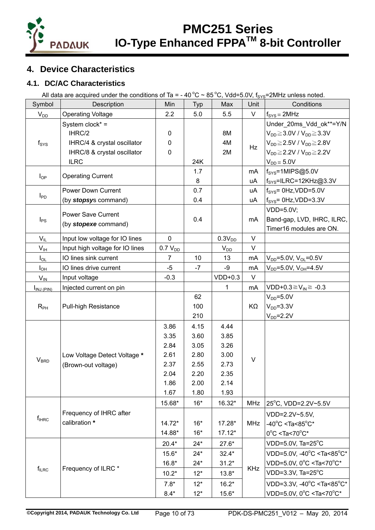

### **4. Device Characteristics**

### **4.1. DC/AC Characteristics**

All data are acquired under the conditions of Ta = - 40 °C ~ 85 °C, Vdd=5.0V,  $f_{\rm sys}$ =2MHz unless noted.

| Symbol                     | Description                                                                                            | Min                                                          | Typ                                                          | Max                                                            | Unit       | Conditions                                                                                                                                                                                                            |
|----------------------------|--------------------------------------------------------------------------------------------------------|--------------------------------------------------------------|--------------------------------------------------------------|----------------------------------------------------------------|------------|-----------------------------------------------------------------------------------------------------------------------------------------------------------------------------------------------------------------------|
| $V_{DD}$                   | <b>Operating Voltage</b>                                                                               | 2.2                                                          | 5.0                                                          | 5.5                                                            | V          | $f_{\text{SYS}} = 2MHz$                                                                                                                                                                                               |
| $f_{\rm{SYS}}$             | System clock* =<br>IHRC/2<br>IHRC/4 & crystal oscillator<br>IHRC/8 & crystal oscillator<br><b>ILRC</b> | $\mathbf 0$<br>$\mathbf 0$<br>$\boldsymbol{0}$               | 24K                                                          | 8M<br>4M<br>2M                                                 | Hz         | Under_20ms_Vdd_ok**=Y/N<br>$V_{DD} \geq 3.0V / V_{DD} \geq 3.3V$<br>$V_{DD} \geq 2.5V / V_{DD} \geq 2.8V$<br>$V_{DD} \geq 2.2 V / V_{DD} \geq 2.2 V$<br>$V_{DD} = 5.0V$                                               |
| $I_{OP}$                   | <b>Operating Current</b>                                                                               |                                                              | 1.7<br>8                                                     |                                                                | mA<br>uA   | $fSYS=1MIPS@5.0V$<br>$f_{\text{SYS}}$ =ILRC=12KHz@3.3V                                                                                                                                                                |
| $I_{PD}$                   | Power Down Current<br>(by stopsys command)                                                             |                                                              | 0.7<br>0.4                                                   |                                                                | uA<br>uA   | $f_{\text{SYS}}$ = 0Hz, VDD=5.0V<br>$f_{\text{SYS}} = 0$ Hz, VDD=3.3V                                                                                                                                                 |
| $I_{PS}$                   | <b>Power Save Current</b><br>(by stopexe command)                                                      |                                                              | 0.4                                                          |                                                                | mA         | VDD=5.0V;<br>Band-gap, LVD, IHRC, ILRC,<br>Timer16 modules are ON.                                                                                                                                                    |
| $V_{IL}$                   | Input low voltage for IO lines                                                                         | $\mathbf 0$                                                  |                                                              | 0.3V <sub>DD</sub>                                             | $\vee$     |                                                                                                                                                                                                                       |
| $\mathsf{V}_{\mathsf{IH}}$ | Input high voltage for IO lines                                                                        | $0.7 V_{DD}$                                                 |                                                              | $V_{DD}$                                                       | V          |                                                                                                                                                                                                                       |
| $I_{OL}$                   | IO lines sink current                                                                                  | 7                                                            | 10                                                           | 13                                                             | mA         | $V_{DD} = 5.0 V, V_{OL} = 0.5 V$                                                                                                                                                                                      |
| $I_{OH}$                   | IO lines drive current                                                                                 | $-5$                                                         | $-7$                                                         | $-9$                                                           | mA         | $V_{DD} = 5.0 V, V_{OH} = 4.5 V$                                                                                                                                                                                      |
| $V_{\text{IN}}$            | Input voltage                                                                                          | $-0.3$                                                       |                                                              | $VDD+0.3$                                                      | V          |                                                                                                                                                                                                                       |
| $I_{INJ(PIN)}$             | Injected current on pin                                                                                |                                                              |                                                              | 1                                                              | mA         | VDD+0.3 $\geq$ V <sub>IN</sub> $\geq$ -0.3                                                                                                                                                                            |
| $R_{PH}$                   | <b>Pull-high Resistance</b>                                                                            |                                                              | 62<br>100<br>210                                             |                                                                | ΚΩ         | $V_{DD} = 5.0V$<br>$V_{DD} = 3.3V$<br>$V_{DD} = 2.2V$                                                                                                                                                                 |
| <b>V<sub>BRD</sub></b>     | Low Voltage Detect Voltage *<br>(Brown-out voltage)                                                    | 3.86<br>3.35<br>2.84<br>2.61<br>2.37<br>2.04<br>1.86<br>1.67 | 4.15<br>3.60<br>3.05<br>2.80<br>2.55<br>2.20<br>2.00<br>1.80 | 4.44<br>3.85<br>3.26<br>3.00<br>2.73<br>2.35<br>2.14<br>1.93   | $\vee$     |                                                                                                                                                                                                                       |
|                            |                                                                                                        | 15.68*                                                       | $16*$                                                        | 16.32*                                                         | <b>MHz</b> | 25°C, VDD=2.2V~5.5V                                                                                                                                                                                                   |
| $f_{\text{IHRC}}$          | Frequency of IHRC after<br>calibration *                                                               | $14.72*$<br>14.88*                                           | $16*$<br>$16*$                                               | 17.28*<br>$17.12*$                                             | <b>MHz</b> | VDD=2.2V~5.5V,<br>-40°C <ta<85°c*<br><math>0^{\circ}</math>C <ta<70<math>^{\circ}C*</ta<70<math></ta<85°c*<br>                                                                                                        |
| $f_{ILRC}$                 | Frequency of ILRC *                                                                                    | $20.4*$<br>$15.6*$<br>$16.8*$<br>$10.2*$<br>$7.8*$<br>$8.4*$ | $24*$<br>$24*$<br>$24*$<br>$12*$<br>$12*$<br>$12*$           | $27.6*$<br>$32.4*$<br>$31.2*$<br>$13.8*$<br>$16.2*$<br>$15.6*$ | <b>KHz</b> | VDD=5.0V, Ta=25°C<br>VDD=5.0V, -40°C <ta<85°c*<br>VDD=5.0V, 0°C <ta<70°c*<br>VDD=3.3V, Ta=25°C<br/>VDD=3.3V, -40°C <ta<85°c*<br>VDD=5.0V, 0°C <ta<70°c*< td=""></ta<70°c*<></ta<85°c*<br></ta<70°c*<br></ta<85°c*<br> |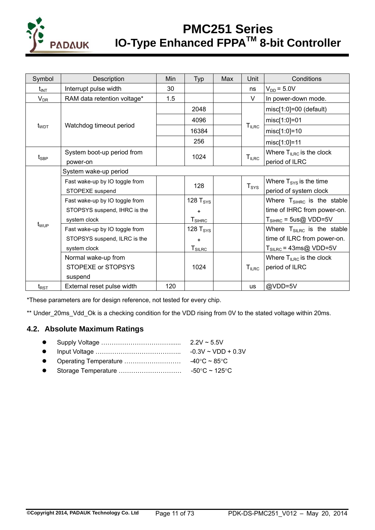

| Symbol                       | Description                    | Min | Typ                              | Max | Unit             | Conditions                            |  |
|------------------------------|--------------------------------|-----|----------------------------------|-----|------------------|---------------------------------------|--|
| $t_{INT}$                    | Interrupt pulse width          | 30  |                                  |     | ns               | $V_{DD} = 5.0V$                       |  |
| $\mathsf{V}_{\mathsf{DR}}$   | RAM data retention voltage*    | 1.5 |                                  |     | V                | In power-down mode.                   |  |
|                              |                                |     | 2048                             |     |                  | $misc[1:0] = 00$ (default)            |  |
|                              |                                |     | 4096                             |     |                  | misc[1:0]=01                          |  |
| $t_{WDT}$                    | Watchdog timeout period        |     | 16384                            |     | $T_{ILRC}$       | $misc[1:0] = 10$                      |  |
|                              |                                |     | 256                              |     |                  | misc[1:0]=11                          |  |
|                              | System boot-up period from     |     | 1024                             |     | $T_{ILRC}$       | Where $T_{ILRC}$ is the clock         |  |
| $t_{\scriptstyle\text{SBP}}$ | power-on                       |     |                                  |     |                  | period of ILRC                        |  |
|                              | System wake-up period          |     |                                  |     |                  |                                       |  |
|                              | Fast wake-up by IO toggle from |     | 128                              |     | T <sub>SYS</sub> | Where $T_{\text{SYS}}$ is the time    |  |
|                              | STOPEXE suspend                |     |                                  |     |                  | period of system clock                |  |
|                              | Fast wake-up by IO toggle from |     | 128 T <sub>SYS</sub>             |     |                  | Where $T_{\text{SHRC}}$ is the stable |  |
|                              | STOPSYS suspend, IHRC is the   |     | ٠                                |     |                  | time of IHRC from power-on.           |  |
|                              | system clock                   |     | $T_{\textnormal{SIHRC}}$         |     |                  | $T_{\text{SHRC}}$ = 5us@ VDD=5V       |  |
| t <sub>wup</sub>             | Fast wake-up by IO toggle from |     | 128 $T_{\text{SYS}}$             |     |                  | Where $T_{SILRC}$ is the stable       |  |
|                              | STOPSYS suspend, ILRC is the   |     | ٠                                |     |                  | time of ILRC from power-on.           |  |
|                              | system clock                   |     | $T_{\scriptstyle\textrm{SILRC}}$ |     |                  | $T_{SILRC}$ = 43ms@ VDD=5V            |  |
|                              | Normal wake-up from            |     |                                  |     |                  | Where $T_{ILRC}$ is the clock         |  |
|                              | STOPEXE or STOPSYS             |     | 1024                             |     | $T_{ILRC}$       | period of ILRC                        |  |
|                              | suspend                        |     |                                  |     |                  |                                       |  |
| $t_{\mathsf{RST}}$           | External reset pulse width     | 120 |                                  |     | <b>us</b>        | @VDD=5V                               |  |

\*These parameters are for design reference, not tested for every chip.

\*\* Under\_20ms\_Vdd\_Ok is a checking condition for the VDD rising from 0V to the stated voltage within 20ms.

#### **4.2. Absolute Maximum Ratings**

|  | $2.2V \sim 5.5V$                                        |
|--|---------------------------------------------------------|
|  | $\sim$ $\sim$ $\sim$ $\sim$ $\sim$ $\sim$ $\sim$ $\sim$ |

- Input Voltage ………………………………….. -0.3V ~ VDD + 0.3V Operating Temperature ……………………… -40C ~ 85C
- 
- Storage Temperature ………………………… -50C ~ 125C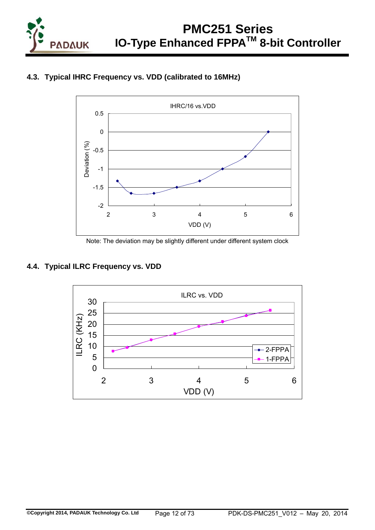





Note: The deviation may be slightly different under different system clock

### **4.4. Typical ILRC Frequency vs. VDD**

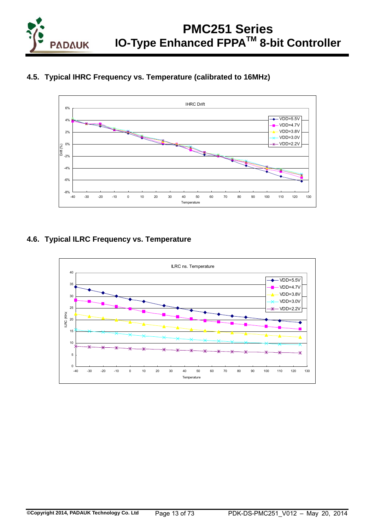

### **4.5. Typical IHRC Frequency vs. Temperature (calibrated to 16MHz)**



### **4.6. Typical ILRC Frequency vs. Temperature**

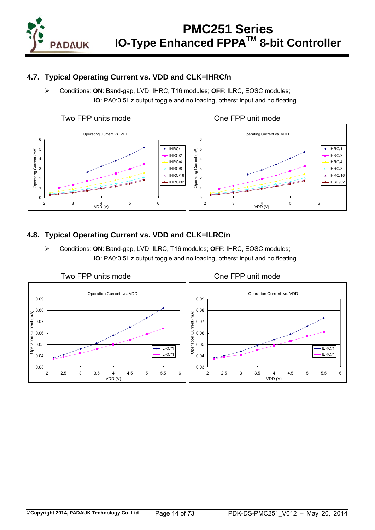

### **4.7. Typical Operating Current vs. VDD and CLK=IHRC/n**

 Conditions: **ON**: Band-gap, LVD, IHRC, T16 modules; **OFF**: ILRC, EOSC modules; **IO**: PA0:0.5Hz output toggle and no loading, others: input and no floating



### **4.8. Typical Operating Current vs. VDD and CLK=ILRC/n**

 Conditions: **ON**: Band-gap, LVD, ILRC, T16 modules; **OFF**: IHRC, EOSC modules; **IO**: PA0:0.5Hz output toggle and no loading, others: input and no floating

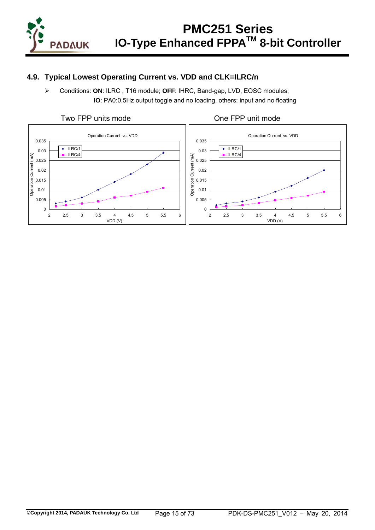

### **4.9. Typical Lowest Operating Current vs. VDD and CLK=ILRC/n**

 Conditions: **ON**: ILRC , T16 module; **OFF**: IHRC, Band-gap, LVD, EOSC modules; **IO**: PA0:0.5Hz output toggle and no loading, others: input and no floating



### **©Copyright 2014, PADAUK Technology Co. Ltd** Page 15 of 73 PDK-DS-PMC251\_V012 – May 20, 2014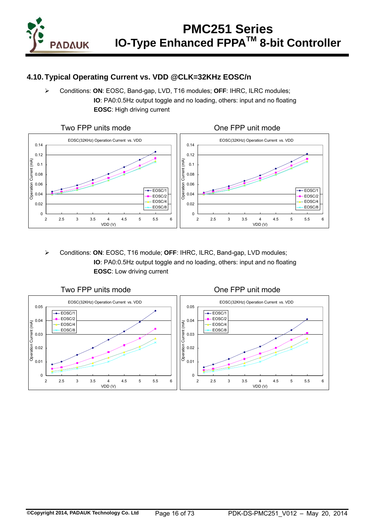

### **4.10. Typical Operating Current vs. VDD @CLK=32KHz EOSC/n**

 Conditions: **ON**: EOSC, Band-gap, LVD, T16 modules; **OFF**: IHRC, ILRC modules; **IO**: PA0:0.5Hz output toggle and no loading, others: input and no floating **EOSC**: High driving current



 Conditions: **ON**: EOSC, T16 module; **OFF**: IHRC, ILRC, Band-gap, LVD modules; **IO**: PA0:0.5Hz output toggle and no loading, others: input and no floating **EOSC**: Low driving current

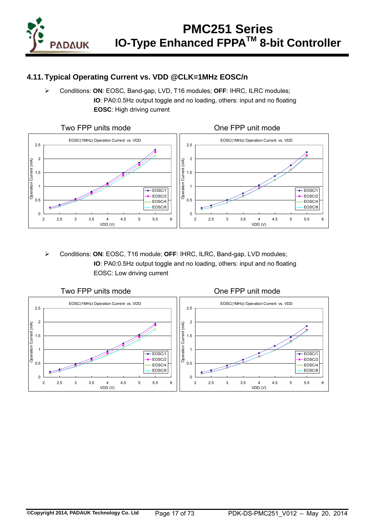

### **4.11. Typical Operating Current vs. VDD @CLK=1MHz EOSC/n**

 Conditions: **ON**: EOSC, Band-gap, LVD, T16 modules; **OFF**: IHRC, ILRC modules; **IO**: PA0:0.5Hz output toggle and no loading, others: input and no floating **EOSC**: High driving current



 Conditions: **ON**: EOSC, T16 module; **OFF**: IHRC, ILRC, Band-gap, LVD modules; **IO**: PA0:0.5Hz output toggle and no loading, others: input and no floating EOSC: Low driving current

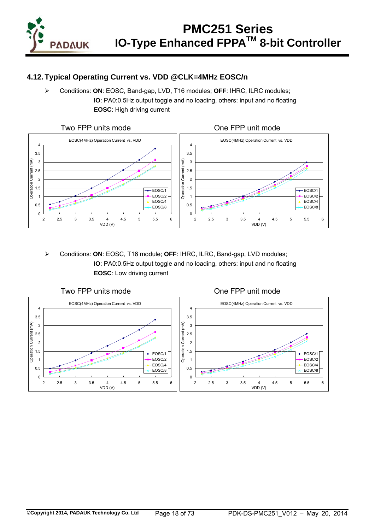

### **4.12. Typical Operating Current vs. VDD @CLK=4MHz EOSC/n**

 Conditions: **ON**: EOSC, Band-gap, LVD, T16 modules; **OFF**: IHRC, ILRC modules; **IO**: PA0:0.5Hz output toggle and no loading, others: input and no floating **EOSC**: High driving current



 Conditions: **ON**: EOSC, T16 module; **OFF**: IHRC, ILRC, Band-gap, LVD modules; **IO**: PA0:0.5Hz output toggle and no loading, others: input and no floating **EOSC**: Low driving current

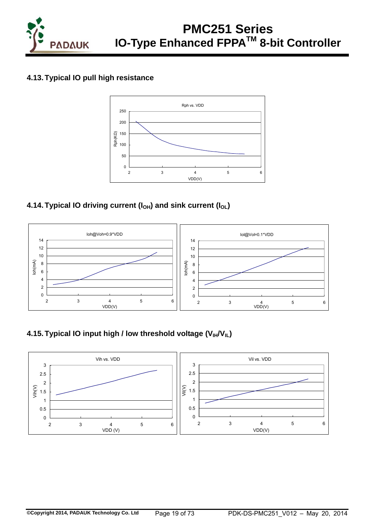

### **4.13. Typical IO pull high resistance**



### **4.14. Typical IO driving current (I<sub>OH</sub>) and sink current (I<sub>OL</sub>)**



### **4.15. Typical IO input high / low threshold voltage (V<sub>IH</sub>/V<sub>IL</sub>)**

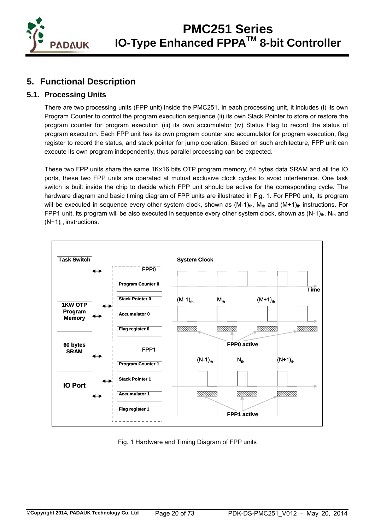

### **5. Functional Description**

### **5.1. Processing Units**

There are two processing units (FPP unit) inside the PMC251. In each processing unit, it includes (i) its own Program Counter to control the program execution sequence (ii) its own Stack Pointer to store or restore the program counter for program execution (iii) its own accumulator (iv) Status Flag to record the status of program execution. Each FPP unit has its own program counter and accumulator for program execution, flag register to record the status, and stack pointer for jump operation. Based on such architecture, FPP unit can execute its own program independently, thus parallel processing can be expected.

These two FPP units share the same 1Kx16 bits OTP program memory, 64 bytes data SRAM and all the IO ports, these two FPP units are operated at mutual exclusive clock cycles to avoid interference. One task switch is built inside the chip to decide which FPP unit should be active for the corresponding cycle. The hardware diagram and basic timing diagram of FPP units are illustrated in Fig. 1. For FPP0 unit, its program will be executed in sequence every other system clock, shown as  $(M-1)_{th}$ ,  $M_{th}$  and  $(M+1)_{th}$  instructions. For FPP1 unit, its program will be also executed in sequence every other system clock, shown as  $(N-1)_{\text{th}}$ , N<sub>th</sub> and  $(N+1)_{th}$  instructions.



Fig. 1 Hardware and Timing Diagram of FPP units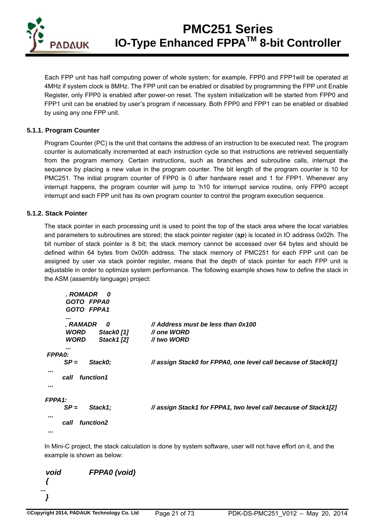

Each FPP unit has half computing power of whole system; for example, FPP0 and FPP1will be operated at 4MHz if system clock is 8MHz. The FPP unit can be enabled or disabled by programming the FPP unit Enable Register, only FPP0 is enabled after power-on reset. The system initialization will be started from FPP0 and FPP1 unit can be enabled by user's program if necessary. Both FPP0 and FPP1 can be enabled or disabled by using any one FPP unit.

#### **5.1.1. Program Counter**

Program Counter (PC) is the unit that contains the address of an instruction to be executed next. The program counter is automatically incremented at each instruction cycle so that instructions are retrieved sequentially from the program memory. Certain instructions, such as branches and subroutine calls, interrupt the sequence by placing a new value in the program counter. The bit length of the program counter is 10 for PMC251. The initial program counter of FPP0 is 0 after hardware reset and 1 for FPP1. Whenever any interrupt happens, the program counter will jump to 'h10 for interrupt service routine, only FPP0 accept interrupt and each FPP unit has its own program counter to control the program execution sequence.

#### **5.1.2. Stack Pointer**

The stack pointer in each processing unit is used to point the top of the stack area where the local variables and parameters to subroutines are stored; the stack pointer register (*sp*) is located in IO address 0x02h. The bit number of stack pointer is 8 bit; the stack memory cannot be accessed over 64 bytes and should be defined within 64 bytes from 0x00h address. The stack memory of PMC251 for each FPP unit can be assigned by user via stack pointer register, means that the depth of stack pointer for each FPP unit is adjustable in order to optimize system performance. The following example shows how to define the stack in the ASM (assembly language) project:

```
 . ROMADR 0 
           GOTO FPPA0 
           GOTO FPPA1 
     ... 
          ﹒RAMADR 0 // Address must be less than 0x100 
           WORD Stack0 [1] // one WORD 
           WORD Stack1 [2] // two WORD 
     ... 
     FPPA0: 
         SP = Stack0; // assign Stack0 for FPPA0, one level call because of Stack0[1] 
 ... 
          call function1 
      ... 
    FPPA1: 
         SP = Stack1; // assign Stack1 for FPPA1, two level call because of Stack1[2] 
 ... 
          call function2 
 ...
```
In Mini-C project, the stack calculation is done by system software, user will not have effort on it, and the example is shown as below:

```
void FPPA0 (void) 
    { 
 ... 
    }
```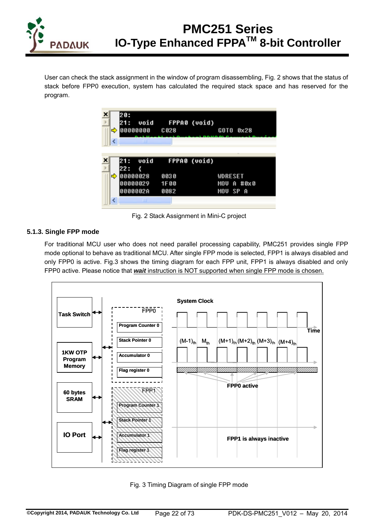

User can check the stack assignment in the window of program disassembling, Fig. 2 shows that the status of stack before FPP0 execution, system has calculated the required stack space and has reserved for the program.

| ⇨ | 20:<br>21 :                 | 00000000 C028 | void FPPA0 (void)    | GOTO 0x28                  |            |
|---|-----------------------------|---------------|----------------------|----------------------------|------------|
|   | 21:                         | LШ            | void FPPA0 (void)    |                            |            |
| ⇨ | 22:<br>00000028<br>0000002A | 00000029      | 8838<br>1F00<br>0082 | <b>WDRESET</b><br>MOU SP A | MOU A #8x8 |
|   |                             |               |                      |                            |            |

Fig. 2 Stack Assignment in Mini-C project

#### **5.1.3. Single FPP mode**

For traditional MCU user who does not need parallel processing capability, PMC251 provides single FPP mode optional to behave as traditional MCU. After single FPP mode is selected, FPP1 is always disabled and only FPP0 is active. Fig.3 shows the timing diagram for each FPP unit, FPP1 is always disabled and only FPP0 active. Please notice that *wait* instruction is NOT supported when single FPP mode is chosen.



Fig. 3 Timing Diagram of single FPP mode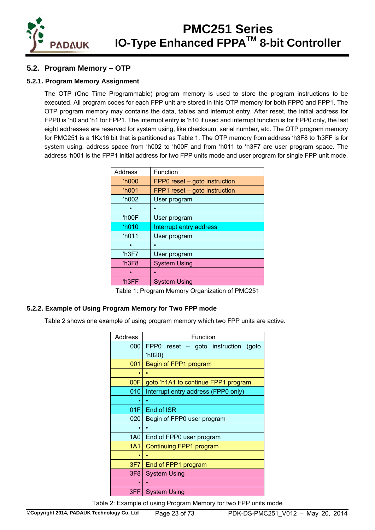

### **5.2. Program Memory – OTP**

#### **5.2.1. Program Memory Assignment**

The OTP (One Time Programmable) program memory is used to store the program instructions to be executed. All program codes for each FPP unit are stored in this OTP memory for both FPP0 and FPP1. The OTP program memory may contains the data, tables and interrupt entry. After reset, the initial address for FPP0 is 'h0 and 'h1 for FPP1. The interrupt entry is 'h10 if used and interrupt function is for FPP0 only, the last eight addresses are reserved for system using, like checksum, serial number, etc. The OTP program memory for PMC251 is a 1Kx16 bit that is partitioned as Table 1. The OTP memory from address 'h3F8 to 'h3FF is for system using, address space from 'h002 to 'h00F and from 'h011 to 'h3F7 are user program space. The address 'h001 is the FPP1 initial address for two FPP units mode and user program for single FPP unit mode.

| Address        | Function                      |
|----------------|-------------------------------|
| <b>'h000</b>   | FPP0 reset – goto instruction |
| 'h001          | FPP1 reset - goto instruction |
| <b>'h002</b>   | User program                  |
|                |                               |
| 'h00F          | User program                  |
| $^{\circ}h010$ | Interrupt entry address       |
| <b>'h011</b>   | User program                  |
|                |                               |
| 'h3F7          | User program                  |
| h3F8           | <b>System Using</b>           |
|                |                               |
| 'h3FF          | <b>System Using</b>           |
|                |                               |

Table 1: Program Memory Organization of PMC251

#### **5.2.2. Example of Using Program Memory for Two FPP mode**

Table 2 shows one example of using program memory which two FPP units are active.

| Address         | Function                               |  |  |  |  |  |
|-----------------|----------------------------------------|--|--|--|--|--|
| 000             | FPP0 reset – goto instruction<br>(goto |  |  |  |  |  |
|                 | (h020)                                 |  |  |  |  |  |
| 001             | Begin of FPP1 program                  |  |  |  |  |  |
|                 |                                        |  |  |  |  |  |
| 00F             | goto 'h1A1 to continue FPP1 program    |  |  |  |  |  |
| 010             | Interrupt entry address (FPP0 only)    |  |  |  |  |  |
|                 |                                        |  |  |  |  |  |
| 01F             | End of ISR                             |  |  |  |  |  |
| 020             | Begin of FPP0 user program             |  |  |  |  |  |
|                 |                                        |  |  |  |  |  |
| 1A0             | End of FPP0 user program               |  |  |  |  |  |
| 1A1             | Continuing FPP1 program                |  |  |  |  |  |
|                 |                                        |  |  |  |  |  |
| 3F7             | End of FPP1 program                    |  |  |  |  |  |
| 3F <sub>8</sub> | <b>System Using</b>                    |  |  |  |  |  |
|                 |                                        |  |  |  |  |  |
| 3FF.            | <b>System Using</b>                    |  |  |  |  |  |

Table 2: Example of using Program Memory for two FPP units mode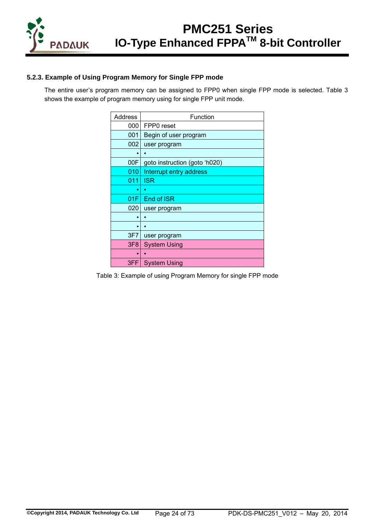

#### **5.2.3. Example of Using Program Memory for Single FPP mode**

The entire user's program memory can be assigned to FPP0 when single FPP mode is selected. Table 3 shows the example of program memory using for single FPP unit mode.

| <b>Address</b>  | Function                      |
|-----------------|-------------------------------|
| 000             | FPP0 reset                    |
| 001             | Begin of user program         |
| 002             | user program                  |
|                 |                               |
| 00F             | goto instruction (goto 'h020) |
| 010             | Interrupt entry address       |
| 011             | <b>ISR</b>                    |
|                 |                               |
| 01F             | End of ISR                    |
| 020             | user program                  |
|                 |                               |
|                 |                               |
| 3F7             | user program                  |
| 3F <sub>8</sub> | <b>System Using</b>           |
|                 |                               |
| 3FF             | <b>System Using</b>           |

Table 3: Example of using Program Memory for single FPP mode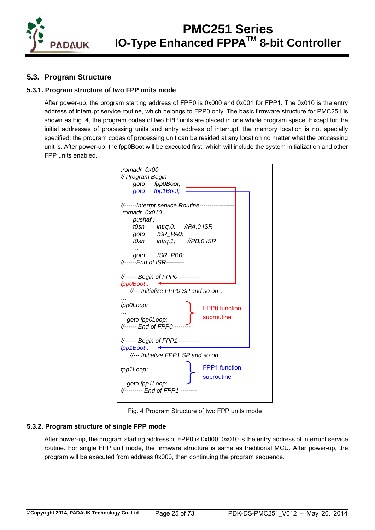

### **5.3. Program Structure**

#### **5.3.1. Program structure of two FPP units mode**

After power-up, the program starting address of FPP0 is 0x000 and 0x001 for FPP1. The 0x010 is the entry address of interrupt service routine, which belongs to FPP0 only. The basic firmware structure for PMC251 is shown as Fig. 4, the program codes of two FPP units are placed in one whole program space. Except for the initial addresses of processing units and entry address of interrupt, the memory location is not specially specified; the program codes of processing unit can be resided at any location no matter what the processing unit is. After power-up, the fpp0Boot will be executed first, which will include the system initialization and other FPP units enabled.

| romadr 0x00.                             |
|------------------------------------------|
| // Program Begin                         |
| goto fpp0Boot;                           |
| goto fpp1Boot;                           |
|                                          |
| //------Interrpt service Routine-------- |
| romadr 0x010                             |
| pushaf;                                  |
| t0sn intrq.0; //PA.0 ISR                 |
| goto ISR_PA0;                            |
| t0sn intrq.1; //PB.0 ISR                 |
| goto ISR_PB0;                            |
| //------End of ISR---------              |
|                                          |
| //------ Begin of FPP0 ----------        |
| fpp0Boot:                                |
| //--- Initialize FPP0 SP and so on       |
|                                          |
| fpp0Loop:<br><b>FPP0</b> function        |
|                                          |
| subroutine<br>goto fpp0Loop:             |
| //------ End of FPP0 ----                |
|                                          |
| //------ Begin of FPP1 ----------        |
| fpp1Boot:                                |
| //--- Initialize FPP1 SP and so on       |
| <b>FPP1</b> function                     |
| fpp1Loop:                                |
| subroutine                               |
| goto fpp1Loop:                           |
| //--------- End of FPP1 --               |
|                                          |

Fig. 4 Program Structure of two FPP units mode

#### **5.3.2. Program structure of single FPP mode**

After power-up, the program starting address of FPP0 is 0x000, 0x010 is the entry address of interrupt service routine. For single FPP unit mode, the firmware structure is same as traditional MCU. After power-up, the program will be executed from address 0x000, then continuing the program sequence.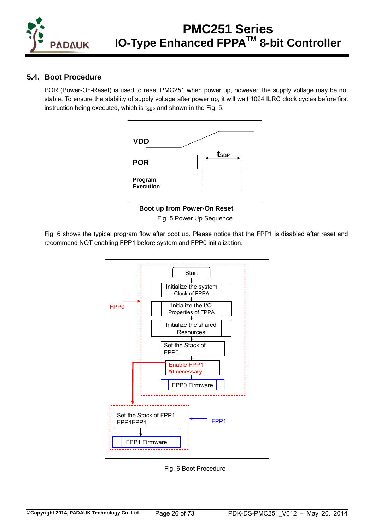

### **5.4. Boot Procedure**

POR (Power-On-Reset) is used to reset PMC251 when power up, however, the supply voltage may be not stable. To ensure the stability of supply voltage after power up, it will wait 1024 ILRC clock cycles before first instruction being executed, which is  $t_{SBP}$  and shown in the Fig. 5.



**Boot up from Power-On Reset** Fig. 5 Power Up Sequence

Fig. 6 shows the typical program flow after boot up. Please notice that the FPP1 is disabled after reset and recommend NOT enabling FPP1 before system and FPP0 initialization.



Fig. 6 Boot Procedure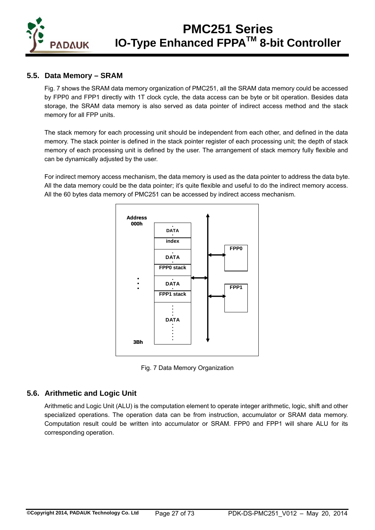

### **5.5. Data Memory – SRAM**

Fig. 7 shows the SRAM data memory organization of PMC251, all the SRAM data memory could be accessed by FPP0 and FPP1 directly with 1T clock cycle, the data access can be byte or bit operation. Besides data storage, the SRAM data memory is also served as data pointer of indirect access method and the stack memory for all FPP units.

The stack memory for each processing unit should be independent from each other, and defined in the data memory. The stack pointer is defined in the stack pointer register of each processing unit; the depth of stack memory of each processing unit is defined by the user. The arrangement of stack memory fully flexible and can be dynamically adjusted by the user.

For indirect memory access mechanism, the data memory is used as the data pointer to address the data byte. All the data memory could be the data pointer; it's quite flexible and useful to do the indirect memory access. All the 60 bytes data memory of PMC251 can be accessed by indirect access mechanism.



Fig. 7 Data Memory Organization

#### **5.6. Arithmetic and Logic Unit**

Arithmetic and Logic Unit (ALU) is the computation element to operate integer arithmetic, logic, shift and other specialized operations. The operation data can be from instruction, accumulator or SRAM data memory. Computation result could be written into accumulator or SRAM. FPP0 and FPP1 will share ALU for its corresponding operation.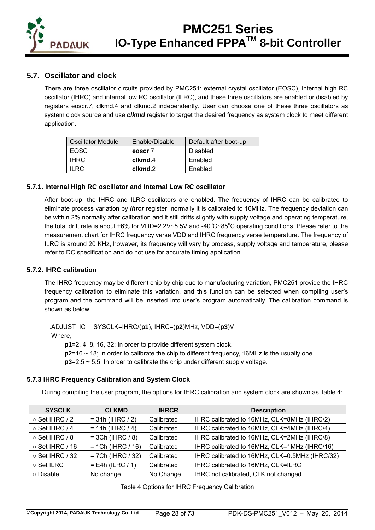

### **5.7. Oscillator and clock**

There are three oscillator circuits provided by PMC251: external crystal oscillator (EOSC), internal high RC oscillator (IHRC) and internal low RC oscillator (ILRC), and these three oscillators are enabled or disabled by registers eoscr.7, clkmd.4 and clkmd.2 independently. User can choose one of these three oscillators as system clock source and use *clkmd* register to target the desired frequency as system clock to meet different application.

| Oscillator Module | Enable/Disable | Default after boot-up |
|-------------------|----------------|-----------------------|
| <b>EOSC</b>       | eoscr.7        | Disabled              |
| <b>IHRC</b>       | clkmd.4        | Enabled               |
| II RC             | clkmd.2        | Enabled               |

#### **5.7.1. Internal High RC oscillator and Internal Low RC oscillator**

After boot-up, the IHRC and ILRC oscillators are enabled. The frequency of IHRC can be calibrated to eliminate process variation by *ihrcr* register; normally it is calibrated to 16MHz. The frequency deviation can be within 2% normally after calibration and it still drifts slightly with supply voltage and operating temperature, the total drift rate is about  $\pm 6\%$  for VDD=2.2V~5.5V and -40°C~85°C operating conditions. Please refer to the measurement chart for IHRC frequency verse VDD and IHRC frequency verse temperature. The frequency of ILRC is around 20 KHz, however, its frequency will vary by process, supply voltage and temperature, please refer to DC specification and do not use for accurate timing application.

#### **5.7.2. IHRC calibration**

The IHRC frequency may be different chip by chip due to manufacturing variation, PMC251 provide the IHRC frequency calibration to eliminate this variation, and this function can be selected when compiling user's program and the command will be inserted into user's program automatically. The calibration command is shown as below:

.ADJUST\_IC SYSCLK=IHRC/(**p1**), IHRC=(**p2**)MHz, VDD=(**p3**)V

Where,

**p1**=2, 4, 8, 16, 32; In order to provide different system clock.

**p2**=16 ~ 18; In order to calibrate the chip to different frequency, 16MHz is the usually one.

**p3**=2.5 ~ 5.5; In order to calibrate the chip under different supply voltage.

#### **5.7.3 IHRC Frequency Calibration and System Clock**

During compiling the user program, the options for IHRC calibration and system clock are shown as Table 4:

| <b>SYSCLK</b>         | <b>CLKMD</b>        | <b>IHRCR</b> | <b>Description</b>                             |
|-----------------------|---------------------|--------------|------------------------------------------------|
| $\circ$ Set IHRC / 2  | $= 34h (IHRC / 2)$  | Calibrated   | IHRC calibrated to 16MHz, CLK=8MHz (IHRC/2)    |
| ○ Set IHRC / 4        | $= 14h (IHRC / 4)$  | Calibrated   | IHRC calibrated to 16MHz, CLK=4MHz (IHRC/4)    |
| ○ Set IHRC / 8        | $=$ 3Ch (IHRC / 8)  | Calibrated   | IHRC calibrated to 16MHz, CLK=2MHz (IHRC/8)    |
| $\circ$ Set IHRC / 16 | $= 1Ch (IHRC / 16)$ | Calibrated   | IHRC calibrated to 16MHz, CLK=1MHz (IHRC/16)   |
| ○ Set IHRC / 32       | $= 7Ch (IHRC / 32)$ | Calibrated   | IHRC calibrated to 16MHz, CLK=0.5MHz (IHRC/32) |
| ○ Set ILRC            | $=$ E4h (ILRC / 1)  | Calibrated   | IHRC calibrated to 16MHz, CLK=ILRC             |
| ○ Disable             | No change           | No Change    | IHRC not calibrated, CLK not changed           |

|  |  | Table 4 Options for IHRC Frequency Calibration |  |
|--|--|------------------------------------------------|--|
|--|--|------------------------------------------------|--|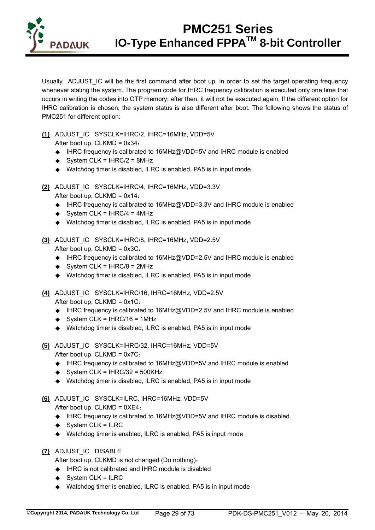

Usually, .ADJUST IC will be the first command after boot up, in order to set the target operating frequency whenever stating the system. The program code for IHRC frequency calibration is executed only one time that occurs in writing the codes into OTP memory; after then, it will not be executed again. If the different option for IHRC calibration is chosen, the system status is also different after boot. The following shows the status of PMC251 for different option:

**(1)** .ADJUST\_IC SYSCLK=IHRC/2, IHRC=16MHz, VDD=5V

After boot up,  $CLKMD = 0x34$ :

- ◆ IHRC frequency is calibrated to 16MHz@VDD=5V and IHRC module is enabled
- $\triangleleft$  System CLK = IHRC/2 = 8MHz
- ◆ Watchdog timer is disabled, ILRC is enabled, PA5 is in input mode
- **(2)** .ADJUST\_IC SYSCLK=IHRC/4, IHRC=16MHz, VDD=3.3V

After boot up,  $CLKMD = 0x14$ :

- ◆ IHRC frequency is calibrated to 16MHz@VDD=3.3V and IHRC module is enabled
- $\triangleleft$  System CLK = IHRC/4 = 4MHz
- ◆ Watchdog timer is disabled, ILRC is enabled, PA5 is in input mode
- **(3)** .ADJUST\_IC SYSCLK=IHRC/8, IHRC=16MHz, VDD=2.5V

After boot up,  $CLKMD = 0x3C$ :

- ◆ IHRC frequency is calibrated to 16MHz@VDD=2.5V and IHRC module is enabled
- $\triangleleft$  System CLK = IHRC/8 = 2MHz
- ◆ Watchdog timer is disabled, ILRC is enabled, PA5 is in input mode

**(4)** .ADJUST\_IC SYSCLK=IHRC/16, IHRC=16MHz, VDD=2.5V After boot up,  $CLKMD = 0x1C$ :

- ◆ IHRC frequency is calibrated to 16MHz@VDD=2.5V and IHRC module is enabled
- $\triangleleft$  System CLK = IHRC/16 = 1MHz
- ◆ Watchdog timer is disabled, ILRC is enabled, PA5 is in input mode
- **(5)** .ADJUST\_IC SYSCLK=IHRC/32, IHRC=16MHz, VDD=5V After boot up, CLKMD = 0x7C:
	- ◆ IHRC frequency is calibrated to 16MHz@VDD=5V and IHRC module is enabled
	- $\triangleleft$  System CLK = IHRC/32 = 500KHz
	- ◆ Watchdog timer is disabled, ILRC is enabled, PA5 is in input mode

**(6)** .ADJUST\_IC SYSCLK=ILRC, IHRC=16MHz, VDD=5V

After boot up, CLKMD = 0XE4:

- ◆ IHRC frequency is calibrated to 16MHz@VDD=5V and IHRC module is disabled
- $\triangleleft$  System CLK = ILRC
- ◆ Watchdog timer is enabled, ILRC is enabled, PA5 is input mode
- **(7)** .ADJUST\_IC DISABLE

After boot up, CLKMD is not changed (Do nothing):

- IHRC is not calibrated and IHRC module is disabled
- $\triangleleft$  System CLK = ILRC
- ◆ Watchdog timer is enabled, ILRC is enabled, PA5 is in input mode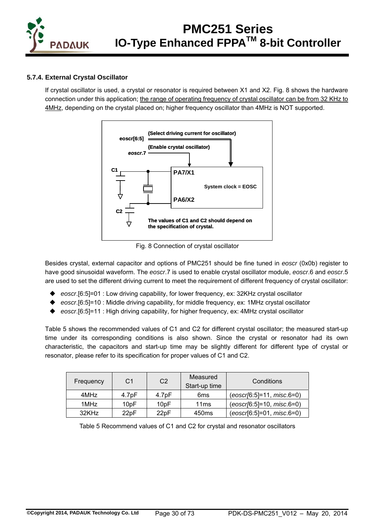

#### **5.7.4. External Crystal Oscillator**

If crystal oscillator is used, a crystal or resonator is required between X1 and X2. Fig. 8 shows the hardware connection under this application; the range of operating frequency of crystal oscillator can be from 32 KHz to 4MHz, depending on the crystal placed on; higher frequency oscillator than 4MHz is NOT supported.



Fig. 8 Connection of crystal oscillator

Besides crystal, external capacitor and options of PMC251 should be fine tuned in *eoscr* (0x0b) register to have good sinusoidal waveform. The *eoscr*.7 is used to enable crystal oscillator module, *eoscr*.6 and *eoscr*.5 are used to set the different driving current to meet the requirement of different frequency of crystal oscillator:

- ◆ eoscr.[6:5]=01 : Low driving capability, for lower frequency, ex: 32KHz crystal oscillator
- *eoscr*.[6:5]=10 : Middle driving capability, for middle frequency, ex: 1MHz crystal oscillator
- *eoscr*.[6:5]=11 : High driving capability, for higher frequency, ex: 4MHz crystal oscillator

Table 5 shows the recommended values of C1 and C2 for different crystal oscillator; the measured start-up time under its corresponding conditions is also shown. Since the crystal or resonator had its own characteristic, the capacitors and start-up time may be slightly different for different type of crystal or resonator, please refer to its specification for proper values of C1 and C2.

| Frequency | C1                 | C <sub>2</sub>     | Measured<br>Start-up time | Conditions                |
|-----------|--------------------|--------------------|---------------------------|---------------------------|
| 4MHz      | 4.7 <sub>D</sub> F | 4.7 <sub>D</sub> F | 6ms                       | (eoscr[6:5]=11, misc.6=0) |
| 1MHz      | 10 <sub>p</sub> F  | 10 <sub>p</sub> F  | 11ms                      | (eoscr[6:5]=10, misc.6=0) |
| 32KHz     | 22 <sub>D</sub> F  | 22pF               | 450 <sub>ms</sub>         | (eoscr[6:5]=01, misc.6=0) |

Table 5 Recommend values of C1 and C2 for crystal and resonator oscillators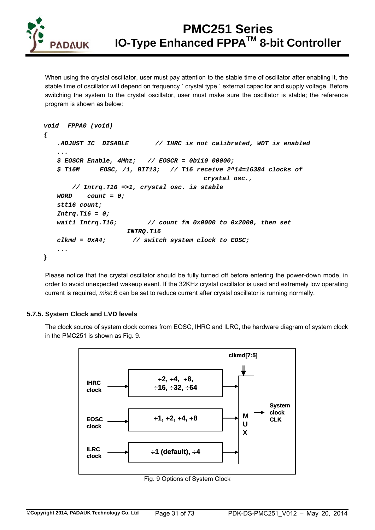

When using the crystal oscillator, user must pay attention to the stable time of oscillator after enabling it, the stable time of oscillator will depend on frequency ` crystal type ` external capacitor and supply voltage. Before switching the system to the crystal oscillator, user must make sure the oscillator is stable; the reference program is shown as below:

```
void FPPA0 (void) 
{ 
    .ADJUST IC DISABLE // IHRC is not calibrated, WDT is enabled 
    ... 
    $ EOSCR Enable, 4Mhz; // EOSCR = 0b110_00000; 
    $ T16M EOSC, /1, BIT13; // T16 receive 2^14=16384 clocks of 
                                          crystal osc., 
       // Intrq.T16 =>1, crystal osc. is stable 
    WORD count = 0; 
    stt16 count; 
    Intrq.T16 = 0; 
    wait1 Intrq.T16; // count fm 0x0000 to 0x2000, then set 
                      INTRQ.T16 
    clkmd = 0xA4; // switch system clock to EOSC; 
    ... 
}
```
Please notice that the crystal oscillator should be fully turned off before entering the power-down mode, in order to avoid unexpected wakeup event. If the 32KHz crystal oscillator is used and extremely low operating current is required, *misc*.6 can be set to reduce current after crystal oscillator is running normally.

#### **5.7.5. System Clock and LVD levels**

The clock source of system clock comes from EOSC, IHRC and ILRC, the hardware diagram of system clock in the PMC251 is shown as Fig. 9.



Fig. 9 Options of System Clock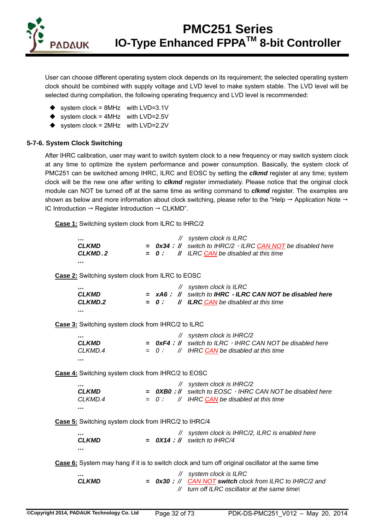

User can choose different operating system clock depends on its requirement; the selected operating system clock should be combined with supply voltage and LVD level to make system stable. The LVD level will be selected during compilation, the following operating frequency and LVD level is recommended:

- $\bullet$  system clock = 8MHz with LVD=3.1V
- $\bullet$  system clock = 4MHz with LVD=2.5V
- $\bullet$  system clock = 2MHz with LVD=2.2V

#### **5-7-6. System Clock Switching**

After IHRC calibration, user may want to switch system clock to a new frequency or may switch system clock at any time to optimize the system performance and power consumption. Basically, the system clock of PMC251 can be switched among IHRC, ILRC and EOSC by setting the *clkmd* register at any time; system clock will be the new one after writing to *clkmd* register immediately. Please notice that the original clock module can NOT be turned off at the same time as writing command to *clkmd* register. The examples are shown as below and more information about clock switching, please refer to the "Help  $\rightarrow$  Application Note  $\rightarrow$ IC Introduction  $\rightarrow$  Register Introduction  $\rightarrow$  CLKMD".

**Case 1:** Switching system clock from ILRC to IHRC/2

|         | $\mathcal N$ system clock is ILRC                                    |
|---------|----------------------------------------------------------------------|
| CLKMD   | $=$ 0x34 ; // switch to IHRC/2 $\cdot$ ILRC CAN NOT be disabled here |
| CLKMD.2 | $= 0$ ; // ILRC CAN be disabled at this time                         |
|         |                                                                      |

**Case 2:** Switching system clock from ILRC to EOSC

|              |  | $\mathcal{U}$ system clock is ILRC                          |
|--------------|--|-------------------------------------------------------------|
| <b>CLKMD</b> |  | $=$ xA6; $\#$ switch to IHRC, ILRC CAN NOT be disabled here |
| CLKMD.2      |  | $= 0$ ; // <b>ILRC CAN</b> be disabled at this time         |
| .            |  |                                                             |

**Case 3:** Switching system clock from IHRC/2 to ILRC

|              | // system clock is IHRC/2                                          |
|--------------|--------------------------------------------------------------------|
| <b>CLKMD</b> | $=$ 0xF4 ; // switch to ILRC $\cdot$ IHRC CAN NOT be disabled here |
| CLKMD.4      | $= 0$ ; // IHRC CAN be disabled at this time                       |
|              |                                                                    |

**Case 4:** Switching system clock from IHRC/2 to EOSC

|              |  | $\mathcal{U}$ system clock is IHRC/2                               |
|--------------|--|--------------------------------------------------------------------|
| <b>CLKMD</b> |  | $=$ OXB0 ; // switch to EOSC $\cdot$ IHRC CAN NOT be disabled here |
| CLKMD.4      |  | $= 0$ ; // IHRC CAN be disabled at this time                       |
|              |  |                                                                    |

**Case 5:** Switching system clock from IHRC/2 to IHRC/4

| <br>CLKMD |  | // system clock is IHRC/2, ILRC is enabled here<br>$=$ 0X14 ; // switch to IHRC/4 |
|-----------|--|-----------------------------------------------------------------------------------|
|           |  |                                                                                   |

**Case 6:** System may hang if it is to switch clock and turn off original oscillator at the same time

*… // system clock is ILRC CLKMD = 0x30*; *// CAN NOT switch clock from ILRC to IHRC/2 and // turn off ILRC oscillator at the same time\*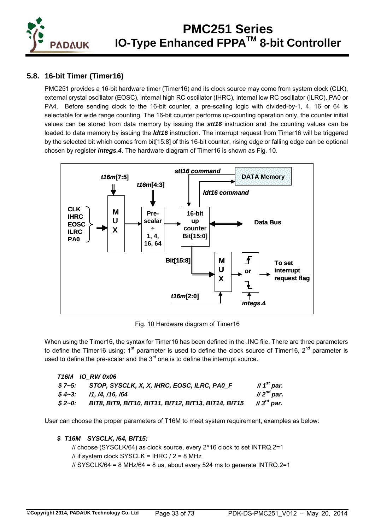

### **5.8. 16-bit Timer (Timer16)**

PMC251 provides a 16-bit hardware timer (Timer16) and its clock source may come from system clock (CLK), external crystal oscillator (EOSC), internal high RC oscillator (IHRC), internal low RC oscillator (ILRC), PA0 or PA4. Before sending clock to the 16-bit counter, a pre-scaling logic with divided-by-1, 4, 16 or 64 is selectable for wide range counting. The 16-bit counter performs up-counting operation only, the counter initial values can be stored from data memory by issuing the *stt16* instruction and the counting values can be loaded to data memory by issuing the *ldt16* instruction. The interrupt request from Timer16 will be triggered by the selected bit which comes from bit[15:8] of this 16-bit counter, rising edge or falling edge can be optional chosen by register *integs.4*. The hardware diagram of Timer16 is shown as Fig. 10.



Fig. 10 Hardware diagram of Timer16

When using the Timer16, the syntax for Timer16 has been defined in the .INC file. There are three parameters to define the Timer16 using;  $1<sup>st</sup>$  parameter is used to define the clock source of Timer16,  $2<sup>nd</sup>$  parameter is used to define the pre-scalar and the  $3<sup>rd</sup>$  one is to define the interrupt source.

| <b>T16M IO RW 0x06</b> |                                                      |                          |
|------------------------|------------------------------------------------------|--------------------------|
|                        | \$7~5: STOP, SYSCLK, X, X, IHRC, EOSC, ILRC, PAO_F   | // $1st$ par.            |
|                        | $$4~3$ : $/1. /4. /16. /64$                          | $\mathcal{U}2^{nd}$ par. |
| $$2 - 0:$              | BIT8, BIT9, BIT10, BIT11, BIT12, BIT13, BIT14, BIT15 | // $3^{rd}$ par.         |

User can choose the proper parameters of T16M to meet system requirement, examples as below:

#### *\$ T16M SYSCLK, /64, BIT15;*

// choose (SYSCLK/64) as clock source, every 2^16 clock to set INTRQ.2=1 // if system clock SYSCLK =  $IHRC / 2 = 8 MHz$  $\frac{1}{10}$  SYSCLK/64 = 8 MHz/64 = 8 us, about every 524 ms to generate INTRQ.2=1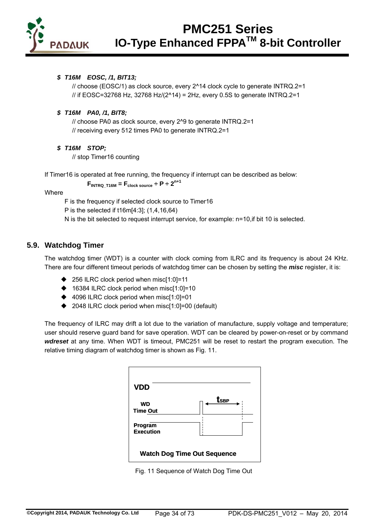

#### *\$ T16M EOSC, /1, BIT13;*

// choose (EOSC/1) as clock source, every 2^14 clock cycle to generate INTRQ.2=1 // if EOSC=32768 Hz, 32768 Hz/(2^14) = 2Hz, every 0.5S to generate INTRQ.2=1

#### *\$ T16M PA0, /1, BIT8;*

// choose PA0 as clock source, every 2^9 to generate INTRQ.2=1 // receiving every 512 times PA0 to generate INTRQ.2=1

#### *\$ T16M STOP;*

// stop Timer16 counting

If Timer16 is operated at free running, the frequency if interrupt can be described as below:

### $F_{INTRQ\_T16M} = F_{clock\ source} \div P \div 2^{n+1}$

#### **Where**

F is the frequency if selected clock source to Timer16

P is the selected if t16m[4:3]; (1,4,16,64)

N is the bit selected to request interrupt service, for example: n=10,if bit 10 is selected.

#### **5.9. Watchdog Timer**

The watchdog timer (WDT) is a counter with clock coming from ILRC and its frequency is about 24 KHz. There are four different timeout periods of watchdog timer can be chosen by setting the *misc* register, it is:

- ◆ 256 ILRC clock period when misc[1:0]=11
- ◆ 16384 ILRC clock period when misc[1:0]=10
- ◆ 4096 ILRC clock period when misc[1:0]=01
- ◆ 2048 ILRC clock period when misc[1:0]=00 (default)

The frequency of ILRC may drift a lot due to the variation of manufacture, supply voltage and temperature; user should reserve guard band for save operation. WDT can be cleared by power-on-reset or by command *wdreset* at any time. When WDT is timeout, PMC251 will be reset to restart the program execution. The relative timing diagram of watchdog timer is shown as Fig. 11.

| <b>VDD</b>                         |                  |  |
|------------------------------------|------------------|--|
| <b>WD</b><br><b>Time Out</b>       | t <sub>sBP</sub> |  |
| Program<br><b>Execution</b>        |                  |  |
| <b>Watch Dog Time Out Sequence</b> |                  |  |

Fig. 11 Sequence of Watch Dog Time Out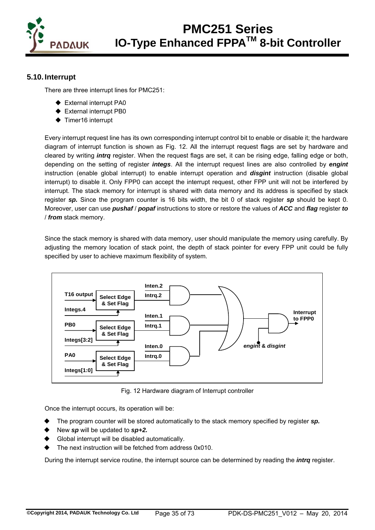

### **5.10. Interrupt**

There are three interrupt lines for PMC251:

- ◆ External interrupt PA0
- **External interrupt PB0**
- ◆ Timer16 interrupt

Every interrupt request line has its own corresponding interrupt control bit to enable or disable it; the hardware diagram of interrupt function is shown as Fig. 12. All the interrupt request flags are set by hardware and cleared by writing *intrq* register. When the request flags are set, it can be rising edge, falling edge or both, depending on the setting of register *integs*. All the interrupt request lines are also controlled by *engint* instruction (enable global interrupt) to enable interrupt operation and *disgint* instruction (disable global interrupt) to disable it. Only FPP0 can accept the interrupt request, other FPP unit will not be interfered by interrupt. The stack memory for interrupt is shared with data memory and its address is specified by stack register *sp.* Since the program counter is 16 bits width, the bit 0 of stack register *sp* should be kept 0. Moreover, user can use *pushaf* / *popaf* instructions to store or restore the values of *ACC* and *flag* register *to* / *from* stack memory.

Since the stack memory is shared with data memory, user should manipulate the memory using carefully. By adjusting the memory location of stack point, the depth of stack pointer for every FPP unit could be fully specified by user to achieve maximum flexibility of system.



Fig. 12 Hardware diagram of Interrupt controller

Once the interrupt occurs, its operation will be:

- The program counter will be stored automatically to the stack memory specified by register *sp.*
- New *sp* will be updated to *sp+2.*
- Global interrupt will be disabled automatically.
- The next instruction will be fetched from address 0x010.

During the interrupt service routine, the interrupt source can be determined by reading the *intrq* register.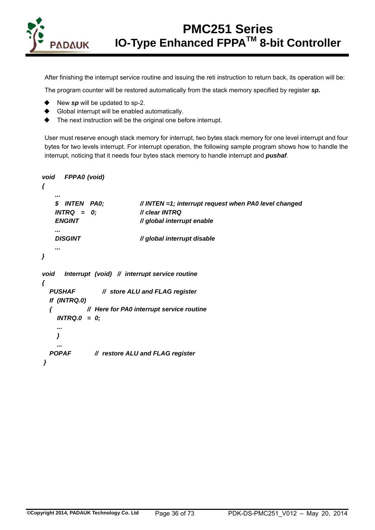

After finishing the interrupt service routine and issuing the reti instruction to return back, its operation will be:

The program counter will be restored automatically from the stack memory specified by register *sp.*

- New *sp* will be updated to sp-2.
- Global interrupt will be enabled automatically.
- $\blacklozenge$  The next instruction will be the original one before interrupt.

User must reserve enough stack memory for interrupt, two bytes stack memory for one level interrupt and four bytes for two levels interrupt. For interrupt operation, the following sample program shows how to handle the interrupt, noticing that it needs four bytes stack memory to handle interrupt and *pushaf*.

```
void FPPA0 (void) 
    { 
 ... 
        $ INTEN PA0; // INTEN =1; interrupt request when PA0 level changed 
        INTRQ = 0; // clear INTRQ 
        ENGINT // global interrupt enable 
        ... 
        DISGINT // global interrupt disable 
 ... 
   } 
    void Interrupt (void) // interrupt service routine 
    { 
       PUSHAF // store ALU and FLAG register 
       If (INTRQ.0) 
       { // Here for PA0 interrupt service routine 
         INTRQ.0 = 0; 
         ... 
        } 
        ... 
       POPAF // restore ALU and FLAG register 
     }
```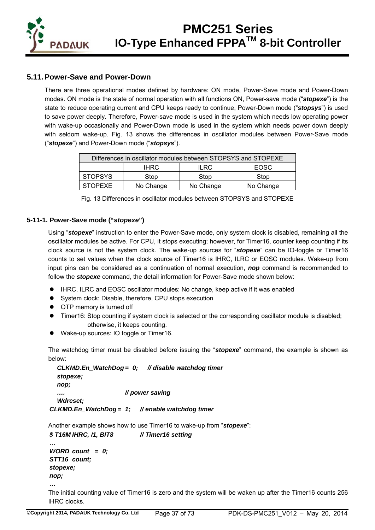

## **5.11. Power-Save and Power-Down**

There are three operational modes defined by hardware: ON mode, Power-Save mode and Power-Down modes. ON mode is the state of normal operation with all functions ON, Power-save mode ("*stopexe*") is the state to reduce operating current and CPU keeps ready to continue, Power-Down mode ("*stopsys*") is used to save power deeply. Therefore, Power-save mode is used in the system which needs low operating power with wake-up occasionally and Power-Down mode is used in the system which needs power down deeply with seldom wake-up. Fig. 13 shows the differences in oscillator modules between Power-Save mode ("*stopexe*") and Power-Down mode ("*stopsys*").

| Differences in oscillator modules between STOPSYS and STOPEXE |           |           |             |
|---------------------------------------------------------------|-----------|-----------|-------------|
|                                                               | IHRC.     | ILRC.     | <b>EOSC</b> |
| <b>STOPSYS</b>                                                | Stop      | Stop      | Stop        |
| <b>STOPEXE</b>                                                | No Change | No Change | No Change   |

| Fig. 13 Differences in oscillator modules between STOPSYS and STOPEXE |  |
|-----------------------------------------------------------------------|--|
|-----------------------------------------------------------------------|--|

### **5-11-1. Power-Save mode ("***stopexe***")**

Using "*stopexe*" instruction to enter the Power-Save mode, only system clock is disabled, remaining all the oscillator modules be active. For CPU, it stops executing; however, for Timer16, counter keep counting if its clock source is not the system clock. The wake-up sources for "*stopexe*" can be IO-toggle or Timer16 counts to set values when the clock source of Timer16 is IHRC, ILRC or EOSC modules. Wake-up from input pins can be considered as a continuation of normal execution, *nop* command is recommended to follow the *stopexe* command, the detail information for Power-Save mode shown below:

- IHRC, ILRC and EOSC oscillator modules: No change, keep active if it was enabled
- System clock: Disable, therefore, CPU stops execution
- **•** OTP memory is turned off
- Timer16: Stop counting if system clock is selected or the corresponding oscillator module is disabled; otherwise, it keeps counting.
- Wake-up sources: IO toggle or Timer16.

The watchdog timer must be disabled before issuing the "*stopexe*" command, the example is shown as below:

```
 CLKMD.En_WatchDog = 0; // disable watchdog timer 
   stopexe; 
   nop; 
                         …. // power saving 
   Wdreset; 
 CLKMD.En_WatchDog = 1; // enable watchdog timer
```
Another example shows how to use Timer16 to wake-up from "*stopexe*":

```
 $ T16M IHRC, /1, BIT8 // Timer16 setting 
 …
```

```
 WORD count = 0; 
 STT16 count; 
 stopexe; 
 nop;
```
 *…* 

The initial counting value of Timer16 is zero and the system will be waken up after the Timer16 counts 256 IHRC clocks.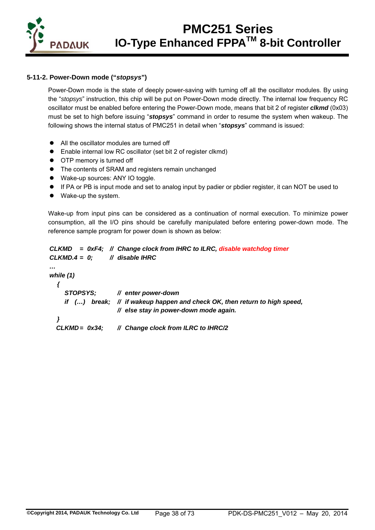

## **5-11-2. Power-Down mode ("***stopsys***")**

Power-Down mode is the state of deeply power-saving with turning off all the oscillator modules. By using the "*stopsys*" instruction, this chip will be put on Power-Down mode directly. The internal low frequency RC oscillator must be enabled before entering the Power-Down mode, means that bit 2 of register *clkmd* (0x03) must be set to high before issuing "*stopsys*" command in order to resume the system when wakeup. The following shows the internal status of PMC251 in detail when "*stopsys*" command is issued:

- All the oscillator modules are turned off
- Enable internal low RC oscillator (set bit 2 of register clkmd)
- OTP memory is turned off
- The contents of SRAM and registers remain unchanged
- Wake-up sources: ANY IO toggle.
- If PA or PB is input mode and set to analog input by padier or pbdier register, it can NOT be used to
- Wake-up the system.

Wake-up from input pins can be considered as a continuation of normal execution. To minimize power consumption, all the I/O pins should be carefully manipulated before entering power-down mode. The reference sample program for power down is shown as below:

```
 CLKMD = 0xF4; // Change clock from IHRC to ILRC, disable watchdog timer
 CLKMD.4 = 0; // disable IHRC
```

```
 …
```

```
 while (1)
```

```
{ 
   STOPSYS; // enter power-down 
   if (…) break; // if wakeup happen and check OK, then return to high speed, 
                  // else stay in power-down mode again. 
} 
CLKMD = 0x34; // Change clock from ILRC to IHRC/2
```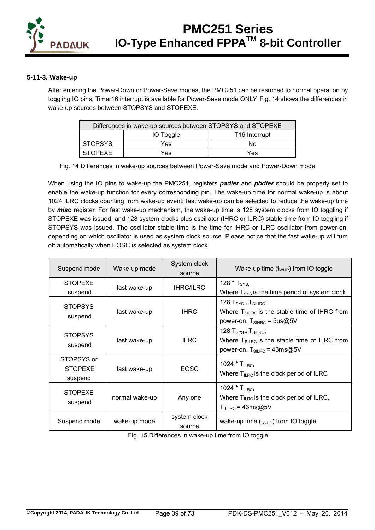

### **5-11-3. Wake-up**

After entering the Power-Down or Power-Save modes, the PMC251 can be resumed to normal operation by toggling IO pins, Timer16 interrupt is available for Power-Save mode ONLY. Fig. 14 shows the differences in wake-up sources between STOPSYS and STOPEXE.

| Differences in wake-up sources between STOPSYS and STOPEXE |           |                           |
|------------------------------------------------------------|-----------|---------------------------|
|                                                            | IO Toggle | T <sub>16</sub> Interrupt |
| <b>STOPSYS</b>                                             | Yes       | Nο                        |
| <b>STOPEXE</b>                                             | Yes       | Yes                       |

Fig. 14 Differences in wake-up sources between Power-Save mode and Power-Down mode

When using the IO pins to wake-up the PMC251, registers *padier* and *pbdier* should be properly set to enable the wake-up function for every corresponding pin. The wake-up time for normal wake-up is about 1024 ILRC clocks counting from wake-up event; fast wake-up can be selected to reduce the wake-up time by *mis***c** register. For fast wake-up mechanism, the wake-up time is 128 system clocks from IO toggling if STOPEXE was issued, and 128 system clocks plus oscillator (IHRC or ILRC) stable time from IO toggling if STOPSYS was issued. The oscillator stable time is the time for IHRC or ILRC oscillator from power-on, depending on which oscillator is used as system clock source. Please notice that the fast wake-up will turn off automatically when EOSC is selected as system clock.

| Suspend mode                            | Wake-up mode   | System clock<br>source | Wake-up time $(t_{WUP})$ from IO toggle                                                                                    |
|-----------------------------------------|----------------|------------------------|----------------------------------------------------------------------------------------------------------------------------|
| <b>STOPEXE</b><br>suspend               | fast wake-up   | <b>IHRC/ILRC</b>       | 128 $*$ T <sub>SYS.</sub><br>Where $T_{\text{SYS}}$ is the time period of system clock                                     |
| <b>STOPSYS</b><br>suspend               | fast wake-up   | <b>IHRC</b>            | 128 $TSYS + TSIHRC;$<br>Where $T_{\text{SHRC}}$ is the stable time of IHRC from<br>power-on. $T_{\text{SHRC}}$ = 5us@5V    |
| <b>STOPSYS</b><br>suspend               | fast wake-up   | <b>ILRC</b>            | 128 $TSYS + TSILRC;$<br>Where $T_{\text{SILRC}}$ is the stable time of ILRC from<br>power-on. $T_{\text{SILRC}}$ = 43ms@5V |
| STOPSYS or<br><b>STOPEXE</b><br>suspend | fast wake-up   | <b>EOSC</b>            | 1024 $*$ T <sub>ILRC</sub> ,<br>Where $T_{ILRC}$ is the clock period of ILRC                                               |
| <b>STOPEXE</b><br>suspend               | normal wake-up | Any one                | 1024 $*$ T <sub>II RC</sub> ,<br>Where $T_{ILRC}$ is the clock period of ILRC,<br>$T_{\text{SILRC}}$ = 43ms@5V             |
| Suspend mode                            | wake-up mode   | system clock<br>source | wake-up time $(t_{WUP})$ from IO toggle                                                                                    |

Fig. 15 Differences in wake-up time from IO toggle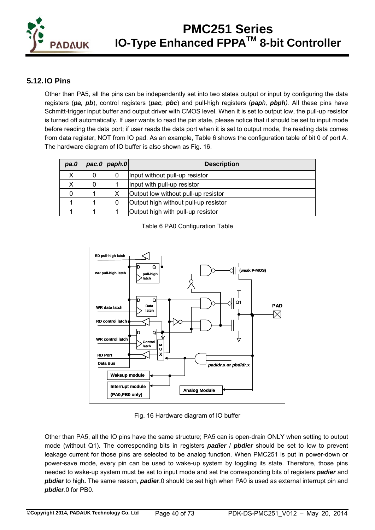

## **5.12. IO Pins**

Other than PA5, all the pins can be independently set into two states output or input by configuring the data registers (*pa, pb*), control registers (*pac, pbc*) and pull-high registers (*paph, pbph).* All these pins have Schmitt-trigger input buffer and output driver with CMOS level. When it is set to output low, the pull-up resistor is turned off automatically. If user wants to read the pin state, please notice that it should be set to input mode before reading the data port; if user reads the data port when it is set to output mode, the reading data comes from data register, NOT from IO pad. As an example, Table 6 shows the configuration table of bit 0 of port A. The hardware diagram of IO buffer is also shown as Fig. 16.

| pa.0 |   | $pac.0$   paph.0 | <b>Description</b>                   |
|------|---|------------------|--------------------------------------|
| х    | 0 |                  | Input without pull-up resistor       |
| х    | 0 |                  | Input with pull-up resistor          |
| 0    |   |                  | Output low without pull-up resistor  |
|      |   |                  | Output high without pull-up resistor |
|      |   |                  | Output high with pull-up resistor    |





Fig. 16 Hardware diagram of IO buffer

Other than PA5, all the IO pins have the same structure; PA5 can is open-drain ONLY when setting to output mode (without Q1). The corresponding bits in registers *padier* / *pbdier* should be set to low to prevent leakage current for those pins are selected to be analog function. When PMC251 is put in power-down or power-save mode, every pin can be used to wake-up system by toggling its state. Therefore, those pins needed to wake-up system must be set to input mode and set the corresponding bits of registers *padier* and *pbdier* to high*.* The same reason, *padier*.0 should be set high when PA0 is used as external interrupt pin and *pbdier*.0 for PB0.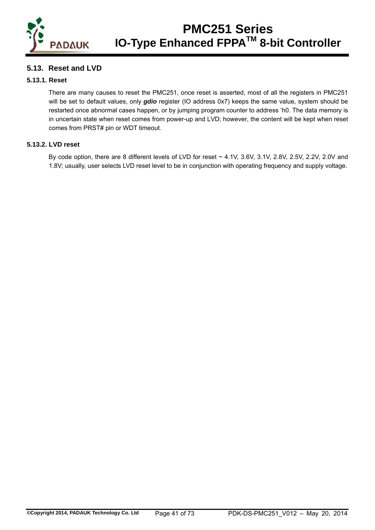

## **5.13. Reset and LVD**

### **5.13.1. Reset**

 There are many causes to reset the PMC251, once reset is asserted, most of all the registers in PMC251 will be set to default values, only *gdio* register (IO address 0x7) keeps the same value, system should be restarted once abnormal cases happen, or by jumping program counter to address 'h0. The data memory is in uncertain state when reset comes from power-up and LVD; however, the content will be kept when reset comes from PRST# pin or WDT timeout.

### **5.13.2. LVD reset**

By code option, there are 8 different levels of LVD for reset ~ 4.1V, 3.6V, 3.1V, 2.8V, 2.5V, 2.2V, 2.0V and 1.8V; usually, user selects LVD reset level to be in conjunction with operating frequency and supply voltage.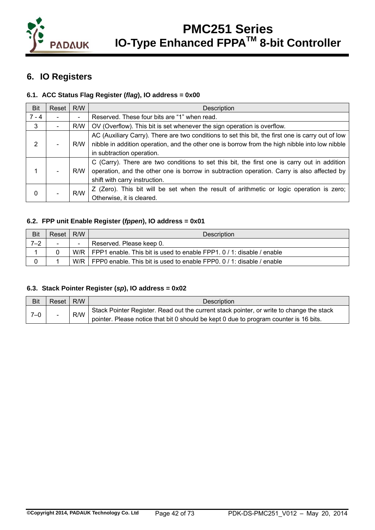

## **6. IO Registers**

## **6.1. ACC Status Flag Register (***flag***), IO address = 0x00**

| Bit     | Reset                    | R/W                      | Description                                                                                                                                                                                                                      |
|---------|--------------------------|--------------------------|----------------------------------------------------------------------------------------------------------------------------------------------------------------------------------------------------------------------------------|
| $7 - 4$ |                          | $\overline{\phantom{0}}$ | Reserved. These four bits are "1" when read.                                                                                                                                                                                     |
| 3       | $\overline{\phantom{a}}$ | R/W                      | OV (Overflow). This bit is set whenever the sign operation is overflow.                                                                                                                                                          |
| 2       | $\overline{\phantom{0}}$ | R/W                      | AC (Auxiliary Carry). There are two conditions to set this bit, the first one is carry out of low<br>nibble in addition operation, and the other one is borrow from the high nibble into low nibble<br>in subtraction operation. |
|         |                          | R/W                      | C (Carry). There are two conditions to set this bit, the first one is carry out in addition<br>operation, and the other one is borrow in subtraction operation. Carry is also affected by<br>shift with carry instruction.       |
| 0       |                          | R/W                      | Z (Zero). This bit will be set when the result of arithmetic or logic operation is zero;<br>Otherwise, it is cleared.                                                                                                            |

### **6.2. FPP unit Enable Register (***fppen***), IO address = 0x01**

| Bit     | Reset  | R/W                      | <b>Description</b>                                                    |
|---------|--------|--------------------------|-----------------------------------------------------------------------|
| $7 - 2$ | $\sim$ | $\overline{\phantom{0}}$ | Reserved. Please keep 0.                                              |
|         |        | W/R I                    | FPP1 enable. This bit is used to enable FPP1. 0 / 1: disable / enable |
|         |        | W/R I                    | FPP0 enable. This bit is used to enable FPP0. 0 / 1: disable / enable |

### **6.3. Stack Pointer Register (***sp***), IO address = 0x02**

| Bit | Reset             | R/W | <b>Description</b>                                                                       |
|-----|-------------------|-----|------------------------------------------------------------------------------------------|
|     | $7 - 0$<br>$\sim$ | R/W | Stack Pointer Register. Read out the current stack pointer, or write to change the stack |
|     |                   |     | pointer. Please notice that bit 0 should be kept 0 due to program counter is 16 bits.    |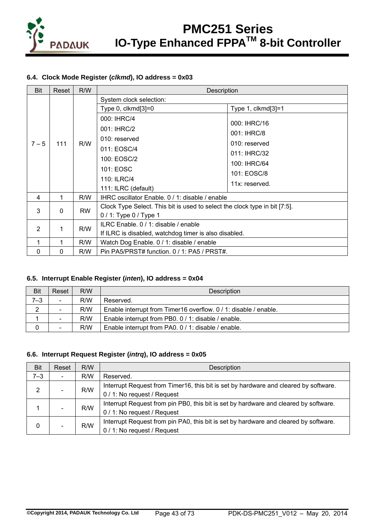

## **6.4. Clock Mode Register (***clkmd***), IO address = 0x03**

| <b>Bit</b>     | Reset    | R/W       | Description                                                                |                    |
|----------------|----------|-----------|----------------------------------------------------------------------------|--------------------|
|                |          |           | System clock selection:                                                    |                    |
|                |          |           | Type 0, clkmd[3]=0                                                         | Type 1, clkmd[3]=1 |
|                |          |           | 000: IHRC/4                                                                |                    |
|                |          |           | 001: IHRC/2                                                                | 000: IHRC/16       |
|                |          |           | 010: reserved                                                              | 001: IHRC/8        |
| $7 - 5$        | 111      | R/W       | 011: EOSC/4                                                                | 010: reserved      |
|                |          |           | 100: EOSC/2                                                                | 011: IHRC/32       |
|                |          |           | 101: EOSC                                                                  | 100: IHRC/64       |
|                |          |           |                                                                            | 101: EOSC/8        |
|                |          |           | 110: ILRC/4                                                                | 11x: reserved.     |
|                |          |           | 111: ILRC (default)                                                        |                    |
| 4              | 1        | R/W       | IHRC oscillator Enable. 0 / 1: disable / enable                            |                    |
| 3              | $\Omega$ | <b>RW</b> | Clock Type Select. This bit is used to select the clock type in bit [7:5]. |                    |
|                |          |           | $0/1$ : Type 0 / Type 1                                                    |                    |
| $\mathfrak{p}$ |          | R/W       | ILRC Enable. 0 / 1: disable / enable                                       |                    |
|                | 1        |           | If ILRC is disabled, watchdog timer is also disabled.                      |                    |
| 1              | 1        | R/W       | Watch Dog Enable. 0 / 1: disable / enable                                  |                    |
| 0              | 0        | R/W       | Pin PA5/PRST# function. 0 / 1: PA5 / PRST#.                                |                    |

### **6.5. Interrupt Enable Register (***inten***), IO address = 0x04**

| <b>Bit</b> | Reset                    | R/W | <b>Description</b>                                               |
|------------|--------------------------|-----|------------------------------------------------------------------|
| $7 - 3$    | $\overline{\phantom{0}}$ | R/W | Reserved.                                                        |
| ◠          |                          | R/W | Enable interrupt from Timer16 overflow. 0 / 1: disable / enable. |
|            |                          | R/W | Enable interrupt from PB0. 0 / 1: disable / enable.              |
|            |                          | R/W | Enable interrupt from PA0. 0 / 1: disable / enable.              |

### **6.6. Interrupt Request Register (***intrq***), IO address = 0x05**

| <b>Bit</b> | Reset                        | R/W | Description                                                                                                         |
|------------|------------------------------|-----|---------------------------------------------------------------------------------------------------------------------|
| $7 - 3$    | ۰.                           | R/W | Reserved.                                                                                                           |
| 2          | $\overline{\phantom{0}}$     | R/W | Interrupt Request from Timer16, this bit is set by hardware and cleared by software.<br>0 / 1: No request / Request |
|            | $\qquad \qquad$              | R/W | Interrupt Request from pin PB0, this bit is set by hardware and cleared by software.<br>0 / 1: No request / Request |
| 0          | $\qquad \qquad \blacksquare$ | R/W | Interrupt Request from pin PA0, this bit is set by hardware and cleared by software.<br>0 / 1: No request / Request |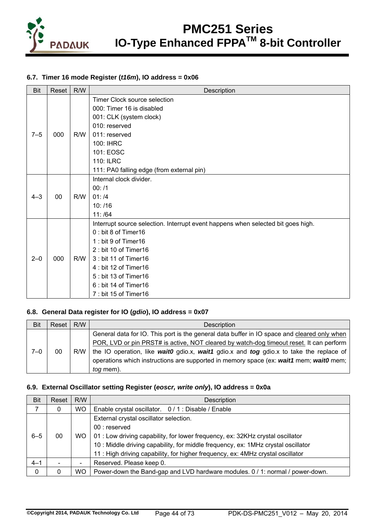

### **6.7. Timer 16 mode Register (***t16m***), IO address = 0x06**

| <b>Bit</b> | Reset | R/W | Description                                                                      |
|------------|-------|-----|----------------------------------------------------------------------------------|
|            |       |     | Timer Clock source selection                                                     |
|            |       |     | 000: Timer 16 is disabled                                                        |
|            |       |     | 001: CLK (system clock)                                                          |
|            |       |     | 010: reserved                                                                    |
| $7 - 5$    | 000   | R/W | 011: reserved                                                                    |
|            |       |     | 100: IHRC                                                                        |
|            |       |     | 101: EOSC                                                                        |
|            |       |     | <b>110: ILRC</b>                                                                 |
|            |       |     | 111: PA0 falling edge (from external pin)                                        |
|            |       |     | Internal clock divider.                                                          |
|            |       |     | 00: /1                                                                           |
| $4 - 3$    | 00    | R/W | 01:14                                                                            |
|            |       |     | 10: /16                                                                          |
|            |       |     | 11: /64                                                                          |
|            |       |     | Interrupt source selection. Interrupt event happens when selected bit goes high. |
|            |       |     | 0: bit 8 of Timer16                                                              |
|            |       |     | 1: bit 9 of Timer16                                                              |
|            |       |     | 2 : bit 10 of Timer16                                                            |
| $2 - 0$    | 000   | R/W | 3 : bit 11 of Timer16                                                            |
|            |       |     | 4 : bit 12 of Timer16                                                            |
|            |       |     | 5 : bit 13 of Timer16                                                            |
|            |       |     | 6 : bit 14 of Timer16                                                            |
|            |       |     | 7: bit 15 of Timer16                                                             |

#### **6.8. General Data register for IO (***gdio***), IO address = 0x07**

| Bit     | Reset | R/W | Description                                                                                                                                                                                                                                                                                                                                                                                       |
|---------|-------|-----|---------------------------------------------------------------------------------------------------------------------------------------------------------------------------------------------------------------------------------------------------------------------------------------------------------------------------------------------------------------------------------------------------|
| $7 - 0$ | 00    | R/W | General data for IO. This port is the general data buffer in IO space and cleared only when<br>POR, LVD or pin PRST# is active, NOT cleared by watch-dog timeout reset. It can perform<br>the IO operation, like wait0 gdio.x, wait1 gdio.x and tog gdio.x to take the replace of<br>operations which instructions are supported in memory space (ex: wait1 mem; wait0 mem;  <br><i>tog</i> mem). |

### **6.9. External Oscillator setting Register (***eoscr, write only***), IO address = 0x0a**

| <b>Bit</b>  | Reset | R/W       | Description                                                                       |
|-------------|-------|-----------|-----------------------------------------------------------------------------------|
|             | 0     | <b>WO</b> | Enable crystal oscillator. 0/1: Disable / Enable                                  |
|             |       |           | External crystal oscillator selection.                                            |
|             |       |           | $00:$ reserved                                                                    |
| $6 - 5$     | 00    | <b>WO</b> | 01 : Low driving capability, for lower frequency, ex: 32KHz crystal oscillator    |
|             |       |           | 10 : Middle driving capability, for middle frequency, ex: 1MHz crystal oscillator |
|             |       |           | 11: High driving capability, for higher frequency, ex: 4MHz crystal oscillator    |
| $4 - 1$     |       | ۰         | Reserved. Please keep 0.                                                          |
| $\mathbf 0$ |       | <b>WO</b> | Power-down the Band-gap and LVD hardware modules. 0 / 1: normal / power-down.     |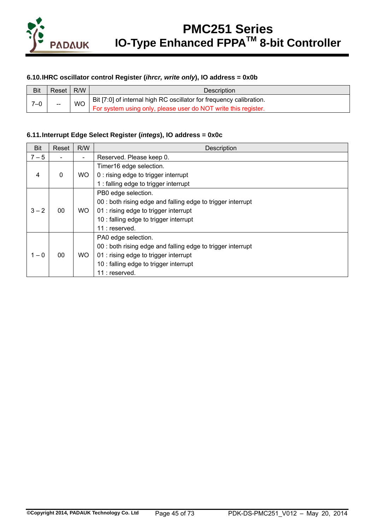

### **6.10. IHRC oscillator control Register (***ihrcr, write only***), IO address = 0x0b**

| Bit | Reset                    | R/W       | Description                                                         |
|-----|--------------------------|-----------|---------------------------------------------------------------------|
| 7–0 | $\overline{\phantom{m}}$ | <b>WO</b> | Bit [7:0] of internal high RC oscillator for frequency calibration. |
|     |                          |           | For system using only, please user do NOT write this register.      |

### **6.11. Interrupt Edge Select Register (***integs***), IO address = 0x0c**

| Bit     | Reset | R/W | Description                                                                                                                                                                             |
|---------|-------|-----|-----------------------------------------------------------------------------------------------------------------------------------------------------------------------------------------|
| $7 - 5$ |       |     | Reserved. Please keep 0.                                                                                                                                                                |
| 4       | 0     | WO. | Timer16 edge selection.<br>0 : rising edge to trigger interrupt<br>1 : falling edge to trigger interrupt                                                                                |
| $3 - 2$ | 00    | WO. | PB0 edge selection.<br>00 : both rising edge and falling edge to trigger interrupt<br>01 : rising edge to trigger interrupt<br>10 : falling edge to trigger interrupt<br>11 : reserved. |
| $1 - 0$ | 00    | WO. | PA0 edge selection.<br>00 : both rising edge and falling edge to trigger interrupt<br>01 : rising edge to trigger interrupt<br>10 : falling edge to trigger interrupt<br>11 : reserved. |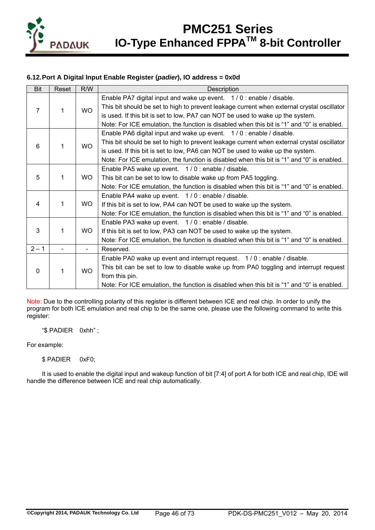

## **6.12. Port A Digital Input Enable Register (***padier***), IO address = 0x0d**

| <b>Bit</b> | Reset | R/W       | Description                                                                                |
|------------|-------|-----------|--------------------------------------------------------------------------------------------|
|            |       |           | Enable PA7 digital input and wake up event. 1/0: enable / disable.                         |
| 7          | 1     | <b>WO</b> | This bit should be set to high to prevent leakage current when external crystal oscillator |
|            |       |           | is used. If this bit is set to low, PA7 can NOT be used to wake up the system.             |
|            |       |           | Note: For ICE emulation, the function is disabled when this bit is "1" and "0" is enabled. |
|            |       |           | Enable PA6 digital input and wake up event. 1/0: enable / disable.                         |
|            | 1     |           | This bit should be set to high to prevent leakage current when external crystal oscillator |
| 6          |       | <b>WO</b> | is used. If this bit is set to low, PA6 can NOT be used to wake up the system.             |
|            |       |           | Note: For ICE emulation, the function is disabled when this bit is "1" and "0" is enabled. |
|            |       |           | Enable PA5 wake up event. 1/0: enable / disable.                                           |
| 5          | 1     | WO.       | This bit can be set to low to disable wake up from PA5 toggling.                           |
|            |       |           | Note: For ICE emulation, the function is disabled when this bit is "1" and "0" is enabled. |
|            |       |           | Enable PA4 wake up event. 1/0: enable / disable.                                           |
| 4          | 1     | WO.       | If this bit is set to low, PA4 can NOT be used to wake up the system.                      |
|            |       |           | Note: For ICE emulation, the function is disabled when this bit is "1" and "0" is enabled. |
|            |       |           | Enable PA3 wake up event. 1/0: enable / disable.                                           |
| 3          | 1     | <b>WO</b> | If this bit is set to low, PA3 can NOT be used to wake up the system.                      |
|            |       |           | Note: For ICE emulation, the function is disabled when this bit is "1" and "0" is enabled. |
| $2 - 1$    |       |           | Reserved.                                                                                  |
|            |       |           | Enable PA0 wake up event and interrupt request. 1/0: enable / disable.                     |
|            | 1     |           | This bit can be set to low to disable wake up from PA0 toggling and interrupt request      |
| 0          |       | <b>WO</b> | from this pin.                                                                             |
|            |       |           | Note: For ICE emulation, the function is disabled when this bit is "1" and "0" is enabled. |

Note: Due to the controlling polarity of this register is different between ICE and real chip. In order to unify the program for both ICE emulation and real chip to be the same one, please use the following command to write this register:

"\$ PADIER 0xhh" ;

For example:

### \$ PADIER 0xF0;

It is used to enable the digital input and wakeup function of bit [7:4] of port A for both ICE and real chip, IDE will handle the difference between ICE and real chip automatically.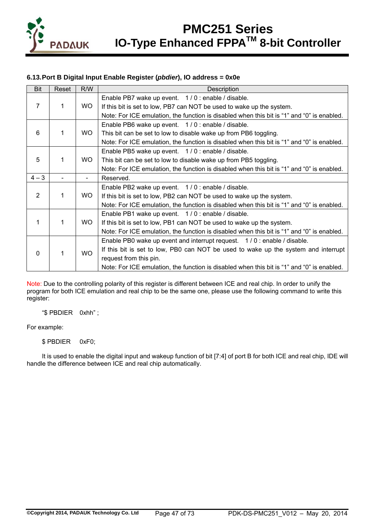

## **6.13. Port B Digital Input Enable Register (***pbdier***), IO address = 0x0e**

| <b>Bit</b>     | Reset | R/W       | Description                                                                                |
|----------------|-------|-----------|--------------------------------------------------------------------------------------------|
|                |       |           | Enable PB7 wake up event. 1/0: enable / disable.                                           |
| 7              | 1     | WO.       | If this bit is set to low, PB7 can NOT be used to wake up the system.                      |
|                |       |           | Note: For ICE emulation, the function is disabled when this bit is "1" and "0" is enabled. |
|                |       |           | Enable PB6 wake up event. 1/0: enable / disable.                                           |
| 6              | 1     | WO.       | This bit can be set to low to disable wake up from PB6 toggling.                           |
|                |       |           | Note: For ICE emulation, the function is disabled when this bit is "1" and "0" is enabled. |
|                |       |           | Enable PB5 wake up event. 1/0: enable / disable.                                           |
| 5              | 1     | WO.       | This bit can be set to low to disable wake up from PB5 toggling.                           |
|                |       |           | Note: For ICE emulation, the function is disabled when this bit is "1" and "0" is enabled. |
| $4 - 3$        |       |           | Reserved.                                                                                  |
|                |       |           | Enable PB2 wake up event. 1/0: enable / disable.                                           |
| $\overline{2}$ | 1     | WO.       | If this bit is set to low, PB2 can NOT be used to wake up the system.                      |
|                |       |           | Note: For ICE emulation, the function is disabled when this bit is "1" and "0" is enabled. |
|                |       |           | Enable PB1 wake up event. 1/0: enable / disable.                                           |
| 1              | 1     | WO.       | If this bit is set to low, PB1 can NOT be used to wake up the system.                      |
|                |       |           | Note: For ICE emulation, the function is disabled when this bit is "1" and "0" is enabled. |
|                |       |           | Enable PB0 wake up event and interrupt request. 1/0: enable / disable.                     |
| $\Omega$       | 1     | <b>WO</b> | If this bit is set to low, PB0 can NOT be used to wake up the system and interrupt         |
|                |       |           | request from this pin.                                                                     |
|                |       |           | Note: For ICE emulation, the function is disabled when this bit is "1" and "0" is enabled. |

Note: Due to the controlling polarity of this register is different between ICE and real chip. In order to unify the program for both ICE emulation and real chip to be the same one, please use the following command to write this register:

"\$ PBDIER 0xhh" ;

For example:

\$ PBDIER 0xF0;

It is used to enable the digital input and wakeup function of bit [7:4] of port B for both ICE and real chip, IDE will handle the difference between ICE and real chip automatically.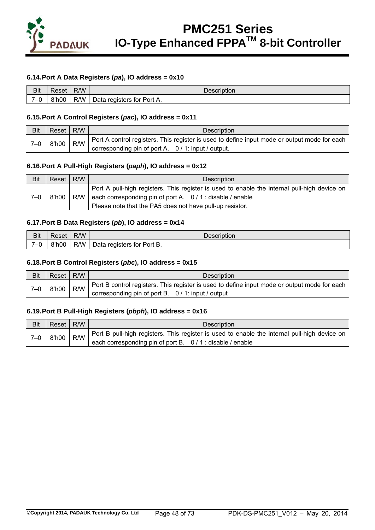

### **6.14. Port A Data Registers (***pa***), IO address = 0x10**

| Bit              | ≺eset | R/W | Description                      |
|------------------|-------|-----|----------------------------------|
| $\sim$<br>-<br>ີ | 8'h00 | R/W | for Port A.<br>registers<br>∪ata |

#### **6.15. Port A Control Registers (***pac***), IO address = 0x11**

| <b>Bit</b> | Reset I | R/W | <b>Description</b>                                                                           |
|------------|---------|-----|----------------------------------------------------------------------------------------------|
| $7 - 0$    | 8'h00   | R/W | Port A control registers. This register is used to define input mode or output mode for each |
|            |         |     | corresponding pin of port A. 0 / 1: input / output.                                          |

#### **6.16. Port A Pull-High Registers (***paph***), IO address = 0x12**

| Bit | Reset I | R/W | Description                                                                                                            |
|-----|---------|-----|------------------------------------------------------------------------------------------------------------------------|
|     |         | R/W | Port A pull-high registers. This register is used to enable the internal pull-high device on                           |
| 7–0 | 8'h00   |     | each corresponding pin of port A. $0/1$ : disable / enable<br>Please note that the PA5 does not have pull-up resistor. |

#### **6.17. Port B Data Registers (***pb***), IO address = 0x14**

| Bit  | Reset | R/W | Description                |
|------|-------|-----|----------------------------|
| $-0$ | 8'h00 | R/W | Data registers for Port B. |

#### **6.18. Port B Control Registers (***pbc***), IO address = 0x15**

| <b>Bit</b> | Reset I | R/W | <b>Description</b>                                                                           |
|------------|---------|-----|----------------------------------------------------------------------------------------------|
| $7 - 0$    | 8'h00   | R/W | Port B control registers. This register is used to define input mode or output mode for each |
|            |         |     | corresponding pin of port B. 0/1: input / output                                             |

#### **6.19. Port B Pull-High Registers (***pbph***), IO address = 0x16**

| Bit   | Reset   R/W |  | <b>Description</b>                                                                                 |
|-------|-------------|--|----------------------------------------------------------------------------------------------------|
| $7-0$ | 8'h00       |  | $R/W$ Port B pull-high registers. This register is used to enable the internal pull-high device on |
|       |             |  | each corresponding pin of port B. 0/1: disable / enable                                            |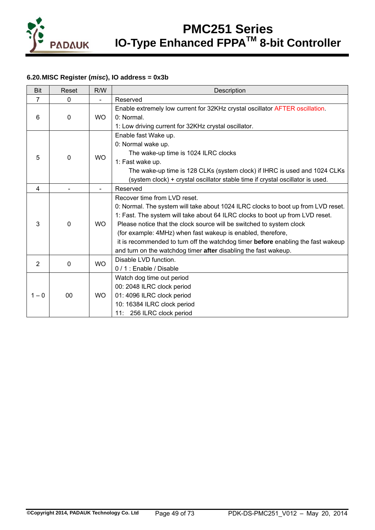

## **6.20. MISC Register (***misc***), IO address = 0x3b**

| <b>Bit</b>     | Reset        | R/W       | Description                                                                             |  |
|----------------|--------------|-----------|-----------------------------------------------------------------------------------------|--|
| $\overline{7}$ | $\mathbf{0}$ |           | Reserved                                                                                |  |
|                |              |           | Enable extremely low current for 32KHz crystal oscillator AFTER oscillation.            |  |
| 6              | $\mathbf{0}$ | <b>WO</b> | 0: Normal                                                                               |  |
|                |              |           | 1: Low driving current for 32KHz crystal oscillator.                                    |  |
|                |              |           | Enable fast Wake up.                                                                    |  |
|                |              |           | 0: Normal wake up.                                                                      |  |
| 5              | $\Omega$     | <b>WO</b> | The wake-up time is 1024 ILRC clocks                                                    |  |
|                |              |           | 1: Fast wake up.                                                                        |  |
|                |              |           | The wake-up time is 128 CLKs (system clock) if IHRC is used and 1024 CLKs               |  |
|                |              |           | (system clock) + crystal oscillator stable time if crystal oscillator is used.          |  |
| $\overline{4}$ |              |           | Reserved                                                                                |  |
|                |              |           | Recover time from LVD reset.                                                            |  |
|                |              |           | 0: Normal. The system will take about 1024 ILRC clocks to boot up from LVD reset.       |  |
|                |              |           | 1: Fast. The system will take about 64 ILRC clocks to boot up from LVD reset.           |  |
| 3              | $\Omega$     | <b>WO</b> | Please notice that the clock source will be switched to system clock                    |  |
|                |              |           | (for example: 4MHz) when fast wakeup is enabled, therefore,                             |  |
|                |              |           | it is recommended to turn off the watchdog timer <b>before</b> enabling the fast wakeup |  |
|                |              |           | and turn on the watchdog timer after disabling the fast wakeup.                         |  |
| $\overline{2}$ | 0            | <b>WO</b> | Disable LVD function.                                                                   |  |
|                |              |           | 0/1: Enable / Disable                                                                   |  |
|                |              |           | Watch dog time out period                                                               |  |
|                |              |           | 00: 2048 ILRC clock period                                                              |  |
| $1 - 0$        | 00           | WO.       | 01: 4096 ILRC clock period                                                              |  |
|                |              |           | 10: 16384 ILRC clock period                                                             |  |
|                |              |           | 11: 256 ILRC clock period                                                               |  |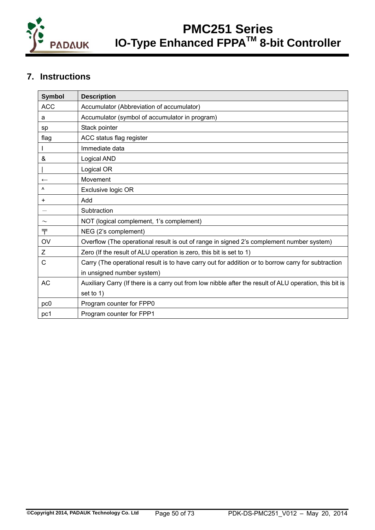

## **7. Instructions**

| <b>Symbol</b>    | <b>Description</b>                                                                                      |
|------------------|---------------------------------------------------------------------------------------------------------|
| <b>ACC</b>       | Accumulator (Abbreviation of accumulator)                                                               |
| а                | Accumulator (symbol of accumulator in program)                                                          |
| sp               | Stack pointer                                                                                           |
| flag             | ACC status flag register                                                                                |
|                  | Immediate data                                                                                          |
| &                | Logical AND                                                                                             |
|                  | Logical OR                                                                                              |
| $\longleftarrow$ | Movement                                                                                                |
| $\lambda$        | Exclusive logic OR                                                                                      |
| +                | hbA                                                                                                     |
|                  | Subtraction                                                                                             |
|                  | NOT (logical complement, 1's complement)                                                                |
| ₸                | NEG (2's complement)                                                                                    |
| OV               | Overflow (The operational result is out of range in signed 2's complement number system)                |
| Z                | Zero (If the result of ALU operation is zero, this bit is set to 1)                                     |
| C                | Carry (The operational result is to have carry out for addition or to borrow carry for subtraction      |
|                  | in unsigned number system)                                                                              |
| <b>AC</b>        | Auxiliary Carry (If there is a carry out from low nibble after the result of ALU operation, this bit is |
|                  | set to 1)                                                                                               |
| pc0              | Program counter for FPP0                                                                                |
| pc1              | Program counter for FPP1                                                                                |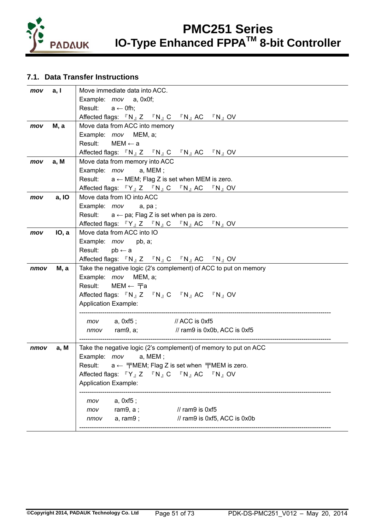

## **7.1. Data Transfer Instructions**

| mov  | a, I         | Move immediate data into ACC.                                                                                                     |
|------|--------------|-----------------------------------------------------------------------------------------------------------------------------------|
|      |              | Example: <i>mov</i> a, 0x0f;                                                                                                      |
|      |              | Result: $a \leftarrow 0$ fh;                                                                                                      |
|      |              | Affected flags: $\nabla N_{\parallel} Z \quad \nabla N_{\parallel} C \quad \nabla N_{\parallel} AC \quad \nabla N_{\parallel} OV$ |
| mov  | <b>M</b> , a | Move data from ACC into memory                                                                                                    |
|      |              | Example: <i>mov</i> MEM, a;                                                                                                       |
|      |              | Result: $MEM \leftarrow a$                                                                                                        |
|      |              | Affected flags: $\mathbb{F}N_{\mathbb{J}}Z = \mathbb{F}N_{\mathbb{J}}C = \mathbb{F}N_{\mathbb{J}}AC = \mathbb{F}N_{\mathbb{J}}OV$ |
| mov  | a, M         | Move data from memory into ACC                                                                                                    |
|      |              | Example: mov a, MEM;                                                                                                              |
|      |              | Result:<br>$a \leftarrow \text{MEM}$ ; Flag Z is set when MEM is zero.                                                            |
|      |              | Affected flags: $\mathbb{F}Y_{\mathbb{J}}Z \mathbb{F}N_{\mathbb{J}}C \mathbb{F}N_{\mathbb{J}}AC \mathbb{F}N_{\mathbb{J}}OV$       |
| mov  | a, IO        | Move data from IO into ACC                                                                                                        |
|      |              | Example: mov a, pa;                                                                                                               |
|      |              | Result: $a \leftarrow pa$ ; Flag Z is set when pa is zero.                                                                        |
|      |              | Affected flags: $\mathbb{F}Y_{J}Z \mathbb{F}N_{J}C \mathbb{F}N_{J}AC \mathbb{F}N_{J}OV$                                           |
| mov  | IO, a        | Move data from ACC into IO                                                                                                        |
|      |              | Example: mov pb, a;                                                                                                               |
|      |              | Result:<br>$pb \leftarrow a$                                                                                                      |
|      |              | Affected flags: $\nabla N_{\parallel} Z \quad \nabla N_{\parallel} C \quad \nabla N_{\parallel} AC \quad \nabla N_{\parallel} OV$ |
| nmov | М, а         | Take the negative logic (2's complement) of ACC to put on memory                                                                  |
|      |              | Example: mov MEM, a;                                                                                                              |
|      |              | Result:<br>МЕМ ← $\overline{\top}$ а                                                                                              |
|      |              | Affected flags: 『N』Z 『N』C 『N』AC 『N』OV                                                                                             |
|      |              | <b>Application Example:</b>                                                                                                       |
|      |              | mov a, 0xf5; // ACC is 0xf5                                                                                                       |
|      |              | $\frac{1}{1}$ ram9 is 0x0b, ACC is 0xf5<br>nmov ram9, a;                                                                          |
|      |              |                                                                                                                                   |
| nmov | a, M         | Take the negative logic (2's complement) of memory to put on ACC                                                                  |
|      |              | Example: mov<br>a, MEM;                                                                                                           |
|      |              | Result: $a \leftarrow \pm 1$ MEM; Flag Z is set when $\pm 1$ MEM is zero.                                                         |
|      |              | Affected flags: 『Y』Z 『N』C 『N』AC 『N』OV                                                                                             |
|      |              | <b>Application Example:</b>                                                                                                       |
|      |              |                                                                                                                                   |
|      |              | a, 0xf5;<br>mov                                                                                                                   |
|      |              | // ram9 is 0xf5<br>ram $9, a;$<br>mov                                                                                             |
|      |              | // ram9 is 0xf5, ACC is 0x0b<br>a, ram9;<br>nmov                                                                                  |
|      |              |                                                                                                                                   |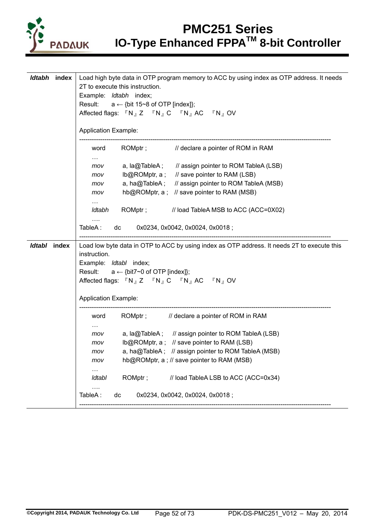

|              | Idtabh index | Load high byte data in OTP program memory to ACC by using index as OTP address. It needs                             |
|--------------|--------------|----------------------------------------------------------------------------------------------------------------------|
|              |              | 2T to execute this instruction.                                                                                      |
|              |              | Example: Idtabh index;                                                                                               |
|              |              | Result:<br>$a \leftarrow \{bit 15~8 \text{ of OTP [index]}\};$                                                       |
|              |              | Affected flags: 『N』Z 『N』C 『N』AC 『N』OV                                                                                |
|              |              |                                                                                                                      |
|              |              | <b>Application Example:</b>                                                                                          |
|              |              | ROMptr; // declare a pointer of ROM in RAM<br>word                                                                   |
|              |              | $\cdots$                                                                                                             |
|              |              | a, la@TableA; // assign pointer to ROM TableA (LSB)<br>mov                                                           |
|              |              | Ib@ROMptr, a; // save pointer to RAM (LSB)<br>mov                                                                    |
|              |              | a, ha@TableA; // assign pointer to ROM TableA (MSB)<br>mov                                                           |
|              |              | hb@ROMptr, a ; // save pointer to RAM (MSB)<br>mov                                                                   |
|              |              |                                                                                                                      |
|              |              | Idtabh ROMptr; // load TableA MSB to ACC (ACC=0X02)                                                                  |
|              |              |                                                                                                                      |
|              |              | TableA: dc 0x0234, 0x0042, 0x0024, 0x0018;                                                                           |
|              |              |                                                                                                                      |
| Idtabl index |              | Load low byte data in OTP to ACC by using index as OTP address. It needs 2T to execute this                          |
|              |              | instruction.                                                                                                         |
|              |              |                                                                                                                      |
|              |              | Example: Idtabl index;                                                                                               |
|              |              | Result: $a \leftarrow \{bit7~0 \text{ of OTP [index]}\};$                                                            |
|              |              | Affected flags: $\nabla N_{\mathbb{J}} Z \nabla N_{\mathbb{J}} C \nabla N_{\mathbb{J}} AC \nabla N_{\mathbb{J}} O V$ |
|              |              |                                                                                                                      |
|              |              | <b>Application Example:</b>                                                                                          |
|              |              | ROMptr; // declare a pointer of ROM in RAM<br>word                                                                   |
|              |              |                                                                                                                      |
|              |              | a, la@TableA; // assign pointer to ROM TableA (LSB)<br>mov                                                           |
|              |              | mov                                                                                                                  |
|              |              | Ib@ROMptr, a ; // save pointer to RAM (LSB)                                                                          |
|              |              | a, ha@TableA; // assign pointer to ROM TableA (MSB)<br>mov                                                           |
|              |              | hb@ROMptr, a; // save pointer to RAM (MSB)<br>mov                                                                    |
|              |              |                                                                                                                      |
|              |              | ROMptr;<br>// load TableA LSB to ACC (ACC=0x34)<br>Idtabl                                                            |
|              |              | 0x0234, 0x0042, 0x0024, 0x0018;<br>TableA:<br>dc                                                                     |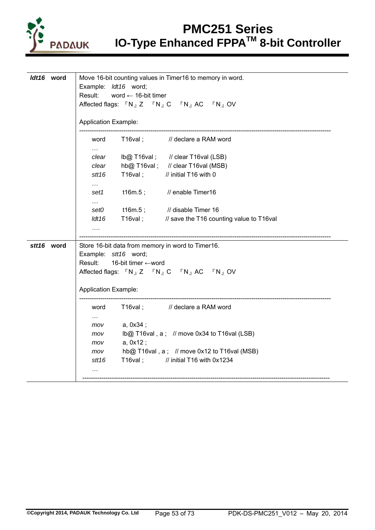

| <i>ldt16</i> word | Move 16-bit counting values in Timer16 to memory in word. |  |  |
|-------------------|-----------------------------------------------------------|--|--|
|                   | Example: <i>ldt16</i> word;                               |  |  |
|                   | Result:<br>word $\leftarrow$ 16-bit timer                 |  |  |
|                   | Affected flags: 『N』Z 『N』C 『N』AC 『N』OV                     |  |  |
|                   |                                                           |  |  |
|                   | <b>Application Example:</b>                               |  |  |
|                   | T16val; // declare a RAM word<br>word                     |  |  |
|                   | $\cdots$                                                  |  |  |
|                   | Ib@ T16val; // clear T16val (LSB)<br>clear                |  |  |
|                   | hb@ T16val; // clear T16val (MSB)<br>clear                |  |  |
|                   | $T16$ val;<br>// initial T16 with 0<br>stt <sub>16</sub>  |  |  |
|                   | $\sim 100$                                                |  |  |
|                   | $t16m.5$ ;<br>// enable Timer16<br>set1                   |  |  |
|                   | $\cdots$                                                  |  |  |
|                   | t16m.5;<br>// disable Timer 16<br>set0                    |  |  |
|                   | T16val; // save the T16 counting value to T16val<br>ldt16 |  |  |
|                   | .                                                         |  |  |
|                   |                                                           |  |  |
| stt16 word        | Store 16-bit data from memory in word to Timer16.         |  |  |
|                   | Example: stt16 word;                                      |  |  |
|                   | Result:<br>16-bit timer ←word                             |  |  |
|                   | Affected flags: 『N』Z 『N』C 『N』AC 『N』OV                     |  |  |
|                   |                                                           |  |  |
|                   | <b>Application Example:</b>                               |  |  |
|                   | T16val; // declare a RAM word<br>word                     |  |  |
|                   | $\cdots$                                                  |  |  |
|                   | a, 0x34;<br>mov                                           |  |  |
|                   | Ib@ T16val, a; // move 0x34 to T16val (LSB)<br>mov        |  |  |
|                   | a, 0x12;<br>mov                                           |  |  |
|                   | hb@ T16val, $a$ ; // move 0x12 to T16val (MSB)<br>mov     |  |  |
|                   | T16val; // initial T16 with 0x1234<br>stt 16              |  |  |
|                   | $\cdots$                                                  |  |  |
|                   |                                                           |  |  |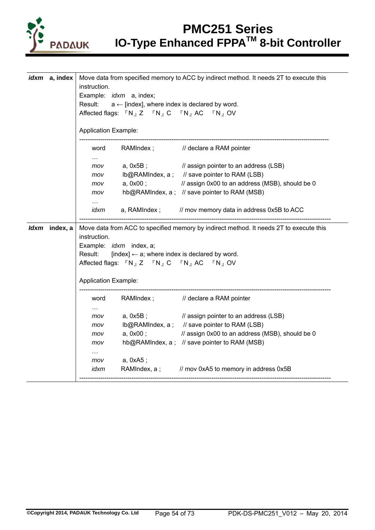

|  | <i>idxm</i> a, index | instruction.                |                                                          | Move data from specified memory to ACC by indirect method. It needs 2T to execute this |
|--|----------------------|-----------------------------|----------------------------------------------------------|----------------------------------------------------------------------------------------|
|  |                      |                             | Example: <i>idxm</i> a, index;                           |                                                                                        |
|  |                      | Result:                     | $a \leftarrow$ [index], where index is declared by word. |                                                                                        |
|  |                      |                             | Affected flags: 『N』Z 『N』C 『N』AC 『N』OV                    |                                                                                        |
|  |                      |                             |                                                          |                                                                                        |
|  |                      | <b>Application Example:</b> |                                                          |                                                                                        |
|  |                      | word                        |                                                          | RAMIndex; // declare a RAM pointer                                                     |
|  |                      | mov                         | a, 0x5B ;                                                | // assign pointer to an address (LSB)                                                  |
|  |                      | mov                         |                                                          | Ib@RAMIndex, a ; // save pointer to RAM (LSB)                                          |
|  |                      | mov                         | a, 0x00 ;                                                | // assign 0x00 to an address (MSB), should be 0                                        |
|  |                      | mov                         |                                                          | hb@RAMIndex, a; // save pointer to RAM (MSB)                                           |
|  |                      | $\cdots$                    |                                                          |                                                                                        |
|  |                      | idxm                        |                                                          | a, RAMIndex; // mov memory data in address 0x5B to ACC                                 |
|  |                      |                             |                                                          |                                                                                        |
|  | Idxm index, a        | instruction.                |                                                          | Move data from ACC to specified memory by indirect method. It needs 2T to execute this |
|  |                      |                             | Example: <i>idxm</i> index, a;                           |                                                                                        |
|  |                      | Result:                     | [index] $\leftarrow$ a; where index is declared by word. |                                                                                        |
|  |                      |                             | Affected flags: 『N』Z 『N』C 『N』AC 『N』OV                    |                                                                                        |
|  |                      | <b>Application Example:</b> |                                                          |                                                                                        |
|  |                      |                             |                                                          |                                                                                        |
|  |                      | word                        |                                                          | RAMIndex; // declare a RAM pointer                                                     |
|  |                      | $\ldots$                    |                                                          |                                                                                        |
|  |                      | mov                         | a, 0x5B ;                                                | // assign pointer to an address (LSB)                                                  |
|  |                      | mov                         |                                                          | Ib@RAMIndex, a; // save pointer to RAM (LSB)                                           |
|  |                      | mov                         | a, 0x00;                                                 | // assign 0x00 to an address (MSB), should be 0                                        |
|  |                      | mov                         |                                                          | hb@RAMIndex, a; // save pointer to RAM (MSB)                                           |
|  |                      | $\cdots$                    |                                                          |                                                                                        |
|  |                      | mov                         | a, 0xA5 ;                                                |                                                                                        |
|  |                      | idxm                        |                                                          | RAMIndex, a ; // mov 0xA5 to memory in address 0x5B                                    |
|  |                      |                             |                                                          |                                                                                        |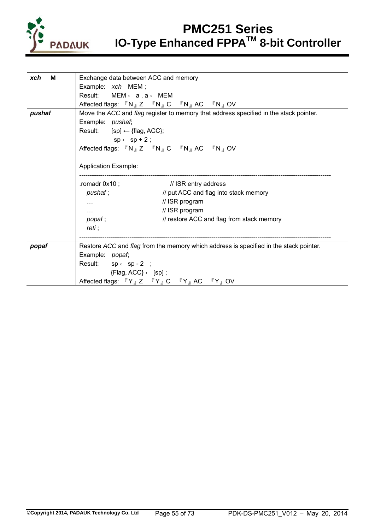

| M<br>xch | Exchange data between ACC and memory                                                                                              |
|----------|-----------------------------------------------------------------------------------------------------------------------------------|
|          | Example: xch MEM;                                                                                                                 |
|          | Result: $MEM \leftarrow a$ , $a \leftarrow MEM$                                                                                   |
|          | Affected flags: $\nabla N_{\parallel} Z \quad \nabla N_{\parallel} C \quad \nabla N_{\parallel} AC \quad \nabla N_{\parallel} OV$ |
| pushaf   | Move the ACC and flag register to memory that address specified in the stack pointer.                                             |
|          | Example: pushaf;                                                                                                                  |
|          | Result: $[sp] \leftarrow \{flag, ACC\};$                                                                                          |
|          | $sp \leftarrow sp + 2$ ;                                                                                                          |
|          | Affected flags: 『N』Z 『N』C 『N』AC 『N』OV                                                                                             |
|          |                                                                                                                                   |
|          | <b>Application Example:</b>                                                                                                       |
|          |                                                                                                                                   |
|          | .romadr $0x10$ ;<br>// ISR entry address                                                                                          |
|          | // put ACC and flag into stack memory<br>pushaf;                                                                                  |
|          | // ISR program<br>$\cdots$                                                                                                        |
|          | // ISR program<br>$\cdots$                                                                                                        |
|          | // restore ACC and flag from stack memory<br>popaf;                                                                               |
|          | reti :                                                                                                                            |
|          |                                                                                                                                   |
| popaf    | Restore ACC and flag from the memory which address is specified in the stack pointer.                                             |
|          | Example: popaf;                                                                                                                   |
|          | Result: $sp \leftarrow sp - 2$ ;                                                                                                  |
|          | ${Flag, ACC} \leftarrow [sp]$ ;                                                                                                   |
|          |                                                                                                                                   |
|          | Affected flags: 『Y』Z 『Y』C 『Y』AC 『Y』OV                                                                                             |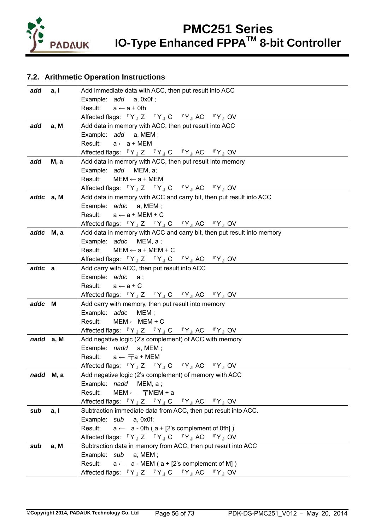

## **7.2. Arithmetic Operation Instructions**

| add a, I  |              | Add immediate data with ACC, then put result into ACC                                                                                 |  |  |
|-----------|--------------|---------------------------------------------------------------------------------------------------------------------------------------|--|--|
|           |              | Example: add a, 0x0f;                                                                                                                 |  |  |
|           |              | Result: $a \leftarrow a + 0$ fh                                                                                                       |  |  |
|           |              | Affected flags: $\mathbb{F}Y$ <sub>J</sub> Z $\mathbb{F}Y$ <sub>J</sub> C $\mathbb{F}Y$ <sub>J</sub> AC $\mathbb{F}Y$ <sub>J</sub> OV |  |  |
| add       | a, M         | Add data in memory with ACC, then put result into ACC                                                                                 |  |  |
|           |              | Example: add a, MEM;                                                                                                                  |  |  |
|           |              | Result: $a \leftarrow a + \text{MEM}$                                                                                                 |  |  |
|           |              | Affected flags: $\mathbb{F}Y_{J}Z \mathbb{F}Y_{J}C \mathbb{F}Y_{J}AC \mathbb{F}Y_{J}$ OV                                              |  |  |
| add       | <b>M</b> , a | Add data in memory with ACC, then put result into memory                                                                              |  |  |
|           |              | Example: add MEM, a;                                                                                                                  |  |  |
|           |              | Result:<br>$MEM \leftarrow a + MEM$                                                                                                   |  |  |
|           |              | Affected flags: $\mathbb{F}Y$ <sub>J</sub> Z $\mathbb{F}Y$ <sub>J</sub> C $\mathbb{F}Y$ <sub>J</sub> AC $\mathbb{F}Y$ <sub>J</sub> OV |  |  |
| addc a, M |              | Add data in memory with ACC and carry bit, then put result into ACC                                                                   |  |  |
|           |              | Example: addc a, MEM;                                                                                                                 |  |  |
|           |              | Result: $a \leftarrow a + MEM + C$                                                                                                    |  |  |
|           |              | Affected flags: $\mathbb{F}Y$ <sub>J</sub> Z $\mathbb{F}Y$ <sub>J</sub> C $\mathbb{F}Y$ <sub>J</sub> AC $\mathbb{F}Y$ <sub>J</sub> OV |  |  |
| addc M, a |              | Add data in memory with ACC and carry bit, then put result into memory                                                                |  |  |
|           |              | Example: addc MEM, a;                                                                                                                 |  |  |
|           |              | Result: $MEM \leftarrow a + MEM + C$                                                                                                  |  |  |
|           |              | Affected flags: $\mathbb{F}Y$ <sub>J</sub> Z $\mathbb{F}Y$ <sub>J</sub> C $\mathbb{F}Y$ <sub>J</sub> AC $\mathbb{F}Y$ <sub>J</sub> OV |  |  |
| addc a    |              | Add carry with ACC, then put result into ACC                                                                                          |  |  |
|           |              | Example: addc a;                                                                                                                      |  |  |
|           |              | Result: $a \leftarrow a + C$                                                                                                          |  |  |
|           |              | Affected flags: $\mathbb{F}Y$ <sub>J</sub> Z $\mathbb{F}Y$ <sub>J</sub> C $\mathbb{F}Y$ <sub>J</sub> AC $\mathbb{F}Y$ <sub>J</sub> OV |  |  |
| addc M    |              | Add carry with memory, then put result into memory                                                                                    |  |  |
|           |              | Example: addc MEM;                                                                                                                    |  |  |
|           |              | Result: $MEM \leftarrow MEM + C$                                                                                                      |  |  |
| nadd a, M |              | Affected flags: $\mathbb{F}Y$ <sub>J</sub> Z $\mathbb{F}Y$ <sub>J</sub> C $\mathbb{F}Y$ <sub>J</sub> AC $\mathbb{F}Y$ <sub>J</sub> OV |  |  |
|           |              | Add negative logic (2's complement) of ACC with memory<br>Example: nadd a, MEM;                                                       |  |  |
|           |              | Result: $a \leftarrow \overline{\tau}a + \text{MEM}$                                                                                  |  |  |
|           |              | Affected flags: $\mathbb{F}Y$ <sub>J</sub> Z $\mathbb{F}Y$ <sub>J</sub> C $\mathbb{F}Y$ <sub>J</sub> AC $\mathbb{F}Y$ <sub>J</sub> OV |  |  |
| nadd M, a |              | Add negative logic (2's complement) of memory with ACC                                                                                |  |  |
|           |              | Example: nadd MEM, a;                                                                                                                 |  |  |
|           |              | Result:<br>$MEM \leftarrow \mp MEM + a$                                                                                               |  |  |
|           |              | Affected flags: $\mathbb{F}Y$ <sub>J</sub> Z $\mathbb{F}Y$ <sub>J</sub> C $\mathbb{F}Y$ <sub>J</sub> AC $\mathbb{F}Y$ <sub>J</sub> OV |  |  |
| sub       | a, I         | Subtraction immediate data from ACC, then put result into ACC.                                                                        |  |  |
|           |              | Example: sub a, 0x0f;                                                                                                                 |  |  |
|           |              | Result:<br>$a \leftarrow a$ - Ofh ( $a + [2$ 's complement of Ofh])                                                                   |  |  |
|           |              | Affected flags: $\mathbb{F}Y$ <sub>J</sub> Z $\mathbb{F}Y$ <sub>J</sub> C $\mathbb{F}Y$ <sub>J</sub> AC $\mathbb{F}Y$ <sub>J</sub> OV |  |  |
| sub       | a, M         | Subtraction data in memory from ACC, then put result into ACC                                                                         |  |  |
|           |              | Example: sub a, MEM;                                                                                                                  |  |  |
|           |              | Result: $a \leftarrow a$ - MEM ( $a + [2$ 's complement of M])                                                                        |  |  |
|           |              | Affected flags: $\mathbb{F}Y_{\mathbb{J}}Z$ $\mathbb{F}Y_{\mathbb{J}}C$ $\mathbb{F}Y_{\mathbb{J}}AC$ $\mathbb{F}Y_{\mathbb{J}}OV$     |  |  |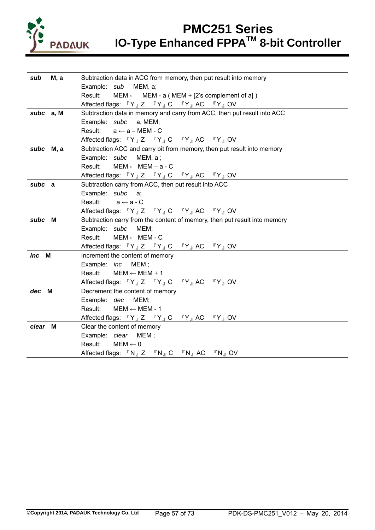

| <b>M</b> , a<br>sub | Subtraction data in ACC from memory, then put result into memory                                                                      |  |  |  |
|---------------------|---------------------------------------------------------------------------------------------------------------------------------------|--|--|--|
|                     | МЕМ, а;<br>Example: sub                                                                                                               |  |  |  |
|                     | Result:<br>$MEM \leftarrow \text{MEM} - a (MEM + [2's complement of a])$                                                              |  |  |  |
|                     | Affected flags: $\mathbb{F}Y$ <sub>J</sub> Z $\mathbb{F}Y$ <sub>J</sub> C $\mathbb{F}Y$ <sub>J</sub> AC $\mathbb{F}Y$ <sub>J</sub> OV |  |  |  |
| subc a, M           | Subtraction data in memory and carry from ACC, then put result into ACC                                                               |  |  |  |
|                     | Example: subc a, MEM;                                                                                                                 |  |  |  |
|                     | Result: $a \leftarrow a - MEM - C$                                                                                                    |  |  |  |
|                     | Affected flags: $\mathbb{F}Y_{J}Z \mathbb{F}Y_{J}C \mathbb{F}Y_{J}AC \mathbb{F}Y_{J}OV$                                               |  |  |  |
| subc M, a           | Subtraction ACC and carry bit from memory, then put result into memory                                                                |  |  |  |
|                     | Example: subc MEM, a;                                                                                                                 |  |  |  |
|                     | Result: $MEM \leftarrow MEM - a - C$                                                                                                  |  |  |  |
|                     | Affected flags: 『Y』Z 『Y』C 『Y』AC 『Y』OV                                                                                                 |  |  |  |
| subc a              | Subtraction carry from ACC, then put result into ACC                                                                                  |  |  |  |
|                     | Example: subc a;                                                                                                                      |  |  |  |
|                     | Result:<br>$a \leftarrow a - C$                                                                                                       |  |  |  |
|                     | Affected flags: $\mathbb{F}Y_{\perp}Z$ $\mathbb{F}Y_{\perp}C$ $\mathbb{F}Y_{\perp}AC$ $\mathbb{F}Y_{\perp}OV$                         |  |  |  |
| subc M              | Subtraction carry from the content of memory, then put result into memory                                                             |  |  |  |
|                     | Example: subc MEM;                                                                                                                    |  |  |  |
|                     | $MEM \leftarrow MEM - C$<br>Result:                                                                                                   |  |  |  |
|                     | Affected flags: 『Y』Z 『Y』C 『Y』AC 『Y』OV                                                                                                 |  |  |  |
| inc M               | Increment the content of memory                                                                                                       |  |  |  |
|                     | Example: <i>inc</i> MEM;                                                                                                              |  |  |  |
|                     | Result: $MEM \leftarrow MEM + 1$                                                                                                      |  |  |  |
|                     | Affected flags: $\mathbb{F}Y$ <sub>J</sub> Z $\mathbb{F}Y$ <sub>J</sub> C $\mathbb{F}Y$ <sub>J</sub> AC $\mathbb{F}Y$ <sub>J</sub> OV |  |  |  |
| dec M               | Decrement the content of memory                                                                                                       |  |  |  |
|                     | Example: dec MEM;                                                                                                                     |  |  |  |
|                     | Result: $MEM \leftarrow MEM - 1$                                                                                                      |  |  |  |
|                     | Affected flags: $\mathbb{F}Y$ <sub>J</sub> Z $\mathbb{F}Y$ <sub>J</sub> C $\mathbb{F}Y$ <sub>J</sub> AC $\mathbb{F}Y$ <sub>J</sub> OV |  |  |  |
| clear M             | Clear the content of memory                                                                                                           |  |  |  |
|                     | Example: clear MEM;                                                                                                                   |  |  |  |
|                     | Result:<br>$MEM \leftarrow 0$                                                                                                         |  |  |  |
|                     | Affected flags: 『N』Z 『N』C 『N』AC 『N』OV                                                                                                 |  |  |  |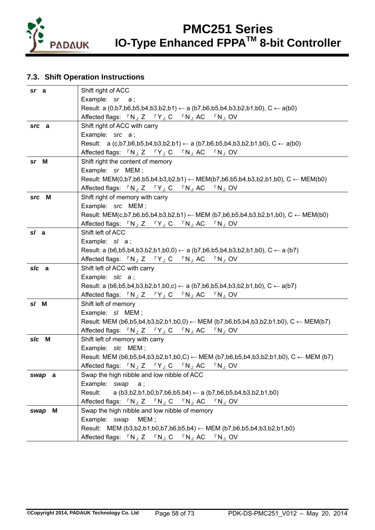

## **7.3. Shift Operation Instructions**

| sr a   | Shift right of ACC                                                                                                                                        |  |  |  |  |
|--------|-----------------------------------------------------------------------------------------------------------------------------------------------------------|--|--|--|--|
|        | Example: sr a;                                                                                                                                            |  |  |  |  |
|        | Result: a $(0, b7, b6, b5, b4, b3, b2, b1) \leftarrow a (b7, b6, b5, b4, b3, b2, b1, b0), C \leftarrow a(b0)$                                             |  |  |  |  |
|        | Affected flags: $\mathbb{F}N_{\mathbb{J}}Z \mathbb{F}Y_{\mathbb{J}}C \mathbb{F}N_{\mathbb{J}}AC \mathbb{F}N_{\mathbb{J}}OV$                               |  |  |  |  |
| src a  | Shift right of ACC with carry                                                                                                                             |  |  |  |  |
|        | Example: src a;                                                                                                                                           |  |  |  |  |
|        | Result: $a (c,b7,b6,b5,b4,b3,b2,b1) \leftarrow a (b7,b6,b5,b4,b3,b2,b1,b0), C \leftarrow a(b0)$                                                           |  |  |  |  |
|        | Affected flags: $\mathbb{P} N_{\mathbb{J}} Z \mathbb{P} Y_{\mathbb{J}} C \mathbb{P} N_{\mathbb{J}} AC \mathbb{P} N_{\mathbb{J}} OV$                       |  |  |  |  |
| sr M   | Shift right the content of memory                                                                                                                         |  |  |  |  |
|        | Example: sr MEM;                                                                                                                                          |  |  |  |  |
|        | Result: MEM(0,b7,b6,b5,b4,b3,b2,b1) $\leftarrow$ MEM(b7,b6,b5,b4,b3,b2,b1,b0), C $\leftarrow$ MEM(b0)                                                     |  |  |  |  |
|        | Affected flags: $\mathbb{P} N_{\mathbb{J}} Z \mathbb{P} Y_{\mathbb{J}} C \mathbb{P} N_{\mathbb{J}} AC \mathbb{P} N_{\mathbb{J}} OV$                       |  |  |  |  |
| src M  | Shift right of memory with carry                                                                                                                          |  |  |  |  |
|        | Example: src MEM;                                                                                                                                         |  |  |  |  |
|        | Result: MEM(c,b7,b6,b5,b4,b3,b2,b1) $\leftarrow$ MEM (b7,b6,b5,b4,b3,b2,b1,b0), C $\leftarrow$ MEM(b0)                                                    |  |  |  |  |
|        | Affected flags: $\nabla N_{\parallel} Z \nabla Y_{\parallel} C \nabla N_{\parallel} AC \nabla N_{\parallel} OV$                                           |  |  |  |  |
| s/ a   | Shift left of ACC                                                                                                                                         |  |  |  |  |
|        | Example: $sl$ a;                                                                                                                                          |  |  |  |  |
|        | Result: a (b6,b5,b4,b3,b2,b1,b0,0) $\leftarrow$ a (b7,b6,b5,b4,b3,b2,b1,b0), C $\leftarrow$ a (b7)                                                        |  |  |  |  |
|        | Affected flags: 『N』Z 『Y』C 『N』AC 『N』OV                                                                                                                     |  |  |  |  |
| s/c a  | Shift left of ACC with carry                                                                                                                              |  |  |  |  |
|        | Example: slc a;                                                                                                                                           |  |  |  |  |
|        | Result: a (b6,b5,b4,b3,b2,b1,b0,c) $\leftarrow$ a (b7,b6,b5,b4,b3,b2,b1,b0), C $\leftarrow$ a(b7)                                                         |  |  |  |  |
|        | Affected flags: $\nabla N_{\parallel} Z \nabla Y_{\parallel} C \nabla N_{\parallel} AC \nabla N_{\parallel} OV$                                           |  |  |  |  |
| s/ M   | Shift left of memory                                                                                                                                      |  |  |  |  |
|        | Example: s/ MEM;                                                                                                                                          |  |  |  |  |
|        | Result: MEM (b6,b5,b4,b3,b2,b1,b0,0) $\leftarrow$ MEM (b7,b6,b5,b4,b3,b2,b1,b0), C $\leftarrow$ MEM(b7)                                                   |  |  |  |  |
|        | Affected flags: $\nabla N_{\parallel} Z \nabla Y_{\parallel} C \nabla N_{\parallel} AC \nabla N_{\parallel} OV$                                           |  |  |  |  |
| s/c M  | Shift left of memory with carry                                                                                                                           |  |  |  |  |
|        | Example: s/c MEM;                                                                                                                                         |  |  |  |  |
|        | Result: MEM (b6,b5,b4,b3,b2,b1,b0,C) $\leftarrow$ MEM (b7,b6,b5,b4,b3,b2,b1,b0), C $\leftarrow$ MEM (b7)                                                  |  |  |  |  |
|        | Affected flags: $\nabla N_{\parallel} Z \nabla Y_{\parallel} C \nabla N_{\parallel} AC \nabla N_{\parallel} OV$                                           |  |  |  |  |
| swap a | Swap the high nibble and low nibble of ACC                                                                                                                |  |  |  |  |
|        | Example: swap<br>а;                                                                                                                                       |  |  |  |  |
|        | Result:<br>a $(b3,b2,b1,b0,b7,b6,b5,b4) \leftarrow a (b7,b6,b5,b4,b3,b2,b1,b0)$                                                                           |  |  |  |  |
|        | Affected flags: $\sqrt[\text{R}]{N}_{\text{d}}$ Z $\sqrt[\text{R}]{N}_{\text{d}}$ C $\sqrt[\text{R}]{N}_{\text{d}}$ AC $\sqrt[\text{R}]{N}_{\text{d}}$ OV |  |  |  |  |
| swap M | Swap the high nibble and low nibble of memory<br>MEM;                                                                                                     |  |  |  |  |
|        | Example: swap                                                                                                                                             |  |  |  |  |
|        | Result: MEM (b3,b2,b1,b0,b7,b6,b5,b4) < MEM (b7,b6,b5,b4,b3,b2,b1,b0)                                                                                     |  |  |  |  |
|        | Affected flags: $\mathbb{F}N_{\mathbb{J}}Z = \mathbb{F}N_{\mathbb{J}}C = \mathbb{F}N_{\mathbb{J}}AC$<br>$\sqrt[\text{F}]{N_{\text{A}}}$ OV                |  |  |  |  |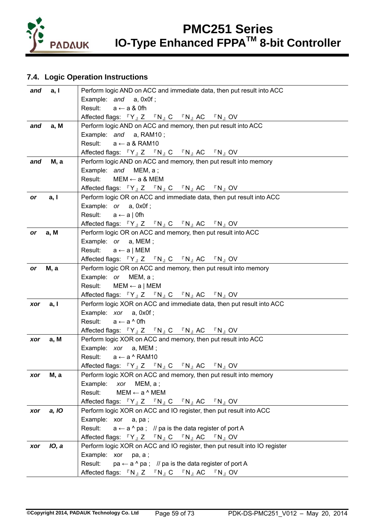

## **7.4. Logic Operation Instructions**

| a, I<br>and         | Perform logic AND on ACC and immediate data, then put result into ACC                          |
|---------------------|------------------------------------------------------------------------------------------------|
|                     | Example: and a, 0x0f;                                                                          |
|                     | Result: $a \leftarrow a \&$ Ofh                                                                |
|                     | Affected flags: 『Y』Z 『N』C 『N』AC 『N』OV                                                          |
| a, M<br>and         | Perform logic AND on ACC and memory, then put result into ACC                                  |
|                     | Example: and a, RAM10;                                                                         |
|                     | Result: $a \leftarrow a \& RAM10$                                                              |
|                     | Affected flags: $\mathbb{F}Y_{J}Z \mathbb{F}N_{J}C \mathbb{F}N_{J}AC \mathbb{F}N_{J}OV$        |
| M, a<br>and         | Perform logic AND on ACC and memory, then put result into memory                               |
|                     | Example: and MEM, a;                                                                           |
|                     | Result:<br>$MEM \leftarrow a & MEM$                                                            |
|                     | Affected flags: 『Y』Z 『N』C 『N』AC 『N』OV                                                          |
| a, I<br>or          | Perform logic OR on ACC and immediate data, then put result into ACC                           |
|                     | Example: or a, 0x0f;                                                                           |
|                     | Result: $a \leftarrow a \mid 0$ fh                                                             |
|                     | Affected flags: $\mathbb{F}Y_{J}Z \mathbb{F}N_{J}C \mathbb{F}N_{J}AC \mathbb{F}N_{J}OV$        |
| a, M<br>or          | Perform logic OR on ACC and memory, then put result into ACC                                   |
|                     | Example: or a, MEM;                                                                            |
|                     | Result: $a \leftarrow a \mid \text{MEM}$                                                       |
|                     | Affected flags: $\mathbb{F}Y_{J}Z \mathbb{F}N_{J}C \mathbb{F}N_{J}AC \mathbb{F}N_{J}OV$        |
| M, a<br>or          | Perform logic OR on ACC and memory, then put result into memory<br>Example: or MEM, a;         |
|                     | Result: $MEM \leftarrow a   MEM$                                                               |
|                     | Affected flags: 『Y』Z 『N』C 『N』AC 『N』OV                                                          |
| a, I<br>xor         | Perform logic XOR on ACC and immediate data, then put result into ACC                          |
|                     | Example: xor a, 0x0f;                                                                          |
|                     | Result: $a \leftarrow a \wedge 0$ fh                                                           |
|                     | Affected flags: $\mathbb{F}Y_{J}Z \mathbb{F}N_{J}C \mathbb{F}N_{J}AC \mathbb{F}N_{J}OV$        |
| a, M<br>xor         | Perform logic XOR on ACC and memory, then put result into ACC                                  |
|                     | Example: xor a, MEM;                                                                           |
|                     | Result: $a \leftarrow a \wedge \text{RAM10}$                                                   |
|                     | Affected flags: $\mathbb{F}Y_{J}Z \mathbb{F}N_{J}C \mathbb{F}N_{J}AC \mathbb{F}N_{J}OV$        |
| M, a<br>xor         | Perform logic XOR on ACC and memory, then put result into memory                               |
|                     | Example:<br>MEM, a;<br>xor                                                                     |
|                     | $MEM \leftarrow a \land MEM$<br>Result:                                                        |
|                     | Affected flags: $\mathbb{F}Y_{J}Z \mathbb{F}N_{J}C \mathbb{F}N_{J}AC \mathbb{F}N_{J}OV$        |
| a, IO<br>xor        | Perform logic XOR on ACC and IO register, then put result into ACC                             |
|                     | Example: xor<br>a, pa;                                                                         |
|                     | $a \leftarrow a \wedge pa$ ; // pa is the data register of port A<br>Result:                   |
|                     | Affected flags: $\mathbb{F}Y_{J}Z \mathbb{F}N_{J}C \mathbb{F}N_{J}AC \mathbb{F}N_{J}OV$        |
| <b>IO, a</b><br>xor | Perform logic XOR on ACC and IO register, then put result into IO register                     |
|                     | Example: xor<br>pa, a ;                                                                        |
|                     | Result:<br>$pa \leftarrow a \land pa$ ; // pa is the data register of port A                   |
|                     | Affected flags: $\mathbb{F}N_{J}Z \mathbb{F}N_{J}C \mathbb{F}N_{J}AC$<br>$\sqrt[\Gamma]{N}$ OV |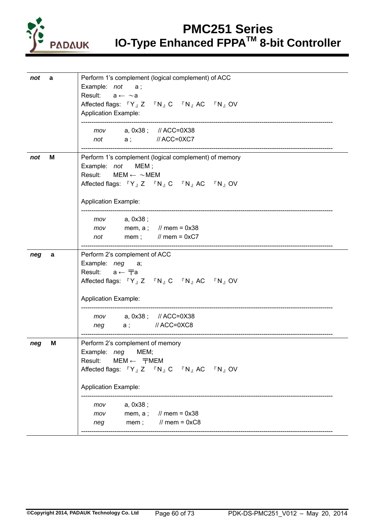

|     |   | Perform 1's complement (logical complement) of ACC    |
|-----|---|-------------------------------------------------------|
| not | a |                                                       |
|     |   | Example: not<br>а;                                    |
|     |   | Result: $a \leftarrow \sim a$                         |
|     |   | Affected flags: 『Y』Z 『N』C 『N』AC 『N』OV                 |
|     |   | <b>Application Example:</b>                           |
|     |   |                                                       |
|     |   | mov   a, 0x38;   // ACC=0X38                          |
|     |   | not a; // ACC=0XC7                                    |
|     |   |                                                       |
| not | M | Perform 1's complement (logical complement) of memory |
|     |   | Example: not<br>MEM ;                                 |
|     |   | Result: $MEM \leftarrow \sim MEM$                     |
|     |   | Affected flags: 『Y』Z 『N』C 『N』AC 『N』OV                 |
|     |   |                                                       |
|     |   |                                                       |
|     |   | <b>Application Example:</b>                           |
|     |   |                                                       |
|     |   | a, 0x38 ;<br>mov                                      |
|     |   | mem, a; // mem = $0x38$<br>mov                        |
|     |   | mem; $\frac{1}{2}$ mem = 0xC7<br>not                  |
|     |   |                                                       |
| neg | a | Perform 2's complement of ACC                         |
|     |   | Example: neg<br>а;                                    |
|     |   | Result: $a \leftarrow \overline{\tau}a$               |
|     |   | Affected flags: 『Y』Z 『N』C 『N』AC 『N』OV                 |
|     |   |                                                       |
|     |   | <b>Application Example:</b>                           |
|     |   |                                                       |
|     |   | mov a, 0x38; // ACC=0X38                              |
|     |   | neg a; //ACC=0XC8                                     |
|     |   |                                                       |
| neg | M | Perform 2's complement of memory                      |
|     |   | Example: <i>neg</i> MEM;                              |
|     |   | Result: $MEM \leftarrow \overline{\tau}MEM$           |
|     |   |                                                       |
|     |   | Affected flags: 『Y』Z 『N』C 『N』AC 『N』OV                 |
|     |   |                                                       |
|     |   | <b>Application Example:</b>                           |
|     |   |                                                       |
|     |   | a, 0x38;<br>mov                                       |
|     |   | $11$ mem = 0x38<br>mem, $a$ ;<br>mov                  |
|     |   | $\frac{1}{2}$ mem = 0xC8<br>mem;<br>neg               |
|     |   |                                                       |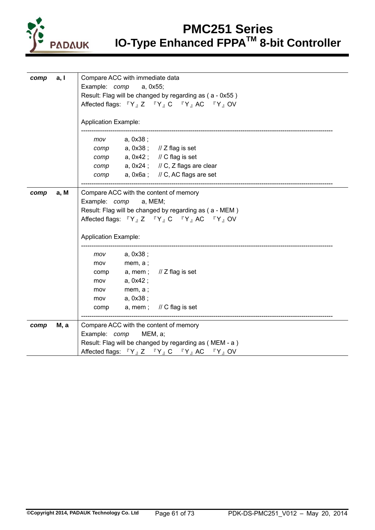

| comp | a, I         | Compare ACC with immediate data                                                                                                       |  |  |  |  |  |  |  |  |  |  |  |
|------|--------------|---------------------------------------------------------------------------------------------------------------------------------------|--|--|--|--|--|--|--|--|--|--|--|
|      |              | Example: comp<br>a, 0x55;                                                                                                             |  |  |  |  |  |  |  |  |  |  |  |
|      |              | Result: Flag will be changed by regarding as (a - 0x55)                                                                               |  |  |  |  |  |  |  |  |  |  |  |
|      |              | Affected flags: $\mathbb{F}Y_{\mathbb{J}}Z = \mathbb{F}Y_{\mathbb{J}}C = \mathbb{F}Y_{\mathbb{J}}AC = \mathbb{F}Y_{\mathbb{J}}OV$     |  |  |  |  |  |  |  |  |  |  |  |
|      |              |                                                                                                                                       |  |  |  |  |  |  |  |  |  |  |  |
|      |              | <b>Application Example:</b>                                                                                                           |  |  |  |  |  |  |  |  |  |  |  |
|      |              | a, 0x38;<br>mov                                                                                                                       |  |  |  |  |  |  |  |  |  |  |  |
|      |              | a, 0x38 ;<br>$\frac{1}{2}$ flag is set<br>comp                                                                                        |  |  |  |  |  |  |  |  |  |  |  |
|      |              | a, $0x42$ ; // C flag is set<br>comp                                                                                                  |  |  |  |  |  |  |  |  |  |  |  |
|      |              | comp a, 0x24; // C, Z flags are clear                                                                                                 |  |  |  |  |  |  |  |  |  |  |  |
|      |              | a, $0x6a$ ; // C, AC flags are set<br>comp                                                                                            |  |  |  |  |  |  |  |  |  |  |  |
|      |              |                                                                                                                                       |  |  |  |  |  |  |  |  |  |  |  |
| comp | a, M         | Compare ACC with the content of memory                                                                                                |  |  |  |  |  |  |  |  |  |  |  |
|      |              | Example: comp<br>a, MEM;                                                                                                              |  |  |  |  |  |  |  |  |  |  |  |
|      |              | Result: Flag will be changed by regarding as (a - MEM)                                                                                |  |  |  |  |  |  |  |  |  |  |  |
|      |              | Affected flags: $\mathbb{F}Y_{\mathbb{J}}Z = \mathbb{F}Y_{\mathbb{J}}C = \mathbb{F}Y_{\mathbb{J}}AC = \mathbb{F}Y_{\mathbb{J}}OV$     |  |  |  |  |  |  |  |  |  |  |  |
|      |              | <b>Application Example:</b>                                                                                                           |  |  |  |  |  |  |  |  |  |  |  |
|      |              | a, 0x38;<br>mov                                                                                                                       |  |  |  |  |  |  |  |  |  |  |  |
|      |              | mem, a;<br>mov                                                                                                                        |  |  |  |  |  |  |  |  |  |  |  |
|      |              | // Z flag is set<br>a, mem;<br>comp                                                                                                   |  |  |  |  |  |  |  |  |  |  |  |
|      |              | a, 0x42;<br>mov                                                                                                                       |  |  |  |  |  |  |  |  |  |  |  |
|      |              | mem, $a$ ;<br>mov                                                                                                                     |  |  |  |  |  |  |  |  |  |  |  |
|      |              | a, 0x38;<br>mov                                                                                                                       |  |  |  |  |  |  |  |  |  |  |  |
|      |              | a, mem; $\frac{1}{2}$ C flag is set<br>comp                                                                                           |  |  |  |  |  |  |  |  |  |  |  |
|      |              |                                                                                                                                       |  |  |  |  |  |  |  |  |  |  |  |
| comp | <b>M</b> , a | Compare ACC with the content of memory                                                                                                |  |  |  |  |  |  |  |  |  |  |  |
|      |              | Example: comp<br>MEM, a;                                                                                                              |  |  |  |  |  |  |  |  |  |  |  |
|      |              | Result: Flag will be changed by regarding as (MEM - a)                                                                                |  |  |  |  |  |  |  |  |  |  |  |
|      |              | Affected flags: $\mathbb{F}Y$ <sub>J</sub> Z $\mathbb{F}Y$ <sub>J</sub> C $\mathbb{F}Y$ <sub>J</sub> AC $\mathbb{F}Y$ <sub>J</sub> OV |  |  |  |  |  |  |  |  |  |  |  |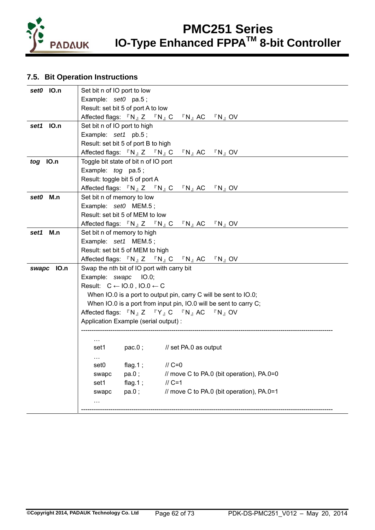

## **7.5. Bit Operation Instructions**

| set0 IO.n  | Set bit n of IO port to low                                                                                                                  |  |  |  |  |  |  |  |  |  |
|------------|----------------------------------------------------------------------------------------------------------------------------------------------|--|--|--|--|--|--|--|--|--|
|            | Example: set0 pa.5;                                                                                                                          |  |  |  |  |  |  |  |  |  |
|            | Result: set bit 5 of port A to low                                                                                                           |  |  |  |  |  |  |  |  |  |
|            | Affected flags: $\nabla N_{\parallel} Z \quad \nabla N_{\parallel} C \quad \nabla N_{\parallel} AC \quad \nabla N_{\parallel} OV$            |  |  |  |  |  |  |  |  |  |
| set1 IO.n  | Set bit n of IO port to high                                                                                                                 |  |  |  |  |  |  |  |  |  |
|            | Example: set1 pb.5;                                                                                                                          |  |  |  |  |  |  |  |  |  |
|            | Result: set bit 5 of port B to high                                                                                                          |  |  |  |  |  |  |  |  |  |
|            | Affected flags: $\mathbb{F}N_{\mathbb{J}}Z \mathbb{F}N_{\mathbb{J}}C$<br>$\sqrt[\Gamma]{N_{\parallel}}$ AC $\sqrt[\Gamma]{N_{\parallel}}$ OV |  |  |  |  |  |  |  |  |  |
| tog IO.n   | Toggle bit state of bit n of IO port                                                                                                         |  |  |  |  |  |  |  |  |  |
|            | Example: $tog$ pa.5;                                                                                                                         |  |  |  |  |  |  |  |  |  |
|            | Result: toggle bit 5 of port A                                                                                                               |  |  |  |  |  |  |  |  |  |
|            | Affected flags: $\nabla N_{\parallel} Z \nabla N_{\parallel} C \nabla N_{\parallel} AC \nabla N_{\parallel} O V$                             |  |  |  |  |  |  |  |  |  |
| set0 M.n   | Set bit n of memory to low                                                                                                                   |  |  |  |  |  |  |  |  |  |
|            | Example: set0 MEM.5;                                                                                                                         |  |  |  |  |  |  |  |  |  |
|            | Result: set bit 5 of MEM to low                                                                                                              |  |  |  |  |  |  |  |  |  |
|            | Affected flags: $\nabla N_{\parallel} Z \quad \nabla N_{\parallel} C \quad \nabla N_{\parallel} AC \quad \nabla N_{\parallel} OV$            |  |  |  |  |  |  |  |  |  |
| set1 M.n   | Set bit n of memory to high                                                                                                                  |  |  |  |  |  |  |  |  |  |
|            | Example: set1 MEM.5;                                                                                                                         |  |  |  |  |  |  |  |  |  |
|            | Result: set bit 5 of MEM to high                                                                                                             |  |  |  |  |  |  |  |  |  |
|            | Affected flags: $\mathbb{P} N_{\mathbb{J}} Z \mathbb{P} N_{\mathbb{J}} C \mathbb{P} N_{\mathbb{J}} AC \mathbb{P} N_{\mathbb{J}} OV$          |  |  |  |  |  |  |  |  |  |
| swapc IO.n | Swap the nth bit of IO port with carry bit                                                                                                   |  |  |  |  |  |  |  |  |  |
|            | Example: swapc IO.0;                                                                                                                         |  |  |  |  |  |  |  |  |  |
|            | Result: $C \leftarrow I0.0$ , $IO.0 \leftarrow C$                                                                                            |  |  |  |  |  |  |  |  |  |
|            | When IO.0 is a port to output pin, carry C will be sent to IO.0;                                                                             |  |  |  |  |  |  |  |  |  |
|            | When IO.0 is a port from input pin, IO.0 will be sent to carry C;                                                                            |  |  |  |  |  |  |  |  |  |
|            | Affected flags: $\mathbb{F}N_{J}Z \mathbb{F}Y_{J}C \mathbb{F}N_{J}AC \mathbb{F}N_{J}OV$                                                      |  |  |  |  |  |  |  |  |  |
|            | Application Example (serial output) :                                                                                                        |  |  |  |  |  |  |  |  |  |
|            |                                                                                                                                              |  |  |  |  |  |  |  |  |  |
|            | $\sim$ $\sim$                                                                                                                                |  |  |  |  |  |  |  |  |  |
|            | $pac.0$ ;<br>// set PA.0 as output<br>set1                                                                                                   |  |  |  |  |  |  |  |  |  |
|            | $\cdots$                                                                                                                                     |  |  |  |  |  |  |  |  |  |
|            | flag.1;<br>$\frac{\pi}{6}$ C=0<br>set0                                                                                                       |  |  |  |  |  |  |  |  |  |
|            | pa.0;<br>// move C to PA.0 (bit operation), PA.0=0<br>swapc                                                                                  |  |  |  |  |  |  |  |  |  |
|            | flag.1;<br>$II$ C=1<br>set1                                                                                                                  |  |  |  |  |  |  |  |  |  |
|            | // move C to PA.0 (bit operation), PA.0=1<br>pa.0;<br>swapc                                                                                  |  |  |  |  |  |  |  |  |  |
|            | $\cdots$                                                                                                                                     |  |  |  |  |  |  |  |  |  |
|            |                                                                                                                                              |  |  |  |  |  |  |  |  |  |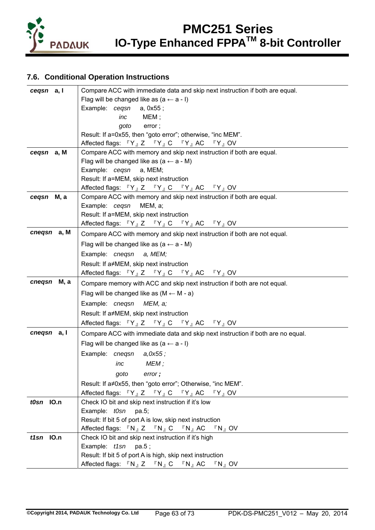

## **7.6. Conditional Operation Instructions**

| cegsn a, I  | Compare ACC with immediate data and skip next instruction if both are equal.                                                          |  |  |  |  |  |  |  |  |
|-------------|---------------------------------------------------------------------------------------------------------------------------------------|--|--|--|--|--|--|--|--|
|             | Flag will be changed like as $(a \leftarrow a - 1)$                                                                                   |  |  |  |  |  |  |  |  |
|             | Example: cegsn<br>a, 0x55 ;                                                                                                           |  |  |  |  |  |  |  |  |
|             | MEM;<br>inc                                                                                                                           |  |  |  |  |  |  |  |  |
|             | goto<br>error;                                                                                                                        |  |  |  |  |  |  |  |  |
|             | Result: If a=0x55, then "goto error"; otherwise, "inc MEM".                                                                           |  |  |  |  |  |  |  |  |
|             | Affected flags: 『Y』Z 『Y』C 『Y』AC 『Y』OV                                                                                                 |  |  |  |  |  |  |  |  |
| cegsn a, M  | Compare ACC with memory and skip next instruction if both are equal.                                                                  |  |  |  |  |  |  |  |  |
|             | Flag will be changed like as $(a \leftarrow a - M)$                                                                                   |  |  |  |  |  |  |  |  |
|             | Example: cegsn a, MEM;                                                                                                                |  |  |  |  |  |  |  |  |
|             | Result: If a=MEM, skip next instruction                                                                                               |  |  |  |  |  |  |  |  |
|             | Affected flags: $\mathbb{F}Y$ <sub>J</sub> Z $\mathbb{F}Y$ <sub>J</sub> C $\mathbb{F}Y$ <sub>J</sub> AC $\mathbb{F}Y$ <sub>J</sub> OV |  |  |  |  |  |  |  |  |
| cegsn M, a  | Compare ACC with memory and skip next instruction if both are equal.                                                                  |  |  |  |  |  |  |  |  |
|             | Example: cegsn<br>MEM, a;<br>Result: If a=MEM, skip next instruction                                                                  |  |  |  |  |  |  |  |  |
|             | Affected flags: $\mathbb{F}Y$ <sub>J</sub> Z $\mathbb{F}Y$ <sub>J</sub> C $\mathbb{F}Y$ <sub>J</sub> AC $\mathbb{F}Y$ <sub>J</sub> OV |  |  |  |  |  |  |  |  |
| cnegsn a, M | Compare ACC with memory and skip next instruction if both are not equal.                                                              |  |  |  |  |  |  |  |  |
|             | Flag will be changed like as $(a \leftarrow a - M)$                                                                                   |  |  |  |  |  |  |  |  |
|             | Example: cneqsn a, MEM;                                                                                                               |  |  |  |  |  |  |  |  |
|             | Result: If a≠MEM, skip next instruction                                                                                               |  |  |  |  |  |  |  |  |
|             | Affected flags: $\mathbb{F}Y$ <sub>J</sub> Z $\mathbb{F}Y$ <sub>J</sub> C $\mathbb{F}Y$ <sub>J</sub> AC $\mathbb{F}Y$ <sub>J</sub> OV |  |  |  |  |  |  |  |  |
| cnegsn M, a | Compare memory with ACC and skip next instruction if both are not equal.                                                              |  |  |  |  |  |  |  |  |
|             | Flag will be changed like as $(M \leftarrow M - a)$                                                                                   |  |  |  |  |  |  |  |  |
|             | Example: cneqsn MEM, a;                                                                                                               |  |  |  |  |  |  |  |  |
|             | Result: If a≠MEM, skip next instruction                                                                                               |  |  |  |  |  |  |  |  |
|             | Affected flags: $\mathbb{F}Y_{J}Z \mathbb{F}Y_{J}C \mathbb{F}Y_{J}AC \mathbb{F}Y_{J}$ OV                                              |  |  |  |  |  |  |  |  |
| cnegsn a, I | Compare ACC with immediate data and skip next instruction if both are no equal.                                                       |  |  |  |  |  |  |  |  |
|             | Flag will be changed like as $(a \leftarrow a - 1)$                                                                                   |  |  |  |  |  |  |  |  |
|             | Example: cneqsn a,0x55;                                                                                                               |  |  |  |  |  |  |  |  |
|             | MEM;<br>inc                                                                                                                           |  |  |  |  |  |  |  |  |
|             | goto error;                                                                                                                           |  |  |  |  |  |  |  |  |
|             | Result: If a≠0x55, then "goto error"; Otherwise, "inc MEM".                                                                           |  |  |  |  |  |  |  |  |
|             | Affected flags: $\mathbb{F}Y_{J}Z \mathbb{F}Y_{J}C \mathbb{F}Y_{J}AC \mathbb{F}Y_{J}$ OV                                              |  |  |  |  |  |  |  |  |
| t0sn IO.n   | Check IO bit and skip next instruction if it's low                                                                                    |  |  |  |  |  |  |  |  |
|             | Example: t0sn pa.5;                                                                                                                   |  |  |  |  |  |  |  |  |
|             | Result: If bit 5 of port A is low, skip next instruction                                                                              |  |  |  |  |  |  |  |  |
|             | Affected flags: $\nabla N_{\parallel} Z \quad \nabla N_{\parallel} C \quad \nabla N_{\parallel} AC \quad \nabla N_{\perp} OV$         |  |  |  |  |  |  |  |  |
| $t1sn$ IO.n | Check IO bit and skip next instruction if it's high                                                                                   |  |  |  |  |  |  |  |  |
|             | Example: $t1sn$ pa.5;                                                                                                                 |  |  |  |  |  |  |  |  |
|             | Result: If bit 5 of port A is high, skip next instruction                                                                             |  |  |  |  |  |  |  |  |
|             | Affected flags: $\nabla N_{\mathbb{J}} Z \nabla N_{\mathbb{J}} C \nabla N_{\mathbb{J}} AC \nabla N_{\mathbb{J}} OV$                   |  |  |  |  |  |  |  |  |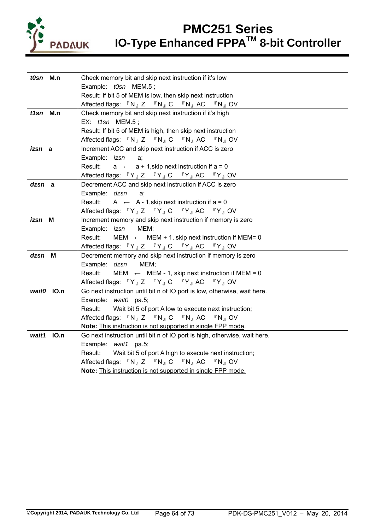

| t0sn M.n      | Check memory bit and skip next instruction if it's low                                                                                |  |  |  |  |  |  |  |  |  |  |
|---------------|---------------------------------------------------------------------------------------------------------------------------------------|--|--|--|--|--|--|--|--|--|--|
|               | Example: t0sn MEM.5;                                                                                                                  |  |  |  |  |  |  |  |  |  |  |
|               | Result: If bit 5 of MEM is low, then skip next instruction                                                                            |  |  |  |  |  |  |  |  |  |  |
|               | Affected flags: $\mathbb{F}N_{\mathbb{J}}Z = \mathbb{F}N_{\mathbb{J}}C = \mathbb{F}N_{\mathbb{J}}AC = \mathbb{F}N_{\mathbb{J}}OV$     |  |  |  |  |  |  |  |  |  |  |
| $t1sn$ M.n    | Check memory bit and skip next instruction if it's high                                                                               |  |  |  |  |  |  |  |  |  |  |
|               | EX: t1sn MEM.5;                                                                                                                       |  |  |  |  |  |  |  |  |  |  |
|               | Result: If bit 5 of MEM is high, then skip next instruction                                                                           |  |  |  |  |  |  |  |  |  |  |
|               | Affected flags: $\nabla N_{\parallel} Z \quad \nabla N_{\parallel} C \quad \nabla N_{\parallel} AC \quad \nabla N_{\parallel} OV$     |  |  |  |  |  |  |  |  |  |  |
| <i>izsn</i> a | Increment ACC and skip next instruction if ACC is zero                                                                                |  |  |  |  |  |  |  |  |  |  |
|               | Example: <i>izsn</i><br>a;                                                                                                            |  |  |  |  |  |  |  |  |  |  |
|               | Result: $a \leftarrow a + 1$ , skip next instruction if $a = 0$                                                                       |  |  |  |  |  |  |  |  |  |  |
|               | Affected flags: $\mathbb{F}Y$ <sub>J</sub> Z $\mathbb{F}Y$ <sub>J</sub> C $\mathbb{F}Y$ <sub>J</sub> AC $\mathbb{F}Y$ <sub>J</sub> OV |  |  |  |  |  |  |  |  |  |  |
| dzsn a        | Decrement ACC and skip next instruction if ACC is zero                                                                                |  |  |  |  |  |  |  |  |  |  |
|               | Example: dzsn<br>a:                                                                                                                   |  |  |  |  |  |  |  |  |  |  |
|               | Result: $A \leftarrow A - 1$ , skip next instruction if $a = 0$                                                                       |  |  |  |  |  |  |  |  |  |  |
|               | Affected flags: $\mathbb{F}Y$ <sub>J</sub> Z $\mathbb{F}Y$ <sub>J</sub> C $\mathbb{F}Y$ <sub>J</sub> AC $\mathbb{F}Y$ <sub>J</sub> OV |  |  |  |  |  |  |  |  |  |  |
| izsn M        | Increment memory and skip next instruction if memory is zero                                                                          |  |  |  |  |  |  |  |  |  |  |
|               | Example: izsn MEM;                                                                                                                    |  |  |  |  |  |  |  |  |  |  |
|               | Result:<br>MEM $\leftarrow$ MEM + 1, skip next instruction if MEM= 0                                                                  |  |  |  |  |  |  |  |  |  |  |
|               | Affected flags: 『Y』Z 『Y』C 『Y』AC 『Y』OV                                                                                                 |  |  |  |  |  |  |  |  |  |  |
| dzsn M        | Decrement memory and skip next instruction if memory is zero                                                                          |  |  |  |  |  |  |  |  |  |  |
|               | Example: dzsn<br>MEM;                                                                                                                 |  |  |  |  |  |  |  |  |  |  |
|               | Result:<br>MEM $\leftarrow$ MEM - 1, skip next instruction if MEM = 0                                                                 |  |  |  |  |  |  |  |  |  |  |
|               | Affected flags: 『Y』Z 『Y』C 『Y』AC 『Y』OV                                                                                                 |  |  |  |  |  |  |  |  |  |  |
| wait0 IO.n    | Go next instruction until bit n of IO port is low, otherwise, wait here.                                                              |  |  |  |  |  |  |  |  |  |  |
|               | Example: wait0 pa.5;                                                                                                                  |  |  |  |  |  |  |  |  |  |  |
|               | Wait bit 5 of port A low to execute next instruction;<br>Result:                                                                      |  |  |  |  |  |  |  |  |  |  |
|               | Affected flags: $\mathbb{R} N_{\mathbb{J}} Z \mathbb{R} N_{\mathbb{J}} C \mathbb{R} N_{\mathbb{J}} AC \mathbb{R} N_{\mathbb{J}} OV$   |  |  |  |  |  |  |  |  |  |  |
|               | Note: This instruction is not supported in single FPP mode.                                                                           |  |  |  |  |  |  |  |  |  |  |
| wait1 IO.n    | Go next instruction until bit n of IO port is high, otherwise, wait here.                                                             |  |  |  |  |  |  |  |  |  |  |
|               | Example: wait1 pa.5;                                                                                                                  |  |  |  |  |  |  |  |  |  |  |
|               | Wait bit 5 of port A high to execute next instruction;<br>Result:                                                                     |  |  |  |  |  |  |  |  |  |  |
|               | Affected flags: 『N』Z 『N』C 『N』AC 『N』OV                                                                                                 |  |  |  |  |  |  |  |  |  |  |
|               | Note: This instruction is not supported in single FPP mode.                                                                           |  |  |  |  |  |  |  |  |  |  |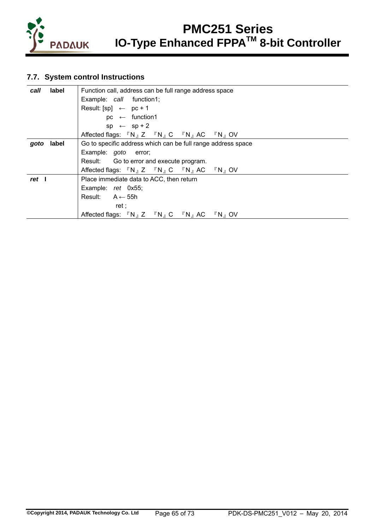

## **7.7. System control Instructions**

| label<br>call | Function call, address can be full range address space                                                                   |  |  |  |  |  |  |  |  |  |
|---------------|--------------------------------------------------------------------------------------------------------------------------|--|--|--|--|--|--|--|--|--|
|               | Example: call function1;                                                                                                 |  |  |  |  |  |  |  |  |  |
|               | Result: $[sp] \leftarrow pc + 1$                                                                                         |  |  |  |  |  |  |  |  |  |
|               | $pc \leftarrow$ function1                                                                                                |  |  |  |  |  |  |  |  |  |
|               | $sp \leftarrow sp + 2$                                                                                                   |  |  |  |  |  |  |  |  |  |
|               | Affected flags: $\nabla N_{\parallel} Z \nabla N_{\parallel} C \nabla N_{\perp} AC \nabla N_{\perp} O V$                 |  |  |  |  |  |  |  |  |  |
| label<br>goto | Go to specific address which can be full range address space                                                             |  |  |  |  |  |  |  |  |  |
|               | Example: goto error;                                                                                                     |  |  |  |  |  |  |  |  |  |
|               | Result: Go to error and execute program.                                                                                 |  |  |  |  |  |  |  |  |  |
|               | Affected flags: $\nabla N_A Z \nabla N_A C \nabla N_A AC \nabla N_A O V$                                                 |  |  |  |  |  |  |  |  |  |
| ret l         | Place immediate data to ACC, then return                                                                                 |  |  |  |  |  |  |  |  |  |
|               | Example: ret 0x55;                                                                                                       |  |  |  |  |  |  |  |  |  |
|               | Result: $A \leftarrow 55h$                                                                                               |  |  |  |  |  |  |  |  |  |
|               | ret :                                                                                                                    |  |  |  |  |  |  |  |  |  |
|               | Affected flags: $\nabla N_{\parallel} Z \nabla N_{\parallel} C \nabla N_{\parallel} AC$<br>$\mathbb{F} N$ $\mathsf{O} V$ |  |  |  |  |  |  |  |  |  |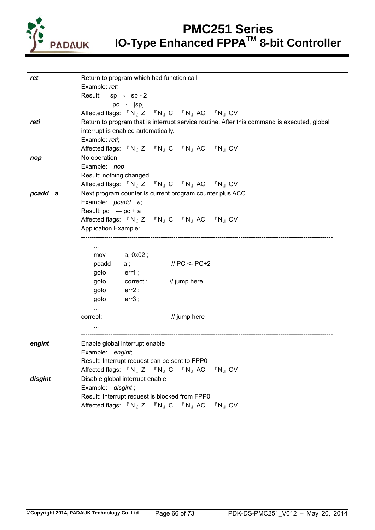

| ret     | Return to program which had function call                                                                                                           |  |  |  |  |  |  |  |
|---------|-----------------------------------------------------------------------------------------------------------------------------------------------------|--|--|--|--|--|--|--|
|         | Example: ret;                                                                                                                                       |  |  |  |  |  |  |  |
|         | Result: $sp \leftarrow sp - 2$                                                                                                                      |  |  |  |  |  |  |  |
|         | $pc \leftarrow [sp]$                                                                                                                                |  |  |  |  |  |  |  |
|         | Affected flags: $\mathbb{F}N_{\mathbb{J}}Z = \mathbb{F}N_{\mathbb{J}}C = \mathbb{F}N_{\mathbb{J}}AC = \mathbb{F}N_{\mathbb{J}}OV$                   |  |  |  |  |  |  |  |
| reti    | Return to program that is interrupt service routine. After this command is executed, global                                                         |  |  |  |  |  |  |  |
|         | interrupt is enabled automatically.                                                                                                                 |  |  |  |  |  |  |  |
|         | Example: reti;                                                                                                                                      |  |  |  |  |  |  |  |
|         | Affected flags: $\nabla N_{\parallel} Z \quad \nabla N_{\parallel} C \quad \nabla N_{\parallel} AC \quad \nabla N_{\parallel} OV$                   |  |  |  |  |  |  |  |
| nop     | No operation                                                                                                                                        |  |  |  |  |  |  |  |
|         | Example: nop;                                                                                                                                       |  |  |  |  |  |  |  |
|         | Result: nothing changed                                                                                                                             |  |  |  |  |  |  |  |
|         | Affected flags: 『N』Z 『N』C 『N』AC 『N』OV                                                                                                               |  |  |  |  |  |  |  |
| pcadd a | Next program counter is current program counter plus ACC.                                                                                           |  |  |  |  |  |  |  |
|         | Example: pcadd a;                                                                                                                                   |  |  |  |  |  |  |  |
|         | Result: $pc \leftarrow pc + a$                                                                                                                      |  |  |  |  |  |  |  |
|         | Affected flags: 『N』Z 『N』C 『N』AC 『N』OV                                                                                                               |  |  |  |  |  |  |  |
|         | <b>Application Example:</b>                                                                                                                         |  |  |  |  |  |  |  |
|         |                                                                                                                                                     |  |  |  |  |  |  |  |
|         | $\sim$ $\sim$                                                                                                                                       |  |  |  |  |  |  |  |
|         | a, 0x02 ;<br>mov                                                                                                                                    |  |  |  |  |  |  |  |
|         | $\frac{1}{2}$ PC <- PC+2<br>a ;<br>pcadd                                                                                                            |  |  |  |  |  |  |  |
|         | goto<br>$err1$ ;                                                                                                                                    |  |  |  |  |  |  |  |
|         | correct; // jump here<br>goto                                                                                                                       |  |  |  |  |  |  |  |
|         | goto<br>$err2$ ;                                                                                                                                    |  |  |  |  |  |  |  |
|         | err3;<br>goto                                                                                                                                       |  |  |  |  |  |  |  |
|         | $\cdots$                                                                                                                                            |  |  |  |  |  |  |  |
|         | // jump here<br>correct:                                                                                                                            |  |  |  |  |  |  |  |
|         | $\sim$ $\sim$                                                                                                                                       |  |  |  |  |  |  |  |
|         |                                                                                                                                                     |  |  |  |  |  |  |  |
| engint  | Enable global interrupt enable                                                                                                                      |  |  |  |  |  |  |  |
|         | Example: engint;                                                                                                                                    |  |  |  |  |  |  |  |
|         | Result: Interrupt request can be sent to FPP0                                                                                                       |  |  |  |  |  |  |  |
|         | Affected flags: $\nabla N_{\parallel} Z \nabla N_{\parallel} C \nabla N_{\perp} AC$<br>$\sqrt[\Gamma]{N}$ OV                                        |  |  |  |  |  |  |  |
| disgint | Disable global interrupt enable                                                                                                                     |  |  |  |  |  |  |  |
|         | Example: disgint;                                                                                                                                   |  |  |  |  |  |  |  |
|         | Result: Interrupt request is blocked from FPP0                                                                                                      |  |  |  |  |  |  |  |
|         | Affected flags: $\sqrt[\text{R}]{N_{\text{B}}}$ Z $\sqrt[\text{R}]{N_{\text{B}}}$ C $\sqrt[\text{R}]{N_{\text{B}}}$ AC<br>$\Gamma N_{\parallel}$ OV |  |  |  |  |  |  |  |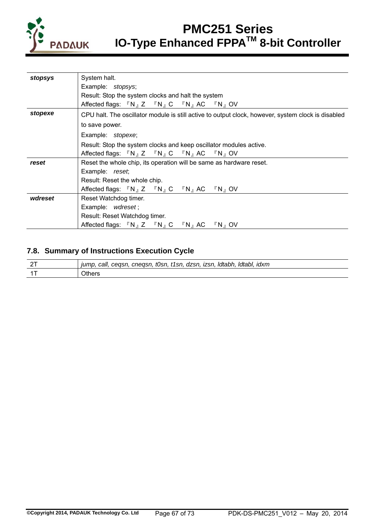

| stopsys | System halt.                                                                                                                                                              |  |  |  |  |  |  |  |  |
|---------|---------------------------------------------------------------------------------------------------------------------------------------------------------------------------|--|--|--|--|--|--|--|--|
|         | Example: stopsys;                                                                                                                                                         |  |  |  |  |  |  |  |  |
|         | Result: Stop the system clocks and halt the system                                                                                                                        |  |  |  |  |  |  |  |  |
|         | Affected flags: 『N』Z 『N』C 『N』AC 『N』OV                                                                                                                                     |  |  |  |  |  |  |  |  |
| stopexe | CPU halt. The oscillator module is still active to output clock, however, system clock is disabled                                                                        |  |  |  |  |  |  |  |  |
|         | to save power.                                                                                                                                                            |  |  |  |  |  |  |  |  |
|         | Example: stopexe;                                                                                                                                                         |  |  |  |  |  |  |  |  |
|         | Result: Stop the system clocks and keep oscillator modules active.                                                                                                        |  |  |  |  |  |  |  |  |
|         | Affected flags: $\Gamma N_A Z \Gamma N_A C \Gamma N_A AC \Gamma N_A O V$                                                                                                  |  |  |  |  |  |  |  |  |
| reset   | Reset the whole chip, its operation will be same as hardware reset.                                                                                                       |  |  |  |  |  |  |  |  |
|         | Example: reset;                                                                                                                                                           |  |  |  |  |  |  |  |  |
|         | Result: Reset the whole chip.                                                                                                                                             |  |  |  |  |  |  |  |  |
|         | Affected flags: $\mathbb{F}N_{\mathbb{J}}Z = \mathbb{F}N_{\mathbb{J}}C = \mathbb{F}N_{\mathbb{J}}AC = \mathbb{F}N_{\mathbb{J}}OV$                                         |  |  |  |  |  |  |  |  |
| wdreset | Reset Watchdog timer.                                                                                                                                                     |  |  |  |  |  |  |  |  |
|         | Example: wdreset;                                                                                                                                                         |  |  |  |  |  |  |  |  |
|         | Result: Reset Watchdog timer.                                                                                                                                             |  |  |  |  |  |  |  |  |
|         | Affected flags: $\sqrt{\phantom{a}}$ N <sub>J</sub> Z $\sqrt{\phantom{a}}$ N <sub>J</sub> C $\sqrt{\phantom{a}}$ N <sub>J</sub> AC $\sqrt{\phantom{a}}$ N <sub>J</sub> OV |  |  |  |  |  |  |  |  |

## **7.8. Summary of Instructions Execution Cycle**

| ldtabl.<br>ldtabh.<br>, cnegsn, t0sn, t1sn,<br>dzsn, izsn,<br>idxm<br>jump.<br>ceasn.<br>call, |
|------------------------------------------------------------------------------------------------|
| UUUS                                                                                           |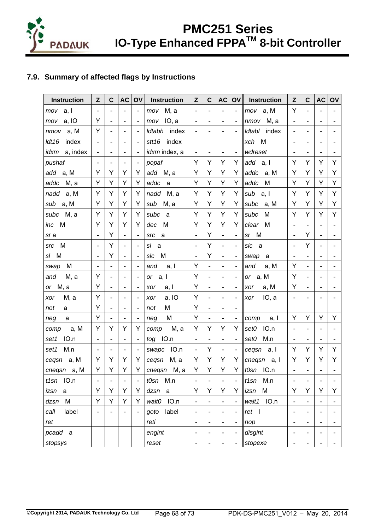

## **7.9. Summary of affected flags by Instructions**

| <b>Instruction</b>   | Z                            | C                            | <b>AC</b>                    | OV                           | <b>Instruction</b>   | Z                            | $\mathbf C$                  |                              | AC OV                        | <b>Instruction</b> | Z                            | $\mathbf c$                  | <b>AC</b>                    | OV |
|----------------------|------------------------------|------------------------------|------------------------------|------------------------------|----------------------|------------------------------|------------------------------|------------------------------|------------------------------|--------------------|------------------------------|------------------------------|------------------------------|----|
| a, I<br>mov          | $\blacksquare$               | $\overline{\phantom{a}}$     | $\overline{\phantom{a}}$     | $\blacksquare$               | M, a<br>mov          | $\overline{\phantom{a}}$     |                              | $\qquad \qquad \blacksquare$ | $\overline{\phantom{a}}$     | a, M<br>mov        | Y                            | $\blacksquare$               |                              |    |
| a, IO<br>mov         | Υ                            | $\overline{\phantom{0}}$     | $\overline{\phantom{a}}$     | $\blacksquare$               | IO, a<br>mov         | -                            |                              | $\qquad \qquad \blacksquare$ | $\overline{\phantom{a}}$     | M, a<br>nmov       | $\overline{\phantom{a}}$     | $\overline{\phantom{0}}$     | $\overline{\phantom{a}}$     |    |
| a, M<br>nmov         | Y                            | $\overline{a}$               | $\overline{\phantom{a}}$     | Ξ.                           | Idtabh<br>index      |                              |                              |                              | $\qquad \qquad \blacksquare$ | index<br>Idtabl    | $\overline{\phantom{a}}$     |                              |                              |    |
| ldt16<br>index       | $\overline{\phantom{a}}$     | $\overline{\phantom{0}}$     | $\qquad \qquad \blacksquare$ | $\overline{\phantom{a}}$     | stt16<br>index       |                              |                              |                              |                              | M<br>xch           | $\overline{\phantom{a}}$     | $\overline{\phantom{a}}$     | $\qquad \qquad \blacksquare$ |    |
| a, index<br>idxm     | $\blacksquare$               | $\blacksquare$               | $\blacksquare$               | $\blacksquare$               | idxm index, a        | $\qquad \qquad \blacksquare$ |                              |                              | $\overline{\phantom{a}}$     | wdreset            | $\qquad \qquad \blacksquare$ | $\qquad \qquad \blacksquare$ |                              |    |
| pushaf               | $\blacksquare$               | $\qquad \qquad \blacksquare$ | $\blacksquare$               | $\blacksquare$               | popaf                | Υ                            | Y                            | Υ                            | Υ                            | add<br>a, I        | Υ                            | Υ                            | Υ                            | Y  |
| add a, M             | Y                            | Υ                            | Υ                            | Υ                            | add M, a             | Υ                            | Υ                            | Υ                            | Υ                            | addc<br>a, M       | Υ                            | Υ                            | Υ                            | Y  |
| M, a<br>addc         | Υ                            | Υ                            | Υ                            | Y                            | addc<br>a            | Υ                            | Υ                            | Υ                            | Y                            | M<br>addc          | Y                            | Y                            | Υ                            | Υ  |
| nadd<br>a, M         | Υ                            | Υ                            | Υ                            | Y                            | nadd<br>M, a         | Y                            | Υ                            | Y                            | Y                            | sub<br>a, I        | Y                            | Υ                            | Υ                            | Y  |
| a, M<br>sub          | Υ                            | Y                            | Υ                            | Υ                            | M, a<br>sub          | Υ                            | Υ                            | Υ                            | Υ                            | subc<br>a, M       | Υ                            | Υ                            | Υ                            | Υ  |
| subc<br>M, a         | Y                            | Υ                            | Y                            | Y                            | subc<br>a            | Y                            | Y                            | Y                            | Y                            | subc<br>M          | Y                            | Y                            | Y                            | Y  |
| M<br>inc             | Υ                            | Υ                            | Υ                            | Υ                            | M<br>dec             | Υ                            | Υ                            | Υ                            | Y                            | M<br>clear         |                              | $\overline{\phantom{0}}$     | $\qquad \qquad \blacksquare$ |    |
| sra                  | $\blacksquare$               | Y                            | $\blacksquare$               | $\blacksquare$               | src<br>a             | $\overline{\phantom{0}}$     | Y                            | $\frac{1}{2}$                | $\qquad \qquad \blacksquare$ | M<br>sr            | $\overline{\phantom{a}}$     | Υ                            | $\blacksquare$               |    |
| M<br>src             | $\overline{\phantom{a}}$     | Υ                            | $\overline{\phantom{a}}$     | $\overline{\phantom{a}}$     | sl<br>a              | $\qquad \qquad \blacksquare$ | Υ                            | $\frac{1}{2}$                | $\blacksquare$               | slc<br>a           | $\overline{\phantom{a}}$     | Υ                            | $\qquad \qquad \blacksquare$ | -  |
| M<br>sl              |                              | Ý                            | $\blacksquare$               | Ξ.                           | M<br>slc             | $\blacksquare$               | Υ                            |                              | $\qquad \qquad \blacksquare$ | a<br>swap          |                              | -                            |                              |    |
| M<br>swap            | $\qquad \qquad \blacksquare$ | $\blacksquare$               | $\qquad \qquad \blacksquare$ | $\qquad \qquad \blacksquare$ | and<br>a, I          | Υ                            | $\overline{\phantom{0}}$     |                              | $\qquad \qquad \blacksquare$ | a, M<br>and        | Y                            | $\overline{\phantom{0}}$     | $\overline{\phantom{a}}$     |    |
| M, a<br>and          | Y                            | $\overline{\phantom{a}}$     | $\blacksquare$               | $\blacksquare$               | a, I<br>or           | Υ                            | $\qquad \qquad \blacksquare$ | $\overline{a}$               | $\qquad \qquad \blacksquare$ | a, M<br>or         | Y                            | $\overline{\phantom{0}}$     | $\overline{a}$               |    |
| M, a<br>or           | Υ                            | $\qquad \qquad \blacksquare$ | $\blacksquare$               | $\blacksquare$               | a, I<br>xor          | Υ                            |                              |                              | $\blacksquare$               | a, M<br>xor        | Υ                            | $\qquad \qquad \blacksquare$ | $\overline{\phantom{a}}$     |    |
| M, a<br>xor          | Υ                            | $\overline{\phantom{0}}$     | $\overline{\phantom{a}}$     |                              | a, IO<br>xor         | Υ                            |                              |                              | $\qquad \qquad \blacksquare$ | IO, a<br>xor       |                              |                              |                              |    |
| not<br>a             | Y                            | $\overline{\phantom{0}}$     | $\overline{\phantom{a}}$     | $\overline{\phantom{a}}$     | M<br>not             | Υ                            | $\qquad \qquad \blacksquare$ |                              | $\blacksquare$               |                    |                              |                              |                              |    |
| neg<br>a             | Y                            | $\frac{1}{2}$                | $\blacksquare$               | $\blacksquare$               | M<br>neg             | Υ                            | $\qquad \qquad \blacksquare$ | $\qquad \qquad \blacksquare$ | $\overline{\phantom{a}}$     | comp<br>a, I       | Y                            | Y                            | Y                            | Y  |
| a, M<br>comp         | Υ                            | Υ                            | Υ                            | Y                            | M, a<br>comp         | Y                            | Y                            | Y                            | Υ                            | IO.n<br>set0       | $\blacksquare$               | $\qquad \qquad \blacksquare$ | $\overline{\phantom{a}}$     |    |
| IO.n<br>set1         |                              | $\overline{\phantom{0}}$     | $\blacksquare$               | $\blacksquare$               | IO.n<br>tog          | $\overline{\phantom{0}}$     |                              |                              | $\overline{\phantom{a}}$     | M.n<br>set0        |                              | -                            |                              |    |
| M.n<br>set1          |                              | $\overline{\phantom{a}}$     | $\frac{1}{2}$                | $\overline{\phantom{a}}$     | IO.n<br>swapc        | $\qquad \qquad \blacksquare$ | Υ                            | $\qquad \qquad \blacksquare$ | $\blacksquare$               | a, I<br>cegsn      | Y                            | Y                            | Y                            | Υ  |
| cegsn a, M           | Y                            | Y                            | Υ                            | Y                            | M, a<br>cegsn        | Y                            | Y                            | Y                            | Y                            | cneqsn<br>a, I     | Y                            | Υ                            | Υ                            | Y  |
| cnegsn a, M          | Υ                            | Υ                            | Υ                            | Υ                            | М, а<br>cnegsn       | Υ                            | Υ                            | Υ                            | Y                            | IO.n<br>t0sn       | $\blacksquare$               |                              |                              |    |
| IO.n<br>t1sn         |                              | ÷                            | $\qquad \qquad \blacksquare$ |                              | tOsn<br>M.n          |                              |                              | -                            | $\qquad \qquad \blacksquare$ | M.n<br>t1sn        |                              |                              | $\qquad \qquad \blacksquare$ |    |
| izsn<br>$\mathsf{a}$ | Υ                            | Y                            | Υ                            | Y                            | dzsn<br>$\mathsf{a}$ | Y                            | Y                            | Y                            | Υ                            | M<br>izsn          | Y                            | Y                            | Υ                            | Υ  |
| M<br>dzsn            | Y                            | Y                            | Y                            | Y                            | IO.n<br>wait0        | $\qquad \qquad \blacksquare$ | $\qquad \qquad \blacksquare$ | $\frac{1}{2}$                | $\blacksquare$               | IO.n<br>wait1      | $\blacksquare$               | $\overline{\phantom{0}}$     | $\blacksquare$               | -  |
| label<br>call        | $\qquad \qquad \blacksquare$ | $\overline{\phantom{0}}$     | $\overline{\phantom{a}}$     | $\overline{\phantom{a}}$     | label<br>goto        | $\qquad \qquad \blacksquare$ | $\qquad \qquad \blacksquare$ | -                            | $\blacksquare$               | $ret$              | $\qquad \qquad \blacksquare$ | $\overline{\phantom{0}}$     | $\overline{\phantom{a}}$     | -  |
| ret                  |                              |                              |                              |                              | reti                 | $\overline{\phantom{0}}$     |                              |                              | $\overline{\phantom{0}}$     | nop                | $\overline{\phantom{0}}$     | -                            |                              | -  |
| pcadd a              |                              |                              |                              |                              | engint               | $\overline{\phantom{0}}$     |                              | $\qquad \qquad \blacksquare$ | $\qquad \qquad \blacksquare$ | disgint            | $\overline{\phantom{a}}$     | $\overline{\phantom{0}}$     | $\qquad \qquad \blacksquare$ | -  |
| stopsys              |                              |                              |                              |                              | reset                |                              |                              | -                            | $\qquad \qquad \blacksquare$ | stopexe            | $\overline{\phantom{a}}$     | -                            |                              |    |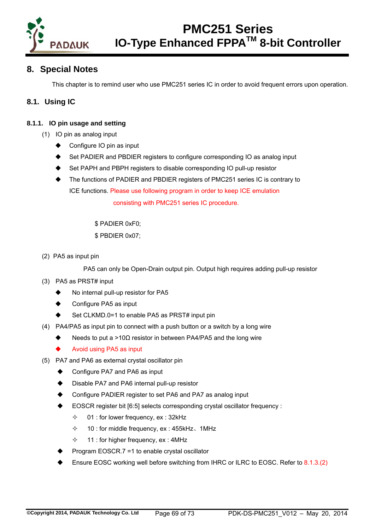

## **8. Special Notes**

This chapter is to remind user who use PMC251 series IC in order to avoid frequent errors upon operation.

## **8.1. Using IC**

### **8.1.1. IO pin usage and setting**

- (1) IO pin as analog input
	- Configure IO pin as input
	- Set PADIER and PBDIER registers to configure corresponding IO as analog input
	- Set PAPH and PBPH registers to disable corresponding IO pull-up resistor
	- The functions of PADIER and PBDIER registers of PMC251 series IC is contrary to ICE functions. Please use following program in order to keep ICE emulation

consisting with PMC251 series IC procedure.

\$ PADIER 0xF0;

\$ PBDIER 0x07;

(2) PA5 as input pin

PA5 can only be Open-Drain output pin. Output high requires adding pull-up resistor

- (3) PA5 as PRST# input
	- No internal pull-up resistor for PA5
	- Configure PA5 as input
	- Set CLKMD.0=1 to enable PA5 as PRST# input pin
- (4) PA4/PA5 as input pin to connect with a push button or a switch by a long wire
	- Needs to put a >10 $\Omega$  resistor in between PA4/PA5 and the long wire
	- Avoid using PA5 as input
- (5) PA7 and PA6 as external crystal oscillator pin
	- Configure PA7 and PA6 as input
	- Disable PA7 and PA6 internal pull-up resistor
	- Configure PADIER register to set PA6 and PA7 as analog input
	- EOSCR register bit [6:5] selects corresponding crystal oscillator frequency :
		- $\div$  01 : for lower frequency, ex : 32kHz
		- $\div$  10 : for middle frequency, ex : 455kHz, 1MHz
		- $\div$  11 : for higher frequency, ex : 4MHz
	- Program EOSCR.7 =1 to enable crystal oscillator
	- Ensure EOSC working well before switching from IHRC or ILRC to EOSC. Refer to 8.1.3.(2)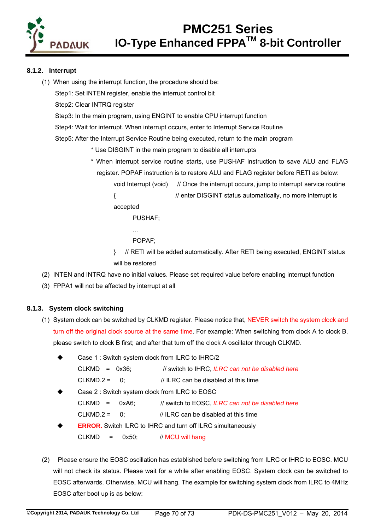

### **8.1.2. Interrupt**

(1) When using the interrupt function, the procedure should be:

Step1: Set INTEN register, enable the interrupt control bit

Step2: Clear INTRQ register

Step3: In the main program, using ENGINT to enable CPU interrupt function

Step4: Wait for interrupt. When interrupt occurs, enter to Interrupt Service Routine

Step5: After the Interrupt Service Routine being executed, return to the main program

\* Use DISGINT in the main program to disable all interrupts

\* When interrupt service routine starts, use PUSHAF instruction to save ALU and FLAG register. POPAF instruction is to restore ALU and FLAG register before RETI as below:

void Interrupt (void) // Once the interrupt occurs, jump to interrupt service routine

{ // enter DISGINT status automatically, no more interrupt is accepted

PUSHAF;

POPAF;

…

- } // RETI will be added automatically. After RETI being executed, ENGINT status will be restored
- (2) INTEN and INTRQ have no initial values. Please set required value before enabling interrupt function
- (3) FPPA1 will not be affected by interrupt at all

### **8.1.3. System clock switching**

- (1) System clock can be switched by CLKMD register. Please notice that, NEVER switch the system clock and turn off the original clock source at the same time. For example: When switching from clock A to clock B, please switch to clock B first; and after that turn off the clock A oscillator through CLKMD.
	- Case 1 : Switch system clock from ILRC to IHRC/2 CLKMD = 0x36; // switch to IHRC, *ILRC can not be disabled here*  $CLKMD.2 = 0$ : // ILRC can be disabled at this time
	- Case 2 : Switch system clock from ILRC to EOSC CLKMD = 0xA6; // switch to EOSC, *ILRC can not be disabled here* CLKMD.2 =  $0$ ;  $\frac{1}{1}$  ILRC can be disabled at this time
	- **ERROR.** Switch ILRC to IHRC and turn off ILRC simultaneously  $CLKMD = 0x50$ ; // MCU will hang
- (2) Please ensure the EOSC oscillation has established before switching from ILRC or IHRC to EOSC. MCU will not check its status. Please wait for a while after enabling EOSC. System clock can be switched to EOSC afterwards. Otherwise, MCU will hang. The example for switching system clock from ILRC to 4MHz EOSC after boot up is as below: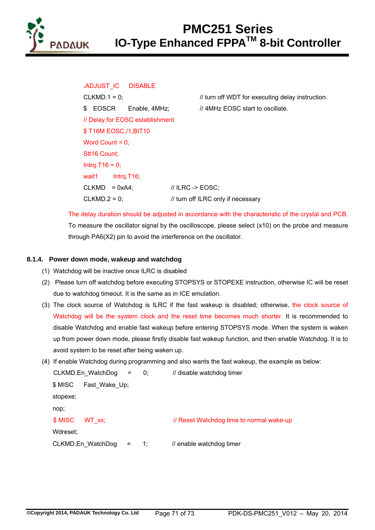

**.**ADJUST\_IC DISABLE \$ EOSCR Enable, 4MHz; // 4MHz EOSC start to oscillate. // Delay for EOSC establishment \$ T16M EOSC,/1,BIT10 Word Count  $= 0$ : Stt<sub>16</sub> Count; Intrq.T16 =  $0$ ; wait1 Intra.T16:  $CLKMD = 0xA4$ ;  $// ILRC -> EOSC$ ;  $CLKMD.2 = 0;$  // turn off ILRC only if necessary

CLKMD.1 = 0;  $\angle$  // turn off WDT for executing delay instruction.

The delay duration should be adjusted in accordance with the characteristic of the crystal and PCB. To measure the oscillator signal by the oscilloscope, please select (x10) on the probe and measure through PA6(X2) pin to avoid the interference on the oscillator.

### **8.1.4. Power down mode, wakeup and watchdog**

- (1) Watchdog will be inactive once ILRC is disabled
- (2) Please turn off watchdog before executing STOPSYS or STOPEXE instruction, otherwise IC will be reset due to watchdog timeout. It is the same as in ICE emulation.
- (3) The clock source of Watchdog is ILRC if the fast wakeup is disabled; otherwise, the clock source of Watchdog will be the system clock and the reset time becomes much shorter. It is recommended to disable Watchdog and enable fast wakeup before entering STOPSYS mode. When the system is waken up from power down mode, please firstly disable fast wakeup function, and then enable Watchdog. It is to avoid system to be reset after being waken up.
- (4) If enable Watchdog during programming and also wants the fast wakeup, the example as below:

CLKMD.En\_WatchDog = 0; // disable watchdog timer \$ MISC Fast\_Wake\_Up; stopexe; nop; \$ MISC WT\_xx; // Reset Watchdog time to normal wake-up Wdreset; CLKMD.En\_WatchDog = 1; // enable watchdog timer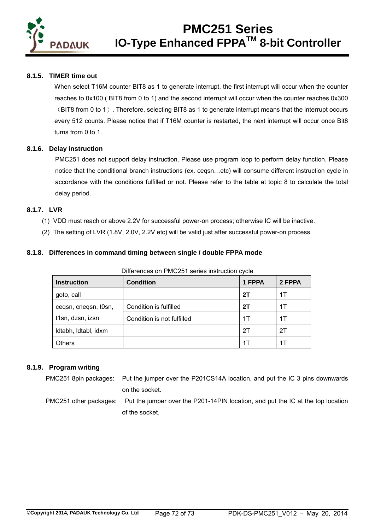

#### **8.1.5. TIMER time out**

When select T16M counter BIT8 as 1 to generate interrupt, the first interrupt will occur when the counter reaches to 0x100 ( BIT8 from 0 to 1) and the second interrupt will occur when the counter reaches 0x300 (BIT8 from 0 to 1). Therefore, selecting BIT8 as 1 to generate interrupt means that the interrupt occurs every 512 counts. Please notice that if T16M counter is restarted, the next interrupt will occur once Bit8 turns from 0 to 1.

#### **8.1.6. Delay instruction**

PMC251 does not support delay instruction. Please use program loop to perform delay function. Please notice that the conditional branch instructions (ex. ceqsn…etc) will consume different instruction cycle in accordance with the conditions fulfilled or not. Please refer to the table at topic 8 to calculate the total delay period.

### **8.1.7. LVR**

- (1) VDD must reach or above 2.2V for successful power-on process; otherwise IC will be inactive.
- (2) The setting of LVR (1.8V, 2.0V, 2.2V etc) will be valid just after successful power-on process.

### **8.1.8. Differences in command timing between single / double FPPA mode**

| <b>Instruction</b>   | <b>Condition</b>           | 1 FPPA | 2 FPPA |  |  |  |  |  |
|----------------------|----------------------------|--------|--------|--|--|--|--|--|
| goto, call           |                            | 2T     | 1Т     |  |  |  |  |  |
| cegsn, cnegsn, t0sn, | Condition is fulfilled     | 2T     | 1Т     |  |  |  |  |  |
| t1sn, dzsn, izsn     | Condition is not fulfilled | 1T     | 1Т     |  |  |  |  |  |
| Idtabh, Idtabl, idxm |                            | 2T     | 2Τ     |  |  |  |  |  |
| <b>Others</b>        |                            | 1Т     | 1Т     |  |  |  |  |  |

Differences on PMC251 series instruction cycle

### **8.1.9. Program writing**

PMC251 8pin packages: Put the jumper over the P201CS14A location, and put the IC 3 pins downwards on the socket.

PMC251 other packages: Put the jumper over the P201-14PIN location, and put the IC at the top location of the socket.